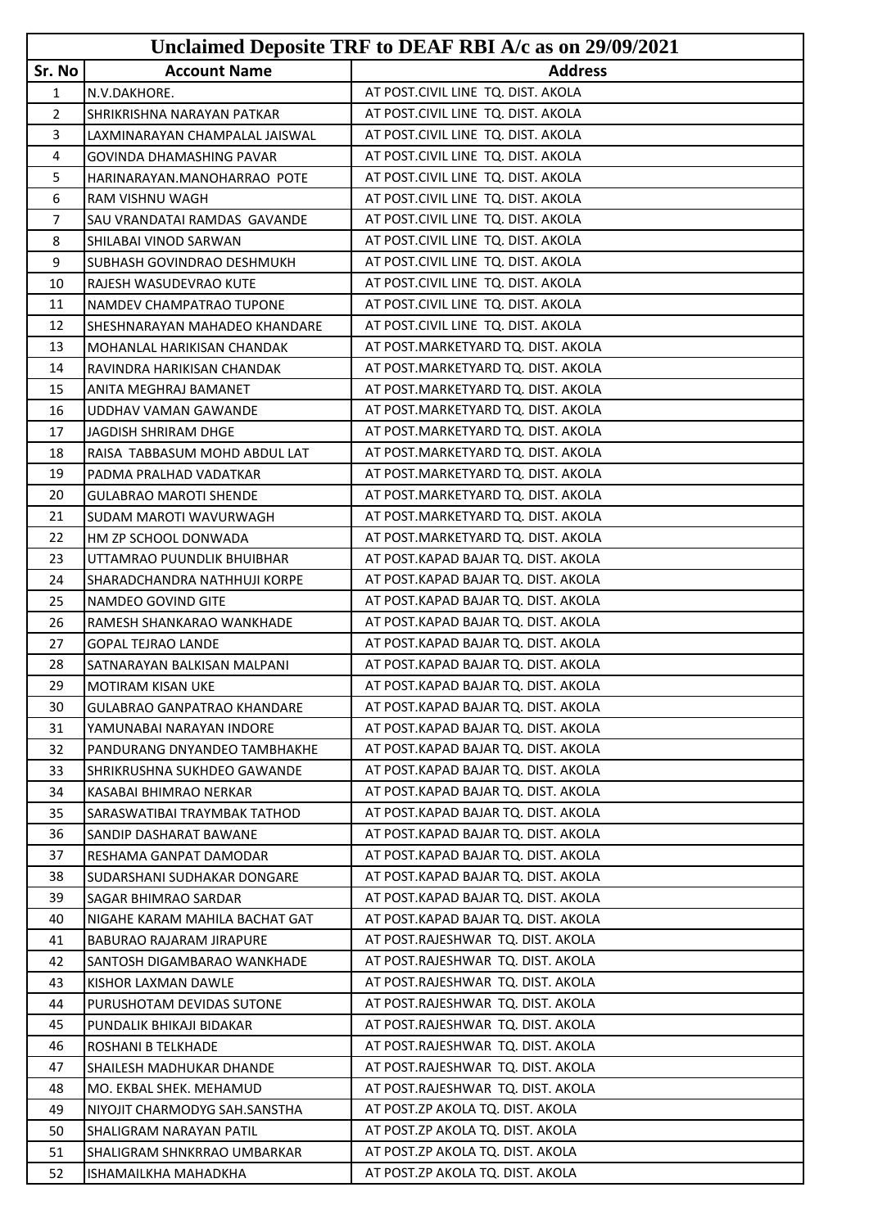|                |                                     | Unclaimed Deposite TRF to DEAF RBI A/c as on 29/09/2021 |
|----------------|-------------------------------------|---------------------------------------------------------|
| Sr. No         | <b>Account Name</b>                 | <b>Address</b>                                          |
| $\mathbf{1}$   | N.V.DAKHORE.                        | AT POST.CIVIL LINE TQ. DIST. AKOLA                      |
| $\overline{2}$ | ISHRIKRISHNA NARAYAN PATKAR         | AT POST.CIVIL LINE TQ. DIST. AKOLA                      |
| 3              | LAXMINARAYAN CHAMPALAL JAISWAL      | AT POST.CIVIL LINE TQ. DIST. AKOLA                      |
| 4              | GOVINDA DHAMASHING PAVAR            | AT POST.CIVIL LINE TQ. DIST. AKOLA                      |
| 5              | HARINARAYAN.MANOHARRAO POTE         | AT POST.CIVIL LINE TQ. DIST. AKOLA                      |
| 6              | RAM VISHNU WAGH                     | AT POST.CIVIL LINE TQ. DIST. AKOLA                      |
| 7              | SAU VRANDATAI RAMDAS GAVANDE        | AT POST.CIVIL LINE TQ. DIST. AKOLA                      |
| 8              | SHILABAI VINOD SARWAN               | AT POST.CIVIL LINE TQ. DIST. AKOLA                      |
| 9              | <b>I</b> SUBHASH GOVINDRAO DESHMUKH | AT POST.CIVIL LINE TQ. DIST. AKOLA                      |
| 10             | RAJESH WASUDEVRAO KUTE              | AT POST.CIVIL LINE TQ. DIST. AKOLA                      |
| 11             | NAMDEV CHAMPATRAO TUPONE            | AT POST.CIVIL LINE TQ. DIST. AKOLA                      |
| 12             | SHESHNARAYAN MAHADEO KHANDARE       | AT POST.CIVIL LINE TQ. DIST. AKOLA                      |
| 13             | MOHANLAL HARIKISAN CHANDAK          | AT POST.MARKETYARD TQ. DIST. AKOLA                      |
| 14             | RAVINDRA HARIKISAN CHANDAK          | AT POST.MARKETYARD TQ. DIST. AKOLA                      |
| 15             | ANITA MEGHRAJ BAMANET               | AT POST.MARKETYARD TQ. DIST. AKOLA                      |
| 16             | UDDHAV VAMAN GAWANDE                | AT POST.MARKETYARD TQ. DIST. AKOLA                      |
| 17             | JAGDISH SHRIRAM DHGE                | AT POST.MARKETYARD TQ. DIST. AKOLA                      |
| 18             | RAISA TABBASUM MOHD ABDUL LAT       | AT POST.MARKETYARD TQ. DIST. AKOLA                      |
| 19             | PADMA PRALHAD VADATKAR              | AT POST.MARKETYARD TQ. DIST. AKOLA                      |
| 20             | <b>GULABRAO MAROTI SHENDE</b>       | AT POST.MARKETYARD TQ. DIST. AKOLA                      |
| 21             | <b>SUDAM MAROTI WAVURWAGH</b>       | AT POST.MARKETYARD TQ. DIST. AKOLA                      |
| 22             | HM ZP SCHOOL DONWADA                | AT POST.MARKETYARD TQ. DIST. AKOLA                      |
| 23             | UTTAMRAO PUUNDLIK BHUIBHAR          | AT POST.KAPAD BAJAR TQ. DIST. AKOLA                     |
| 24             | SHARADCHANDRA NATHHUJI KORPE        | AT POST.KAPAD BAJAR TQ. DIST. AKOLA                     |
| 25             | NAMDEO GOVIND GITE                  | AT POST.KAPAD BAJAR TQ. DIST. AKOLA                     |
| 26             | RAMESH SHANKARAO WANKHADE           | AT POST.KAPAD BAJAR TQ. DIST. AKOLA                     |
| 27             | <b>GOPAL TEJRAO LANDE</b>           | AT POST.KAPAD BAJAR TQ. DIST. AKOLA                     |
| 28             | SATNARAYAN BALKISAN MALPANI         | AT POST.KAPAD BAJAR TQ. DIST. AKOLA                     |
| 29             | <b>MOTIRAM KISAN UKE</b>            | AT POST.KAPAD BAJAR TQ. DIST. AKOLA                     |
| 30             | <b>GULABRAO GANPATRAO KHANDARE</b>  | AT POST.KAPAD BAJAR TO. DIST. AKOLA                     |
| 31             | YAMUNABAI NARAYAN INDORE            | AT POST.KAPAD BAJAR TQ. DIST. AKOLA                     |
| 32             | PANDURANG DNYANDEO TAMBHAKHE        | AT POST.KAPAD BAJAR TQ. DIST. AKOLA                     |
| 33             | ISHRIKRUSHNA SUKHDEO GAWANDE        | AT POST.KAPAD BAJAR TQ. DIST. AKOLA                     |
| 34             | KASABAI BHIMRAO NERKAR              | AT POST.KAPAD BAJAR TQ. DIST. AKOLA                     |
| 35             | SARASWATIBAI TRAYMBAK TATHOD        | AT POST.KAPAD BAJAR TO. DIST. AKOLA                     |
| 36             | SANDIP DASHARAT BAWANE              | AT POST.KAPAD BAJAR TQ. DIST. AKOLA                     |
| 37             | RESHAMA GANPAT DAMODAR              | AT POST.KAPAD BAJAR TQ. DIST. AKOLA                     |
| 38             | SUDARSHANI SUDHAKAR DONGARE         | AT POST.KAPAD BAJAR TQ. DIST. AKOLA                     |
| 39             | <b>SAGAR BHIMRAO SARDAR</b>         | AT POST.KAPAD BAJAR TQ. DIST. AKOLA                     |
| 40             | NIGAHE KARAM MAHILA BACHAT GAT      | AT POST.KAPAD BAJAR TQ. DIST. AKOLA                     |
| 41             | BABURAO RAJARAM JIRAPURE            | AT POST.RAJESHWAR TQ. DIST. AKOLA                       |
| 42             | SANTOSH DIGAMBARAO WANKHADE         | AT POST.RAJESHWAR TQ. DIST. AKOLA                       |
| 43             | KISHOR LAXMAN DAWLE                 | AT POST.RAJESHWAR TQ. DIST. AKOLA                       |
| 44             | PURUSHOTAM DEVIDAS SUTONE           | AT POST.RAJESHWAR TQ. DIST. AKOLA                       |
| 45             | PUNDALIK BHIKAJI BIDAKAR            | AT POST.RAJESHWAR TQ. DIST. AKOLA                       |
| 46             | ROSHANI B TELKHADE                  | AT POST.RAJESHWAR TQ. DIST. AKOLA                       |
| 47             | <b>SHAILESH MADHUKAR DHANDE</b>     | AT POST.RAJESHWAR TQ. DIST. AKOLA                       |
| 48             | MO. EKBAL SHEK. MEHAMUD             | AT POST.RAJESHWAR TQ. DIST. AKOLA                       |
| 49             | NIYOJIT CHARMODYG SAH.SANSTHA       | AT POST.ZP AKOLA TQ. DIST. AKOLA                        |
| 50             | SHALIGRAM NARAYAN PATIL             | AT POST.ZP AKOLA TQ. DIST. AKOLA                        |
| 51             | SHALIGRAM SHNKRRAO UMBARKAR         | AT POST.ZP AKOLA TQ. DIST. AKOLA                        |
| 52             | <b>ISHAMAILKHA MAHADKHA</b>         | AT POST.ZP AKOLA TQ. DIST. AKOLA                        |
|                |                                     |                                                         |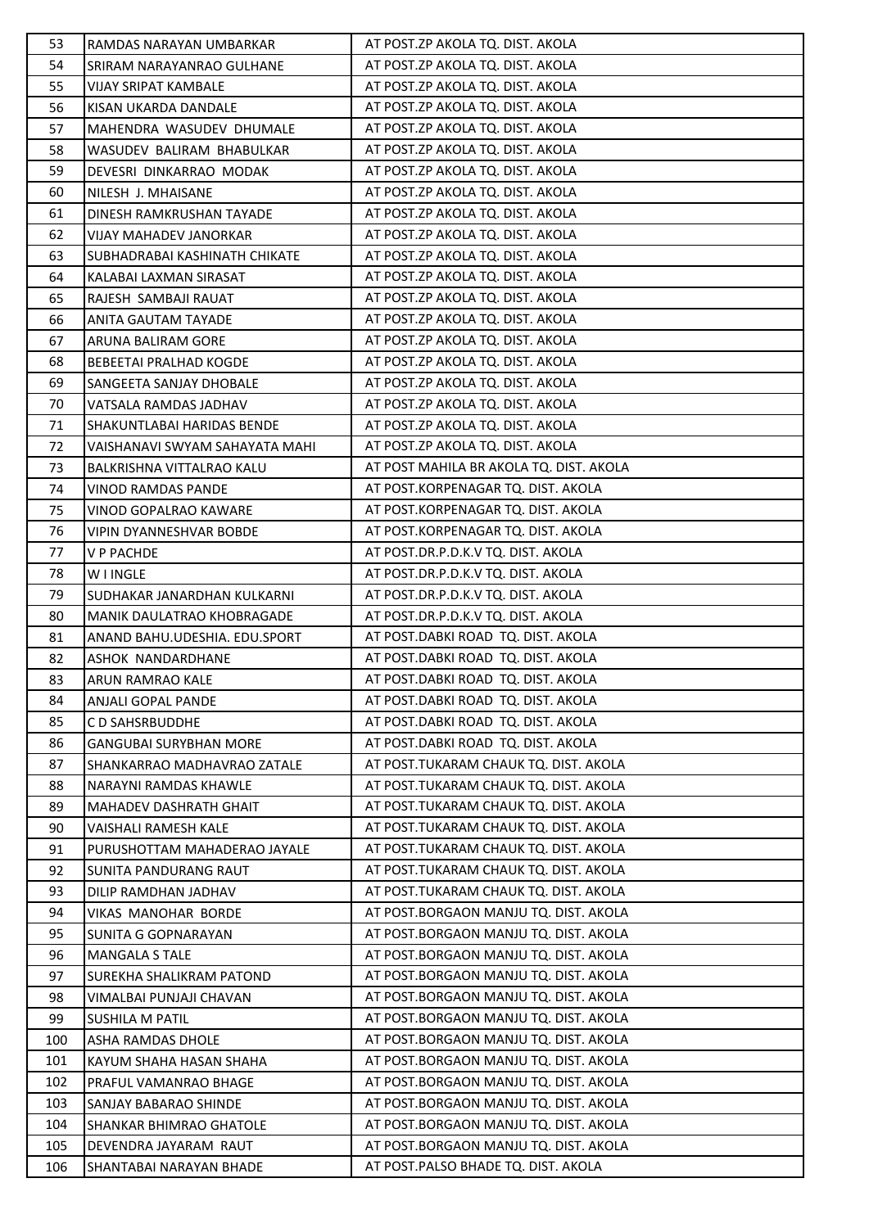| 53         | RAMDAS NARAYAN UMBARKAR                        | AT POST.ZP AKOLA TQ. DIST. AKOLA                                               |
|------------|------------------------------------------------|--------------------------------------------------------------------------------|
| 54         | <b>SRIRAM NARAYANRAO GULHANE</b>               | AT POST.ZP AKOLA TQ. DIST. AKOLA                                               |
| 55         | VIJAY SRIPAT KAMBALE                           | AT POST.ZP AKOLA TQ. DIST. AKOLA                                               |
| 56         | KISAN UKARDA DANDALE                           | AT POST.ZP AKOLA TQ. DIST. AKOLA                                               |
| 57         | MAHENDRA WASUDEV DHUMALE                       | AT POST.ZP AKOLA TQ. DIST. AKOLA                                               |
| 58         | WASUDEV BALIRAM BHABULKAR                      | AT POST.ZP AKOLA TQ. DIST. AKOLA                                               |
| 59         | DEVESRI DINKARRAO MODAK                        | AT POST.ZP AKOLA TQ. DIST. AKOLA                                               |
| 60         | NILESH J. MHAISANE                             | AT POST.ZP AKOLA TQ. DIST. AKOLA                                               |
| 61         | <b>DINESH RAMKRUSHAN TAYADE</b>                | AT POST.ZP AKOLA TQ. DIST. AKOLA                                               |
| 62         | VIJAY MAHADEV JANORKAR                         | AT POST.ZP AKOLA TQ. DIST. AKOLA                                               |
| 63         | SUBHADRABAI KASHINATH CHIKATE                  | AT POST.ZP AKOLA TQ. DIST. AKOLA                                               |
| 64         | KALABAI LAXMAN SIRASAT                         | AT POST.ZP AKOLA TQ. DIST. AKOLA                                               |
| 65         | RAJESH SAMBAJI RAUAT                           | AT POST.ZP AKOLA TQ. DIST. AKOLA                                               |
| 66         | ANITA GAUTAM TAYADE                            | AT POST.ZP AKOLA TQ. DIST. AKOLA                                               |
| 67         | ARUNA BALIRAM GORE                             | AT POST.ZP AKOLA TQ. DIST. AKOLA                                               |
| 68         | <b>BEBEETAI PRALHAD KOGDE</b>                  | AT POST.ZP AKOLA TQ. DIST. AKOLA                                               |
| 69         | SANGEETA SANJAY DHOBALE                        | AT POST.ZP AKOLA TQ. DIST. AKOLA                                               |
| 70         | VATSALA RAMDAS JADHAV                          | AT POST.ZP AKOLA TQ. DIST. AKOLA                                               |
| 71         | SHAKUNTLABAI HARIDAS BENDE                     | AT POST.ZP AKOLA TQ. DIST. AKOLA                                               |
| 72         | VAISHANAVI SWYAM SAHAYATA MAHI                 | AT POST.ZP AKOLA TQ. DIST. AKOLA                                               |
| 73         | BALKRISHNA VITTALRAO KALU                      | AT POST MAHILA BR AKOLA TQ. DIST. AKOLA                                        |
| 74         | VINOD RAMDAS PANDE                             | AT POST.KORPENAGAR TQ. DIST. AKOLA                                             |
| 75         | VINOD GOPALRAO KAWARE                          | AT POST.KORPENAGAR TQ. DIST. AKOLA                                             |
| 76         | VIPIN DYANNESHVAR BOBDE                        | AT POST.KORPENAGAR TQ. DIST. AKOLA                                             |
| 77         | <b>V P PACHDE</b>                              | AT POST.DR.P.D.K.V TQ. DIST. AKOLA                                             |
| 78         | W I INGLE                                      | AT POST.DR.P.D.K.V TQ. DIST. AKOLA                                             |
| 79         | SUDHAKAR JANARDHAN KULKARNI                    | AT POST.DR.P.D.K.V TQ. DIST. AKOLA                                             |
| 80         | MANIK DAULATRAO KHOBRAGADE                     | AT POST.DR.P.D.K.V TQ. DIST. AKOLA                                             |
| 81         | ANAND BAHU.UDESHIA. EDU.SPORT                  | AT POST.DABKI ROAD TQ. DIST. AKOLA                                             |
| 82         | ASHOK NANDARDHANE                              | AT POST.DABKI ROAD TQ. DIST. AKOLA                                             |
| 83         | <b>ARUN RAMRAO KALE</b>                        | AT POST.DABKI ROAD TQ. DIST. AKOLA                                             |
| 84         | <b>ANJALI GOPAL PANDE</b>                      | AT POST.DABKI ROAD TQ. DIST. AKOLA                                             |
| 85         | C D SAHSRBUDDHE                                | AT POST.DABKI ROAD TQ. DIST. AKOLA                                             |
| 86         | <b>GANGUBAI SURYBHAN MORE</b>                  | AT POST.DABKI ROAD TQ. DIST. AKOLA                                             |
| 87         | SHANKARRAO MADHAVRAO ZATALE                    | AT POST.TUKARAM CHAUK TQ. DIST. AKOLA                                          |
| 88         | NARAYNI RAMDAS KHAWLE                          | AT POST.TUKARAM CHAUK TQ. DIST. AKOLA                                          |
| 89         | <b>MAHADEV DASHRATH GHAIT</b>                  | AT POST.TUKARAM CHAUK TQ. DIST. AKOLA                                          |
| 90         | VAISHALI RAMESH KALE                           | AT POST.TUKARAM CHAUK TQ. DIST. AKOLA                                          |
| 91         | PURUSHOTTAM MAHADERAO JAYALE                   | AT POST.TUKARAM CHAUK TQ. DIST. AKOLA                                          |
| 92         | <b>SUNITA PANDURANG RAUT</b>                   | AT POST.TUKARAM CHAUK TQ. DIST. AKOLA                                          |
| 93         | DILIP RAMDHAN JADHAV                           | AT POST.TUKARAM CHAUK TQ. DIST. AKOLA                                          |
| 94         | VIKAS MANOHAR BORDE                            | AT POST.BORGAON MANJU TQ. DIST. AKOLA                                          |
| 95         | SUNITA G GOPNARAYAN                            | AT POST.BORGAON MANJU TQ. DIST. AKOLA                                          |
| 96         | <b>MANGALA S TALE</b>                          | AT POST.BORGAON MANJU TQ. DIST. AKOLA                                          |
| 97         | SUREKHA SHALIKRAM PATOND                       | AT POST.BORGAON MANJU TQ. DIST. AKOLA                                          |
| 98         | VIMALBAI PUNJAJI CHAVAN                        | AT POST.BORGAON MANJU TQ. DIST. AKOLA                                          |
| 99         | <b>SUSHILA M PATIL</b>                         | AT POST.BORGAON MANJU TQ. DIST. AKOLA                                          |
| 100        | ASHA RAMDAS DHOLE                              | AT POST.BORGAON MANJU TQ. DIST. AKOLA                                          |
| 101<br>102 | KAYUM SHAHA HASAN SHAHA                        | AT POST.BORGAON MANJU TQ. DIST. AKOLA<br>AT POST.BORGAON MANJU TQ. DIST. AKOLA |
| 103        | PRAFUL VAMANRAO BHAGE<br>SANJAY BABARAO SHINDE | AT POST.BORGAON MANJU TQ. DIST. AKOLA                                          |
| 104        | SHANKAR BHIMRAO GHATOLE                        | AT POST.BORGAON MANJU TQ. DIST. AKOLA                                          |
| 105        | DEVENDRA JAYARAM RAUT                          | AT POST.BORGAON MANJU TQ. DIST. AKOLA                                          |
| 106        | SHANTABAI NARAYAN BHADE                        | AT POST.PALSO BHADE TQ. DIST. AKOLA                                            |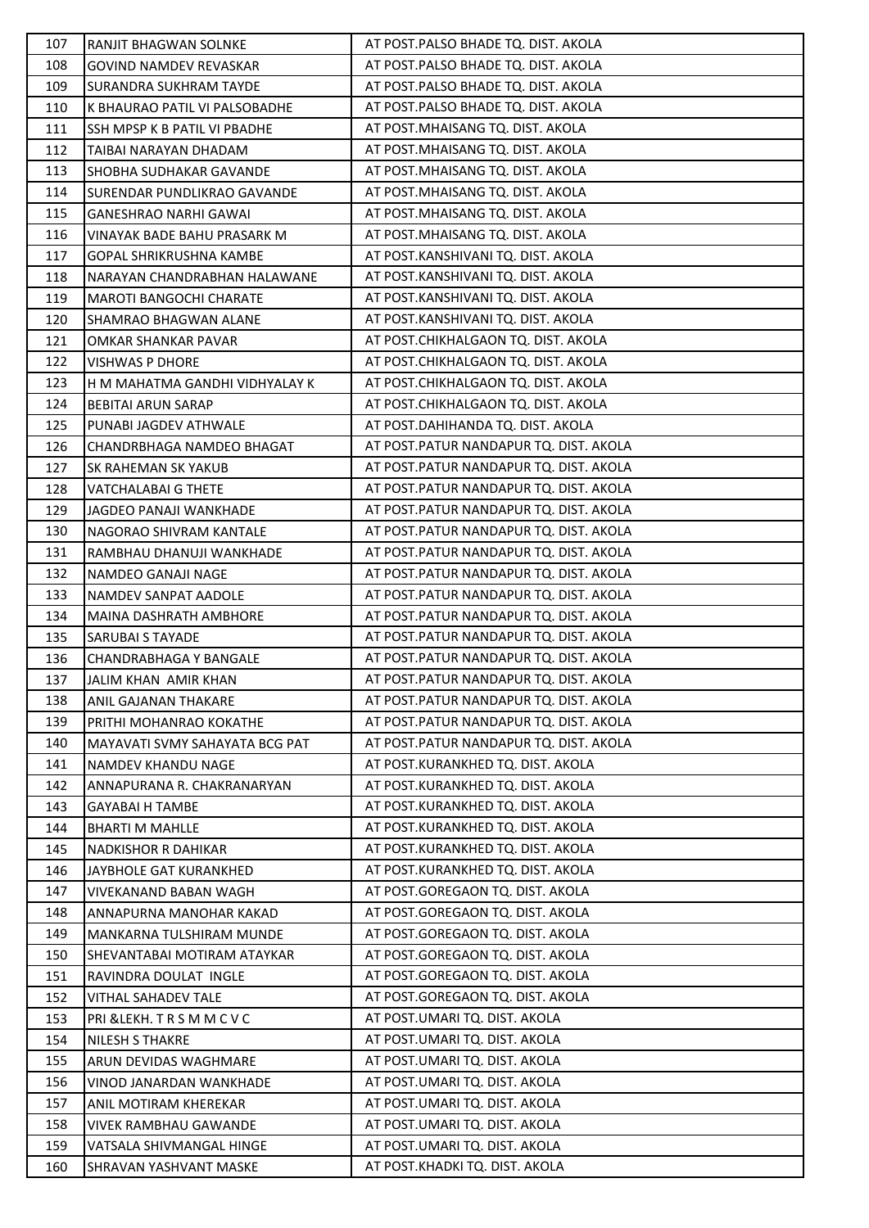| 107 | RANJIT BHAGWAN SOLNKE          | AT POST. PALSO BHADE TQ. DIST. AKOLA    |
|-----|--------------------------------|-----------------------------------------|
| 108 | <b>GOVIND NAMDEV REVASKAR</b>  | AT POST.PALSO BHADE TQ. DIST. AKOLA     |
| 109 | SURANDRA SUKHRAM TAYDE         | AT POST.PALSO BHADE TQ. DIST. AKOLA     |
| 110 | K BHAURAO PATIL VI PALSOBADHE  | AT POST.PALSO BHADE TQ. DIST. AKOLA     |
| 111 | SSH MPSP K B PATIL VI PBADHE   | AT POST.MHAISANG TQ. DIST. AKOLA        |
| 112 | TAIBAI NARAYAN DHADAM          | AT POST.MHAISANG TQ. DIST. AKOLA        |
| 113 | SHOBHA SUDHAKAR GAVANDE        | AT POST.MHAISANG TQ. DIST. AKOLA        |
| 114 | SURENDAR PUNDLIKRAO GAVANDE    | AT POST.MHAISANG TQ. DIST. AKOLA        |
| 115 | <b>GANESHRAO NARHI GAWAI</b>   | AT POST.MHAISANG TQ. DIST. AKOLA        |
| 116 | VINAYAK BADE BAHU PRASARK M    | AT POST.MHAISANG TQ. DIST. AKOLA        |
| 117 | GOPAL SHRIKRUSHNA KAMBE        | AT POST.KANSHIVANI TQ. DIST. AKOLA      |
| 118 | NARAYAN CHANDRABHAN HALAWANE   | AT POST.KANSHIVANI TQ. DIST. AKOLA      |
| 119 | <b>MAROTI BANGOCHI CHARATE</b> | AT POST.KANSHIVANI TQ. DIST. AKOLA      |
| 120 | SHAMRAO BHAGWAN ALANE          | AT POST.KANSHIVANI TQ. DIST. AKOLA      |
| 121 | OMKAR SHANKAR PAVAR            | AT POST.CHIKHALGAON TQ. DIST. AKOLA     |
| 122 | <b>VISHWAS P DHORE</b>         | AT POST.CHIKHALGAON TQ. DIST. AKOLA     |
| 123 | H M MAHATMA GANDHI VIDHYALAY K | AT POST.CHIKHALGAON TQ. DIST. AKOLA     |
| 124 | <b>BEBITAI ARUN SARAP</b>      | AT POST.CHIKHALGAON TQ. DIST. AKOLA     |
| 125 | PUNABI JAGDEV ATHWALE          | AT POST.DAHIHANDA TQ. DIST. AKOLA       |
| 126 | CHANDRBHAGA NAMDEO BHAGAT      | AT POST.PATUR NANDAPUR TQ. DIST. AKOLA  |
| 127 | SK RAHEMAN SK YAKUB            | AT POST.PATUR NANDAPUR TQ. DIST. AKOLA  |
| 128 | VATCHALABAI G THETE            | AT POST.PATUR NANDAPUR TQ. DIST. AKOLA  |
| 129 | JAGDEO PANAJI WANKHADE         | AT POST.PATUR NANDAPUR TQ. DIST. AKOLA  |
| 130 | NAGORAO SHIVRAM KANTALE        | AT POST.PATUR NANDAPUR TQ. DIST. AKOLA  |
| 131 | RAMBHAU DHANUJI WANKHADE       | AT POST.PATUR NANDAPUR TQ. DIST. AKOLA  |
| 132 | NAMDEO GANAJI NAGE             | AT POST.PATUR NANDAPUR TQ. DIST. AKOLA  |
| 133 | NAMDEV SANPAT AADOLE           | AT POST.PATUR NANDAPUR TQ. DIST. AKOLA  |
| 134 | MAINA DASHRATH AMBHORE         | AT POST.PATUR NANDAPUR TQ. DIST. AKOLA  |
| 135 | <b>SARUBAI S TAYADE</b>        | AT POST.PATUR NANDAPUR TQ. DIST. AKOLA  |
| 136 | CHANDRABHAGA Y BANGALE         | AT POST. PATUR NANDAPUR TQ. DIST. AKOLA |
| 137 | JALIM KHAN AMIR KHAN           | AT POST.PATUR NANDAPUR TQ. DIST. AKOLA  |
| 138 | <b>ANIL GAJANAN THAKARE</b>    | AT POST.PATUR NANDAPUR TQ. DIST. AKOLA  |
| 139 | PRITHI MOHANRAO KOKATHE        | AT POST.PATUR NANDAPUR TQ. DIST. AKOLA  |
| 140 | MAYAVATI SVMY SAHAYATA BCG PAT | AT POST.PATUR NANDAPUR TQ. DIST. AKOLA  |
| 141 | NAMDEV KHANDU NAGE             | AT POST.KURANKHED TQ. DIST. AKOLA       |
| 142 | ANNAPURANA R. CHAKRANARYAN     | AT POST.KURANKHED TQ. DIST. AKOLA       |
| 143 | <b>GAYABAI H TAMBE</b>         | AT POST.KURANKHED TQ. DIST. AKOLA       |
| 144 | <b>BHARTI M MAHLLE</b>         | AT POST.KURANKHED TQ. DIST. AKOLA       |
| 145 | <b>NADKISHOR R DAHIKAR</b>     | AT POST.KURANKHED TQ. DIST. AKOLA       |
| 146 | JAYBHOLE GAT KURANKHED         | AT POST.KURANKHED TQ. DIST. AKOLA       |
| 147 | VIVEKANAND BABAN WAGH          | AT POST.GOREGAON TQ. DIST. AKOLA        |
| 148 | ANNAPURNA MANOHAR KAKAD        | AT POST.GOREGAON TQ. DIST. AKOLA        |
| 149 | MANKARNA TULSHIRAM MUNDE       | AT POST.GOREGAON TQ. DIST. AKOLA        |
| 150 | SHEVANTABAI MOTIRAM ATAYKAR    | AT POST.GOREGAON TQ. DIST. AKOLA        |
| 151 | RAVINDRA DOULAT INGLE          | AT POST.GOREGAON TQ. DIST. AKOLA        |
| 152 | VITHAL SAHADEV TALE            | AT POST.GOREGAON TQ. DIST. AKOLA        |
| 153 | PRI & LEKH. TRSMMCVC           | AT POST.UMARI TQ. DIST. AKOLA           |
| 154 | <b>NILESH S THAKRE</b>         | AT POST.UMARI TQ. DIST. AKOLA           |
| 155 | ARUN DEVIDAS WAGHMARE          | AT POST.UMARI TQ. DIST. AKOLA           |
| 156 | VINOD JANARDAN WANKHADE        | AT POST.UMARI TQ. DIST. AKOLA           |
| 157 | ANIL MOTIRAM KHEREKAR          | AT POST.UMARI TQ. DIST. AKOLA           |
| 158 | <b>VIVEK RAMBHAU GAWANDE</b>   | AT POST.UMARI TQ. DIST. AKOLA           |
| 159 | VATSALA SHIVMANGAL HINGE       | AT POST.UMARI TQ. DIST. AKOLA           |
| 160 | SHRAVAN YASHVANT MASKE         | AT POST.KHADKI TQ. DIST. AKOLA          |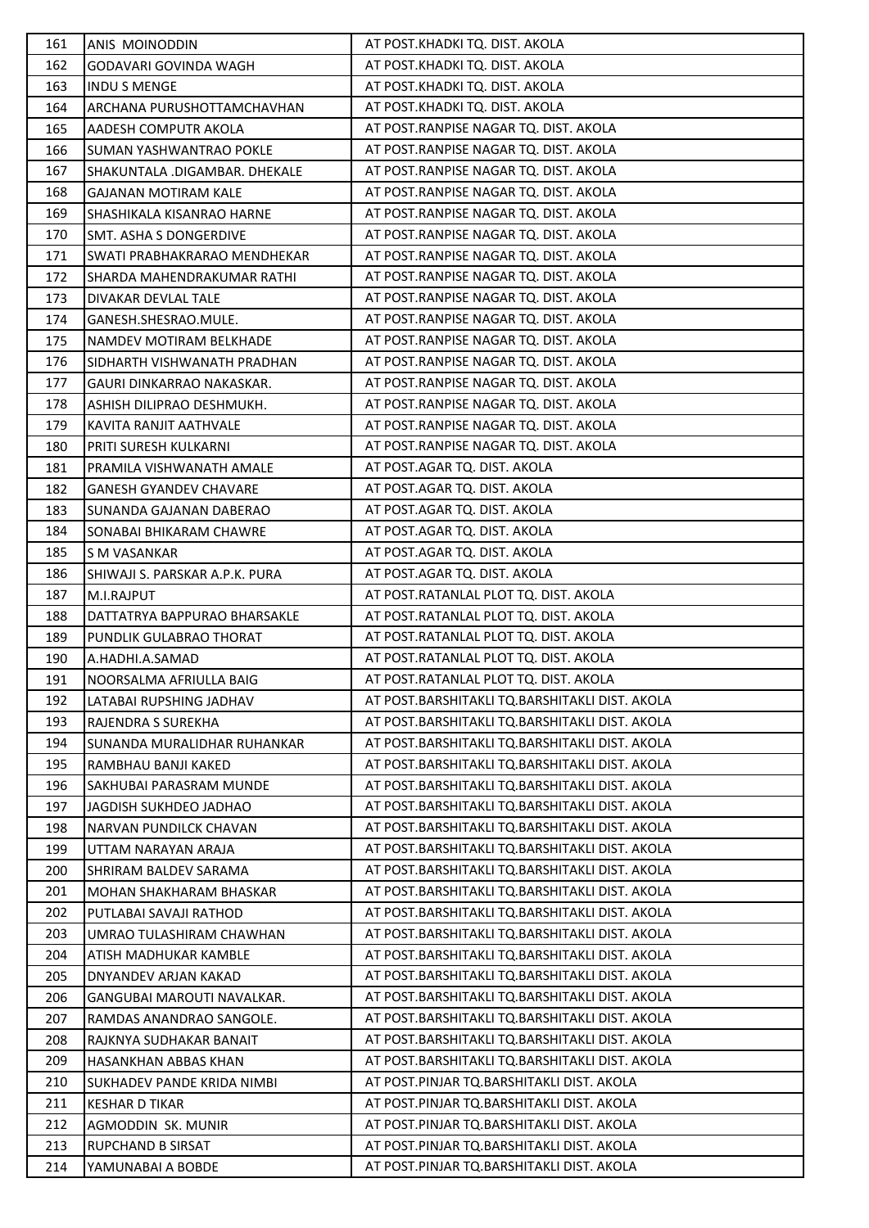| 161 | ANIS MOINODDIN                   | AT POST.KHADKI TQ. DIST. AKOLA                 |
|-----|----------------------------------|------------------------------------------------|
| 162 | GODAVARI GOVINDA WAGH            | AT POST.KHADKI TQ. DIST. AKOLA                 |
| 163 | INDU S MENGE                     | AT POST.KHADKI TQ. DIST. AKOLA                 |
| 164 | ARCHANA PURUSHOTTAMCHAVHAN       | AT POST.KHADKI TQ. DIST. AKOLA                 |
| 165 | AADESH COMPUTR AKOLA             | AT POST.RANPISE NAGAR TQ. DIST. AKOLA          |
| 166 | SUMAN YASHWANTRAO POKLE          | AT POST.RANPISE NAGAR TQ. DIST. AKOLA          |
| 167 | SHAKUNTALA .DIGAMBAR. DHEKALE    | AT POST.RANPISE NAGAR TQ. DIST. AKOLA          |
| 168 | GAJANAN MOTIRAM KALE             | AT POST.RANPISE NAGAR TQ. DIST. AKOLA          |
| 169 | SHASHIKALA KISANRAO HARNE        | AT POST.RANPISE NAGAR TQ. DIST. AKOLA          |
| 170 | <b>SMT. ASHA S DONGERDIVE</b>    | AT POST.RANPISE NAGAR TQ. DIST. AKOLA          |
| 171 | SWATI PRABHAKRARAO MENDHEKAR     | AT POST.RANPISE NAGAR TQ. DIST. AKOLA          |
| 172 | SHARDA MAHENDRAKUMAR RATHI       | AT POST.RANPISE NAGAR TQ. DIST. AKOLA          |
| 173 | DIVAKAR DEVLAL TALE              | AT POST.RANPISE NAGAR TQ. DIST. AKOLA          |
| 174 | GANESH.SHESRAO.MULE.             | AT POST.RANPISE NAGAR TQ. DIST. AKOLA          |
| 175 | NAMDEV MOTIRAM BELKHADE          | AT POST.RANPISE NAGAR TQ. DIST. AKOLA          |
| 176 | SIDHARTH VISHWANATH PRADHAN      | AT POST.RANPISE NAGAR TQ. DIST. AKOLA          |
| 177 | <b>GAURI DINKARRAO NAKASKAR.</b> | AT POST.RANPISE NAGAR TQ. DIST. AKOLA          |
| 178 | ASHISH DILIPRAO DESHMUKH.        | AT POST.RANPISE NAGAR TQ. DIST. AKOLA          |
| 179 | KAVITA RANJIT AATHVALE           | AT POST.RANPISE NAGAR TQ. DIST. AKOLA          |
| 180 | PRITI SURESH KULKARNI            | AT POST.RANPISE NAGAR TQ. DIST. AKOLA          |
| 181 | PRAMILA VISHWANATH AMALE         | AT POST.AGAR TQ. DIST. AKOLA                   |
| 182 | <b>GANESH GYANDEV CHAVARE</b>    | AT POST.AGAR TQ. DIST. AKOLA                   |
| 183 | SUNANDA GAJANAN DABERAO          | AT POST.AGAR TQ. DIST. AKOLA                   |
| 184 | SONABAI BHIKARAM CHAWRE          | AT POST.AGAR TQ. DIST. AKOLA                   |
| 185 | S M VASANKAR                     | AT POST.AGAR TQ. DIST. AKOLA                   |
| 186 | SHIWAJI S. PARSKAR A.P.K. PURA   | AT POST.AGAR TQ. DIST. AKOLA                   |
| 187 | M.I.RAJPUT                       | AT POST.RATANLAL PLOT TQ. DIST. AKOLA          |
| 188 | DATTATRYA BAPPURAO BHARSAKLE     | AT POST.RATANLAL PLOT TQ. DIST. AKOLA          |
| 189 | PUNDLIK GULABRAO THORAT          | AT POST.RATANLAL PLOT TQ. DIST. AKOLA          |
| 190 | A.HADHI.A.SAMAD                  | AT POST.RATANLAL PLOT TQ. DIST. AKOLA          |
| 191 | NOORSALMA AFRIULLA BAIG          | AT POST.RATANLAL PLOT TQ. DIST. AKOLA          |
| 192 | LATABAI RUPSHING JADHAV          | AT POST.BARSHITAKLI TQ.BARSHITAKLI DIST. AKOLA |
| 193 | RAJENDRA S SUREKHA               | AT POST.BARSHITAKLI TQ.BARSHITAKLI DIST. AKOLA |
| 194 | SUNANDA MURALIDHAR RUHANKAR      | AT POST.BARSHITAKLI TQ.BARSHITAKLI DIST. AKOLA |
| 195 | RAMBHAU BANJI KAKED              | AT POST.BARSHITAKLI TQ.BARSHITAKLI DIST. AKOLA |
| 196 | SAKHUBAI PARASRAM MUNDE          | AT POST.BARSHITAKLI TQ.BARSHITAKLI DIST. AKOLA |
| 197 | JAGDISH SUKHDEO JADHAO           | AT POST.BARSHITAKLI TQ.BARSHITAKLI DIST. AKOLA |
| 198 | <b>NARVAN PUNDILCK CHAVAN</b>    | AT POST.BARSHITAKLI TQ.BARSHITAKLI DIST. AKOLA |
| 199 | UTTAM NARAYAN ARAJA              | AT POST.BARSHITAKLI TQ.BARSHITAKLI DIST. AKOLA |
| 200 | <b>SHRIRAM BALDEV SARAMA</b>     | AT POST.BARSHITAKLI TQ.BARSHITAKLI DIST. AKOLA |
| 201 | MOHAN SHAKHARAM BHASKAR          | AT POST.BARSHITAKLI TQ.BARSHITAKLI DIST. AKOLA |
| 202 | PUTLABAI SAVAJI RATHOD           | AT POST.BARSHITAKLI TQ.BARSHITAKLI DIST. AKOLA |
| 203 | UMRAO TULASHIRAM CHAWHAN         | AT POST.BARSHITAKLI TQ.BARSHITAKLI DIST. AKOLA |
| 204 | ATISH MADHUKAR KAMBLE            | AT POST.BARSHITAKLI TQ.BARSHITAKLI DIST. AKOLA |
| 205 | DNYANDEV ARJAN KAKAD             | AT POST.BARSHITAKLI TQ.BARSHITAKLI DIST. AKOLA |
| 206 | GANGUBAI MAROUTI NAVALKAR.       | AT POST.BARSHITAKLI TQ.BARSHITAKLI DIST. AKOLA |
| 207 | RAMDAS ANANDRAO SANGOLE.         | AT POST.BARSHITAKLI TQ.BARSHITAKLI DIST. AKOLA |
| 208 | RAJKNYA SUDHAKAR BANAIT          | AT POST.BARSHITAKLI TQ.BARSHITAKLI DIST. AKOLA |
| 209 | HASANKHAN ABBAS KHAN             | AT POST.BARSHITAKLI TQ.BARSHITAKLI DIST. AKOLA |
| 210 | SUKHADEV PANDE KRIDA NIMBI       | AT POST.PINJAR TQ.BARSHITAKLI DIST. AKOLA      |
| 211 | <b>KESHAR D TIKAR</b>            | AT POST.PINJAR TQ.BARSHITAKLI DIST. AKOLA      |
| 212 | AGMODDIN SK. MUNIR               | AT POST.PINJAR TQ.BARSHITAKLI DIST. AKOLA      |
| 213 | <b>RUPCHAND B SIRSAT</b>         | AT POST.PINJAR TQ.BARSHITAKLI DIST. AKOLA      |
| 214 | YAMUNABAI A BOBDE                | AT POST.PINJAR TQ.BARSHITAKLI DIST. AKOLA      |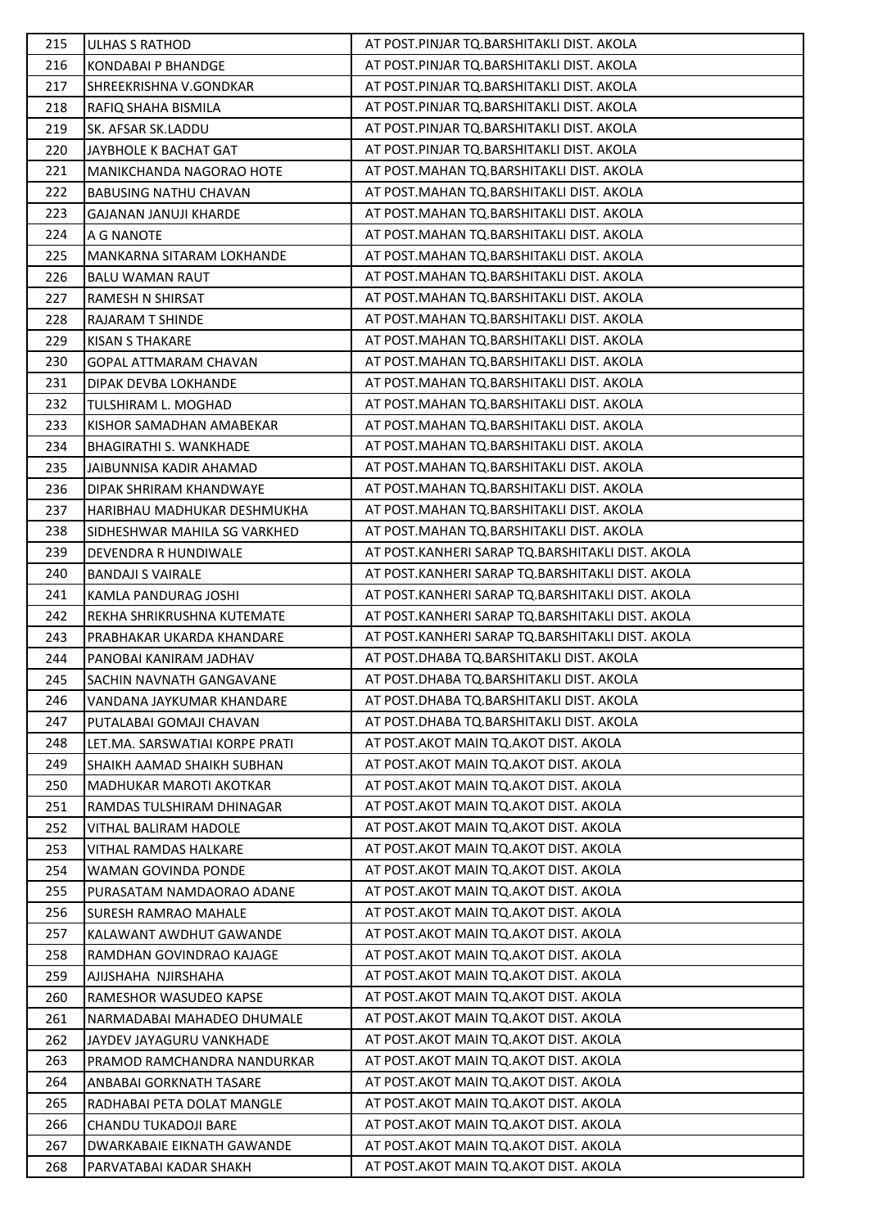| 215 | ULHAS S RATHOD                   | AT POST.PINJAR TQ.BARSHITAKLI DIST. AKOLA        |
|-----|----------------------------------|--------------------------------------------------|
| 216 | <b>KONDABAI P BHANDGE</b>        | AT POST.PINJAR TQ.BARSHITAKLI DIST. AKOLA        |
| 217 | SHREEKRISHNA V.GONDKAR           | AT POST.PINJAR TQ.BARSHITAKLI DIST. AKOLA        |
| 218 | RAFIQ SHAHA BISMILA              | AT POST.PINJAR TQ.BARSHITAKLI DIST. AKOLA        |
| 219 | SK. AFSAR SK.LADDU               | AT POST.PINJAR TQ.BARSHITAKLI DIST. AKOLA        |
| 220 | JAYBHOLE K BACHAT GAT            | AT POST.PINJAR TQ.BARSHITAKLI DIST. AKOLA        |
| 221 | MANIKCHANDA NAGORAO HOTE         | AT POST.MAHAN TQ.BARSHITAKLI DIST. AKOLA         |
| 222 | <b>BABUSING NATHU CHAVAN</b>     | AT POST.MAHAN TQ.BARSHITAKLI DIST. AKOLA         |
| 223 | <b>GAJANAN JANUJI KHARDE</b>     | AT POST.MAHAN TQ.BARSHITAKLI DIST. AKOLA         |
| 224 | A G NANOTE                       | AT POST.MAHAN TQ.BARSHITAKLI DIST. AKOLA         |
| 225 | <b>MANKARNA SITARAM LOKHANDE</b> | AT POST.MAHAN TQ.BARSHITAKLI DIST. AKOLA         |
| 226 | <b>BALU WAMAN RAUT</b>           | AT POST.MAHAN TQ.BARSHITAKLI DIST. AKOLA         |
| 227 | RAMESH N SHIRSAT                 | AT POST.MAHAN TQ.BARSHITAKLI DIST. AKOLA         |
| 228 | RAJARAM T SHINDE                 | AT POST.MAHAN TQ.BARSHITAKLI DIST. AKOLA         |
| 229 | <b>KISAN S THAKARE</b>           | AT POST.MAHAN TQ.BARSHITAKLI DIST. AKOLA         |
| 230 | GOPAL ATTMARAM CHAVAN            | AT POST.MAHAN TQ.BARSHITAKLI DIST. AKOLA         |
| 231 | DIPAK DEVBA LOKHANDE             | AT POST.MAHAN TQ.BARSHITAKLI DIST. AKOLA         |
| 232 | TULSHIRAM L. MOGHAD              | AT POST.MAHAN TQ.BARSHITAKLI DIST. AKOLA         |
| 233 | KISHOR SAMADHAN AMABEKAR         | AT POST.MAHAN TQ.BARSHITAKLI DIST. AKOLA         |
| 234 | <b>BHAGIRATHI S. WANKHADE</b>    | AT POST.MAHAN TQ.BARSHITAKLI DIST. AKOLA         |
| 235 | JAIBUNNISA KADIR AHAMAD          | AT POST.MAHAN TQ.BARSHITAKLI DIST. AKOLA         |
| 236 | DIPAK SHRIRAM KHANDWAYE          | AT POST.MAHAN TQ.BARSHITAKLI DIST. AKOLA         |
| 237 | HARIBHAU MADHUKAR DESHMUKHA      | AT POST.MAHAN TQ.BARSHITAKLI DIST. AKOLA         |
| 238 | SIDHESHWAR MAHILA SG VARKHED     | AT POST.MAHAN TQ.BARSHITAKLI DIST. AKOLA         |
| 239 | DEVENDRA R HUNDIWALE             | AT POST.KANHERI SARAP TQ.BARSHITAKLI DIST. AKOLA |
| 240 | <b>BANDAJI S VAIRALE</b>         | AT POST.KANHERI SARAP TQ.BARSHITAKLI DIST. AKOLA |
| 241 | KAMLA PANDURAG JOSHI             | AT POST.KANHERI SARAP TQ.BARSHITAKLI DIST. AKOLA |
| 242 | REKHA SHRIKRUSHNA KUTEMATE       | AT POST.KANHERI SARAP TQ.BARSHITAKLI DIST. AKOLA |
| 243 | PRABHAKAR UKARDA KHANDARE        | AT POST.KANHERI SARAP TQ.BARSHITAKLI DIST. AKOLA |
| 244 | PANOBAI KANIRAM JADHAV           | AT POST.DHABA TQ.BARSHITAKLI DIST. AKOLA         |
| 245 | <b>SACHIN NAVNATH GANGAVANE</b>  | AT POST.DHABA TQ.BARSHITAKLI DIST. AKOLA         |
| 246 | VANDANA JAYKUMAR KHANDARE        | AT POST.DHABA TQ.BARSHITAKLI DIST. AKOLA         |
| 247 | PUTALABAI GOMAJI CHAVAN          | AT POST.DHABA TO.BARSHITAKLI DIST. AKOLA         |
| 248 | LET.MA. SARSWATIAI KORPE PRATI   | AT POST.AKOT MAIN TQ.AKOT DIST. AKOLA            |
| 249 | SHAIKH AAMAD SHAIKH SUBHAN       | AT POST.AKOT MAIN TQ.AKOT DIST. AKOLA            |
| 250 | MADHUKAR MAROTI AKOTKAR          | AT POST.AKOT MAIN TQ.AKOT DIST. AKOLA            |
| 251 | RAMDAS TULSHIRAM DHINAGAR        | AT POST.AKOT MAIN TQ.AKOT DIST. AKOLA            |
| 252 | VITHAL BALIRAM HADOLE            | AT POST. AKOT MAIN TO. AKOT DIST. AKOLA          |
| 253 | <b>VITHAL RAMDAS HALKARE</b>     | AT POST. AKOT MAIN TO. AKOT DIST. AKOLA          |
| 254 | <b>WAMAN GOVINDA PONDE</b>       | AT POST.AKOT MAIN TQ.AKOT DIST. AKOLA            |
| 255 | PURASATAM NAMDAORAO ADANE        | AT POST.AKOT MAIN TQ.AKOT DIST. AKOLA            |
| 256 | <b>SURESH RAMRAO MAHALE</b>      | AT POST. AKOT MAIN TO. AKOT DIST. AKOLA          |
| 257 | KALAWANT AWDHUT GAWANDE          | AT POST. AKOT MAIN TO. AKOT DIST. AKOLA          |
| 258 | RAMDHAN GOVINDRAO KAJAGE         | AT POST.AKOT MAIN TQ.AKOT DIST. AKOLA            |
| 259 | AJIJSHAHA NJIRSHAHA              | AT POST. AKOT MAIN TO. AKOT DIST. AKOLA          |
| 260 | RAMESHOR WASUDEO KAPSE           | AT POST. AKOT MAIN TO. AKOT DIST. AKOLA          |
| 261 | NARMADABAI MAHADEO DHUMALE       | AT POST.AKOT MAIN TQ.AKOT DIST. AKOLA            |
| 262 | JAYDEV JAYAGURU VANKHADE         | AT POST.AKOT MAIN TQ.AKOT DIST. AKOLA            |
| 263 | PRAMOD RAMCHANDRA NANDURKAR      | AT POST. AKOT MAIN TO. AKOT DIST. AKOLA          |
| 264 | ANBABAI GORKNATH TASARE          | AT POST. AKOT MAIN TO. AKOT DIST. AKOLA          |
| 265 | RADHABAI PETA DOLAT MANGLE       | AT POST.AKOT MAIN TQ.AKOT DIST. AKOLA            |
| 266 | CHANDU TUKADOJI BARE             | AT POST.AKOT MAIN TQ.AKOT DIST. AKOLA            |
| 267 | DWARKABAIE EIKNATH GAWANDE       | AT POST.AKOT MAIN TQ.AKOT DIST. AKOLA            |
| 268 | PARVATABAI KADAR SHAKH           | AT POST.AKOT MAIN TQ.AKOT DIST. AKOLA            |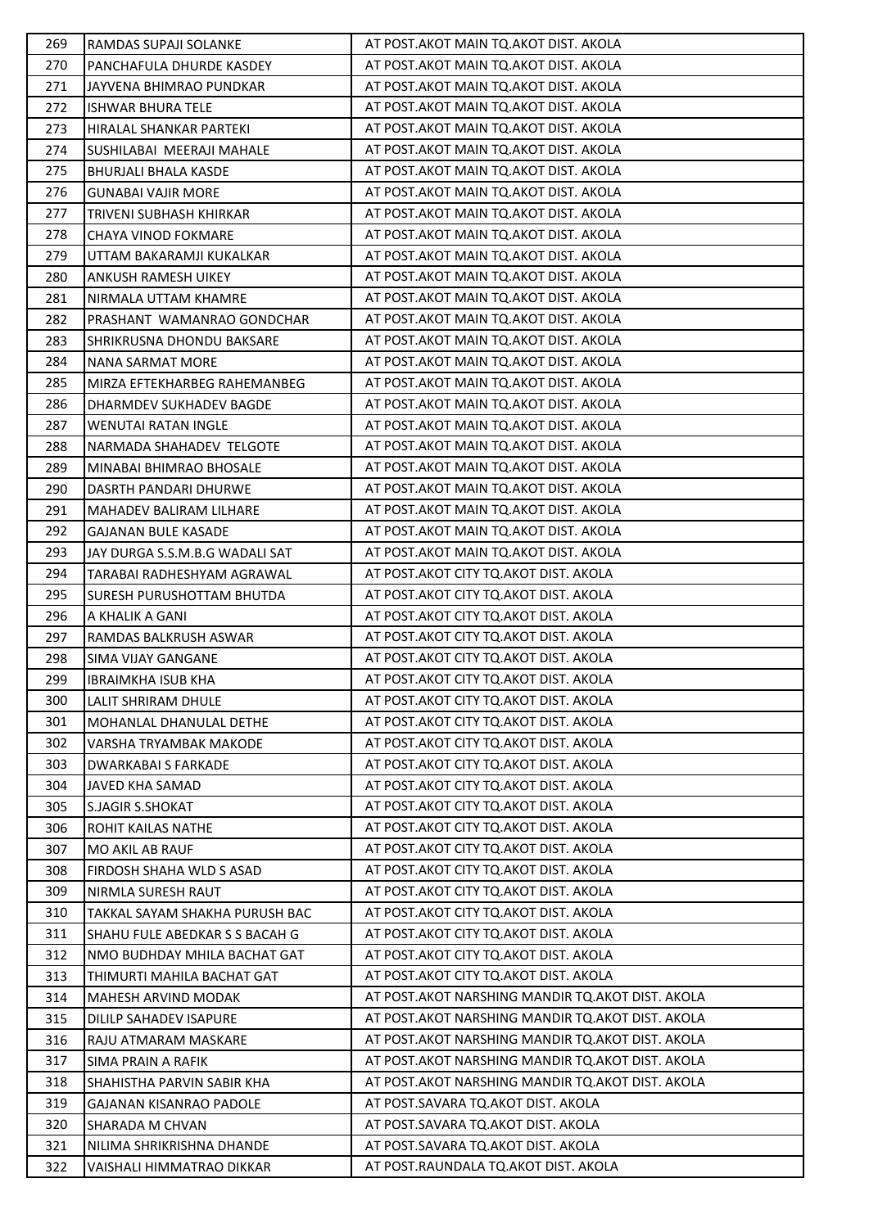| 269 | RAMDAS SUPAJI SOLANKE            | AT POST.AKOT MAIN TQ.AKOT DIST. AKOLA              |
|-----|----------------------------------|----------------------------------------------------|
| 270 | PANCHAFULA DHURDE KASDEY         | AT POST.AKOT MAIN TQ.AKOT DIST. AKOLA              |
| 271 | JAYVENA BHIMRAO PUNDKAR          | AT POST.AKOT MAIN TQ.AKOT DIST. AKOLA              |
| 272 | <b>ISHWAR BHURA TELE</b>         | AT POST.AKOT MAIN TQ.AKOT DIST. AKOLA              |
| 273 | HIRALAL SHANKAR PARTEKI          | AT POST. AKOT MAIN TO. AKOT DIST. AKOLA            |
| 274 | SUSHILABAI MEERAJI MAHALE        | AT POST.AKOT MAIN TQ.AKOT DIST. AKOLA              |
| 275 | BHURJALI BHALA KASDE             | AT POST.AKOT MAIN TQ.AKOT DIST. AKOLA              |
| 276 | <b>GUNABAI VAJIR MORE</b>        | AT POST.AKOT MAIN TQ.AKOT DIST. AKOLA              |
| 277 | <b>TRIVENI SUBHASH KHIRKAR</b>   | AT POST.AKOT MAIN TQ.AKOT DIST. AKOLA              |
| 278 | <b>CHAYA VINOD FOKMARE</b>       | AT POST.AKOT MAIN TQ.AKOT DIST. AKOLA              |
| 279 | UTTAM BAKARAMJI KUKALKAR         | AT POST.AKOT MAIN TQ.AKOT DIST. AKOLA              |
| 280 | ANKUSH RAMESH UIKEY              | AT POST.AKOT MAIN TQ.AKOT DIST. AKOLA              |
| 281 | NIRMALA UTTAM KHAMRE             | AT POST. AKOT MAIN TO. AKOT DIST. AKOLA            |
| 282 | PRASHANT WAMANRAO GONDCHAR       | AT POST.AKOT MAIN TQ.AKOT DIST. AKOLA              |
| 283 | SHRIKRUSNA DHONDU BAKSARE        | AT POST.AKOT MAIN TQ.AKOT DIST. AKOLA              |
| 284 | NANA SARMAT MORE                 | AT POST.AKOT MAIN TQ.AKOT DIST. AKOLA              |
| 285 | MIRZA EFTEKHARBEG RAHEMANBEG     | AT POST.AKOT MAIN TQ.AKOT DIST. AKOLA              |
| 286 | DHARMDEV SUKHADEV BAGDE          | AT POST.AKOT MAIN TQ.AKOT DIST. AKOLA              |
| 287 | WENUTAI RATAN INGLE              | AT POST. AKOT MAIN TO. AKOT DIST. AKOLA            |
| 288 | NARMADA SHAHADEV TELGOTE         | AT POST.AKOT MAIN TQ.AKOT DIST. AKOLA              |
| 289 | MINABAI BHIMRAO BHOSALE          | AT POST.AKOT MAIN TQ.AKOT DIST. AKOLA              |
| 290 | DASRTH PANDARI DHURWE            | AT POST.AKOT MAIN TQ.AKOT DIST. AKOLA              |
| 291 | MAHADEV BALIRAM LILHARE          | AT POST.AKOT MAIN TQ.AKOT DIST. AKOLA              |
| 292 | <b>GAJANAN BULE KASADE</b>       | AT POST.AKOT MAIN TQ.AKOT DIST. AKOLA              |
| 293 | JAY DURGA S.S.M.B.G WADALI SAT   | AT POST.AKOT MAIN TQ.AKOT DIST. AKOLA              |
| 294 | TARABAI RADHESHYAM AGRAWAL       | AT POST. AKOT CITY TQ. AKOT DIST. AKOLA            |
| 295 | <b>SURESH PURUSHOTTAM BHUTDA</b> | AT POST.AKOT CITY TQ.AKOT DIST. AKOLA              |
| 296 | A KHALIK A GANI                  | AT POST.AKOT CITY TQ.AKOT DIST. AKOLA              |
| 297 | RAMDAS BALKRUSH ASWAR            | AT POST. AKOT CITY TO. AKOT DIST. AKOLA            |
| 298 | SIMA VIJAY GANGANE               | AT POST.AKOT CITY TQ.AKOT DIST. AKOLA              |
| 299 | <b>IBRAIMKHA ISUB KHA</b>        | AT POST. AKOT CITY TO. AKOT DIST. AKOLA            |
| 300 | LALIT SHRIRAM DHULE              | AT POST. AKOT CITY TO. AKOT DIST. AKOLA            |
| 301 | MOHANLAL DHANULAL DETHE          | AT POST. AKOT CITY TO. AKOT DIST. AKOLA            |
| 302 | VARSHA TRYAMBAK MAKODE           | AT POST.AKOT CITY TQ.AKOT DIST. AKOLA              |
| 303 | <b>DWARKABAI S FARKADE</b>       | AT POST.AKOT CITY TQ.AKOT DIST. AKOLA              |
| 304 | JAVED KHA SAMAD                  | AT POST.AKOT CITY TQ.AKOT DIST. AKOLA              |
| 305 | <b>S.JAGIR S.SHOKAT</b>          | AT POST.AKOT CITY TQ.AKOT DIST. AKOLA              |
| 306 | <b>ROHIT KAILAS NATHE</b>        | AT POST. AKOT CITY TQ. AKOT DIST. AKOLA            |
| 307 | <b>MO AKIL AB RAUF</b>           | AT POST. AKOT CITY TO. AKOT DIST. AKOLA            |
| 308 | FIRDOSH SHAHA WLD S ASAD         | AT POST. AKOT CITY TQ. AKOT DIST. AKOLA            |
| 309 | NIRMLA SURESH RAUT               | AT POST.AKOT CITY TQ.AKOT DIST. AKOLA              |
| 310 | TAKKAL SAYAM SHAKHA PURUSH BAC   | AT POST. AKOT CITY TQ. AKOT DIST. AKOLA            |
| 311 | SHAHU FULE ABEDKAR S S BACAH G   | AT POST. AKOT CITY TO. AKOT DIST. AKOLA            |
| 312 | NMO BUDHDAY MHILA BACHAT GAT     | AT POST. AKOT CITY TQ. AKOT DIST. AKOLA            |
| 313 | THIMURTI MAHILA BACHAT GAT       | AT POST. AKOT CITY TO. AKOT DIST. AKOLA            |
| 314 | MAHESH ARVIND MODAK              | AT POST. AKOT NARSHING MANDIR TO. AKOT DIST. AKOLA |
| 315 | DILILP SAHADEV ISAPURE           | AT POST. AKOT NARSHING MANDIR TQ. AKOT DIST. AKOLA |
| 316 | RAJU ATMARAM MASKARE             | AT POST. AKOT NARSHING MANDIR TQ. AKOT DIST. AKOLA |
| 317 | SIMA PRAIN A RAFIK               | AT POST. AKOT NARSHING MANDIR TQ. AKOT DIST. AKOLA |
| 318 | SHAHISTHA PARVIN SABIR KHA       | AT POST. AKOT NARSHING MANDIR TO. AKOT DIST. AKOLA |
| 319 | <b>GAJANAN KISANRAO PADOLE</b>   | AT POST.SAVARA TQ.AKOT DIST. AKOLA                 |
| 320 | SHARADA M CHVAN                  | AT POST.SAVARA TQ.AKOT DIST. AKOLA                 |
| 321 | NILIMA SHRIKRISHNA DHANDE        | AT POST.SAVARA TQ.AKOT DIST. AKOLA                 |
| 322 | VAISHALI HIMMATRAO DIKKAR        | AT POST.RAUNDALA TQ.AKOT DIST. AKOLA               |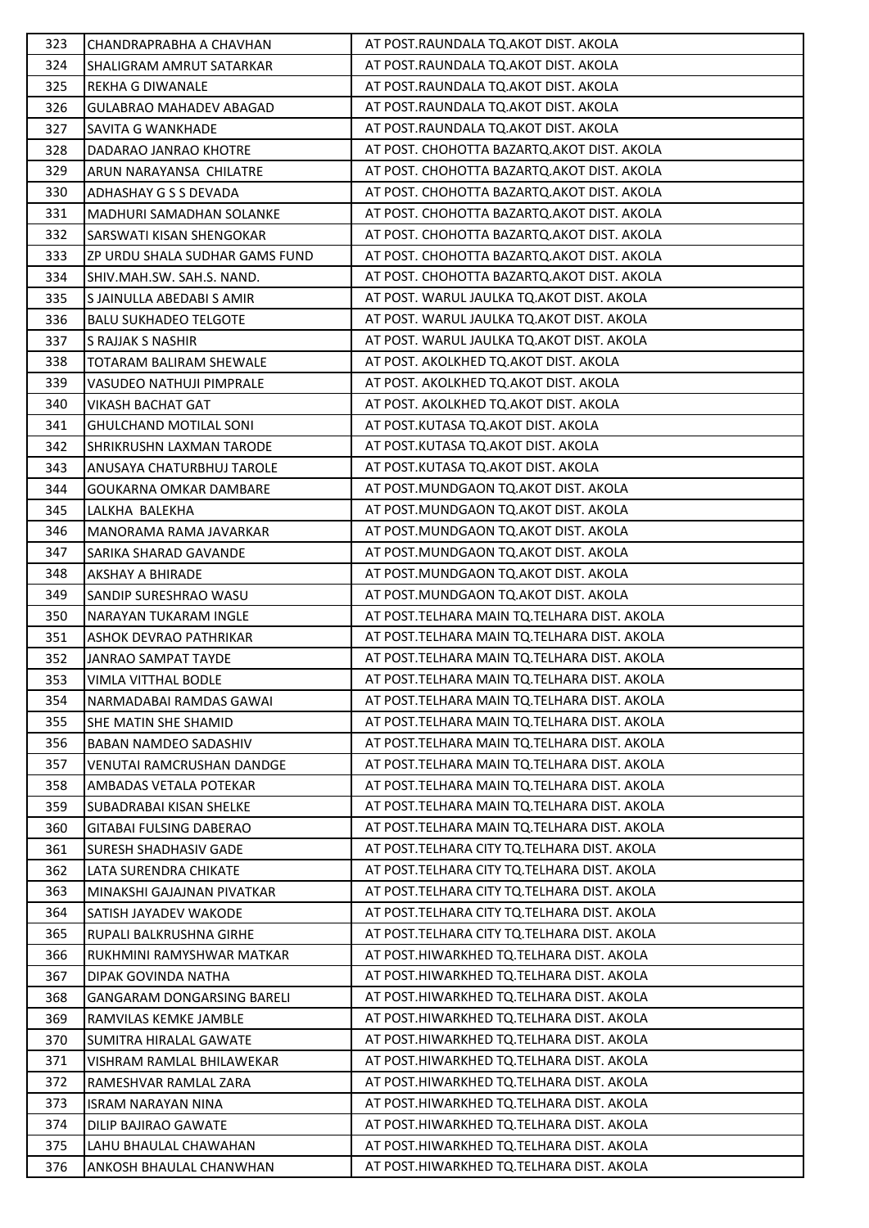| 323 | CHANDRAPRABHA A CHAVHAN          | AT POST.RAUNDALA TQ.AKOT DIST. AKOLA          |
|-----|----------------------------------|-----------------------------------------------|
| 324 | <b>SHALIGRAM AMRUT SATARKAR</b>  | AT POST.RAUNDALA TQ.AKOT DIST. AKOLA          |
| 325 | REKHA G DIWANALE                 | AT POST.RAUNDALA TQ.AKOT DIST. AKOLA          |
| 326 | <b>GULABRAO MAHADEV ABAGAD</b>   | AT POST.RAUNDALA TQ.AKOT DIST. AKOLA          |
| 327 | <b>SAVITA G WANKHADE</b>         | AT POST.RAUNDALA TQ.AKOT DIST. AKOLA          |
| 328 | DADARAO JANRAO KHOTRE            | AT POST. CHOHOTTA BAZARTQ.AKOT DIST. AKOLA    |
| 329 | ARUN NARAYANSA CHILATRE          | AT POST. CHOHOTTA BAZARTQ.AKOT DIST. AKOLA    |
| 330 | ADHASHAY G S S DEVADA            | AT POST. CHOHOTTA BAZARTQ.AKOT DIST. AKOLA    |
| 331 | <b>MADHURI SAMADHAN SOLANKE</b>  | AT POST. CHOHOTTA BAZARTQ.AKOT DIST. AKOLA    |
| 332 | SARSWATI KISAN SHENGOKAR         | AT POST. CHOHOTTA BAZARTQ.AKOT DIST. AKOLA    |
| 333 | ZP URDU SHALA SUDHAR GAMS FUND   | AT POST. CHOHOTTA BAZARTQ.AKOT DIST. AKOLA    |
| 334 | SHIV.MAH.SW. SAH.S. NAND.        | AT POST. CHOHOTTA BAZARTQ.AKOT DIST. AKOLA    |
| 335 | S JAINULLA ABEDABI S AMIR        | AT POST. WARUL JAULKA TO AKOT DIST. AKOLA     |
| 336 | <b>BALU SUKHADEO TELGOTE</b>     | AT POST. WARUL JAULKA TQ.AKOT DIST. AKOLA     |
| 337 | S RAJJAK S NASHIR                | AT POST. WARUL JAULKA TQ.AKOT DIST. AKOLA     |
| 338 | TOTARAM BALIRAM SHEWALE          | AT POST. AKOLKHED TQ.AKOT DIST. AKOLA         |
| 339 | VASUDEO NATHUJI PIMPRALE         | AT POST. AKOLKHED TQ.AKOT DIST. AKOLA         |
| 340 | <b>VIKASH BACHAT GAT</b>         | AT POST. AKOLKHED TQ.AKOT DIST. AKOLA         |
| 341 | <b>GHULCHAND MOTILAL SONI</b>    | AT POST.KUTASA TQ.AKOT DIST. AKOLA            |
| 342 | <b>SHRIKRUSHN LAXMAN TARODE</b>  | AT POST.KUTASA TQ.AKOT DIST. AKOLA            |
| 343 | ANUSAYA CHATURBHUJ TAROLE        | AT POST.KUTASA TQ.AKOT DIST. AKOLA            |
| 344 | GOUKARNA OMKAR DAMBARE           | AT POST.MUNDGAON TQ.AKOT DIST. AKOLA          |
| 345 | LALKHA BALEKHA                   | AT POST.MUNDGAON TQ.AKOT DIST. AKOLA          |
| 346 | MANORAMA RAMA JAVARKAR           | AT POST.MUNDGAON TQ.AKOT DIST. AKOLA          |
| 347 | <b>SARIKA SHARAD GAVANDE</b>     | AT POST.MUNDGAON TQ.AKOT DIST. AKOLA          |
| 348 | <b>AKSHAY A BHIRADE</b>          | AT POST.MUNDGAON TQ.AKOT DIST. AKOLA          |
| 349 | SANDIP SURESHRAO WASU            | AT POST.MUNDGAON TQ.AKOT DIST. AKOLA          |
| 350 | <b>NARAYAN TUKARAM INGLE</b>     | AT POST.TELHARA MAIN TQ.TELHARA DIST. AKOLA   |
| 351 | ASHOK DEVRAO PATHRIKAR           | AT POST. TELHARA MAIN TO. TELHARA DIST. AKOLA |
| 352 | JANRAO SAMPAT TAYDE              | AT POST. TELHARA MAIN TQ. TELHARA DIST. AKOLA |
| 353 | <b>VIMLA VITTHAL BODLE</b>       | AT POST. TELHARA MAIN TQ. TELHARA DIST. AKOLA |
| 354 | NARMADABAI RAMDAS GAWAI          | AT POST. TELHARA MAIN TO. TELHARA DIST. AKOLA |
| 355 | SHE MATIN SHE SHAMID             | AT POST. TELHARA MAIN TQ. TELHARA DIST. AKOLA |
| 356 | <b>BABAN NAMDEO SADASHIV</b>     | AT POST.TELHARA MAIN TQ.TELHARA DIST. AKOLA   |
| 357 | <b>VENUTAI RAMCRUSHAN DANDGE</b> | AT POST.TELHARA MAIN TQ.TELHARA DIST. AKOLA   |
| 358 | AMBADAS VETALA POTEKAR           | AT POST.TELHARA MAIN TQ.TELHARA DIST. AKOLA   |
| 359 | SUBADRABAI KISAN SHELKE          | AT POST. TELHARA MAIN TQ. TELHARA DIST. AKOLA |
| 360 | GITABAI FULSING DABERAO          | AT POST. TELHARA MAIN TO. TELHARA DIST. AKOLA |
| 361 | <b>SURESH SHADHASIV GADE</b>     | AT POST. TELHARA CITY TO. TELHARA DIST. AKOLA |
| 362 | LATA SURENDRA CHIKATE            | AT POST. TELHARA CITY TQ. TELHARA DIST. AKOLA |
| 363 | MINAKSHI GAJAJNAN PIVATKAR       | AT POST.TELHARA CITY TQ.TELHARA DIST. AKOLA   |
| 364 | SATISH JAYADEV WAKODE            | AT POST. TELHARA CITY TQ. TELHARA DIST. AKOLA |
| 365 | RUPALI BALKRUSHNA GIRHE          | AT POST. TELHARA CITY TO. TELHARA DIST. AKOLA |
| 366 | RUKHMINI RAMYSHWAR MATKAR        | AT POST.HIWARKHED TQ.TELHARA DIST. AKOLA      |
| 367 | DIPAK GOVINDA NATHA              | AT POST.HIWARKHED TQ.TELHARA DIST. AKOLA      |
| 368 | GANGARAM DONGARSING BARELI       | AT POST.HIWARKHED TQ.TELHARA DIST. AKOLA      |
| 369 | RAMVILAS KEMKE JAMBLE            | AT POST.HIWARKHED TQ.TELHARA DIST. AKOLA      |
| 370 | <b>SUMITRA HIRALAL GAWATE</b>    | AT POST.HIWARKHED TQ.TELHARA DIST. AKOLA      |
| 371 | VISHRAM RAMLAL BHILAWEKAR        | AT POST.HIWARKHED TQ.TELHARA DIST. AKOLA      |
| 372 | RAMESHVAR RAMLAL ZARA            | AT POST.HIWARKHED TQ.TELHARA DIST. AKOLA      |
| 373 | <b>ISRAM NARAYAN NINA</b>        | AT POST.HIWARKHED TQ.TELHARA DIST. AKOLA      |
| 374 | DILIP BAJIRAO GAWATE             | AT POST.HIWARKHED TQ.TELHARA DIST. AKOLA      |
| 375 | LAHU BHAULAL CHAWAHAN            | AT POST.HIWARKHED TQ.TELHARA DIST. AKOLA      |
| 376 | ANKOSH BHAULAL CHANWHAN          | AT POST.HIWARKHED TQ.TELHARA DIST. AKOLA      |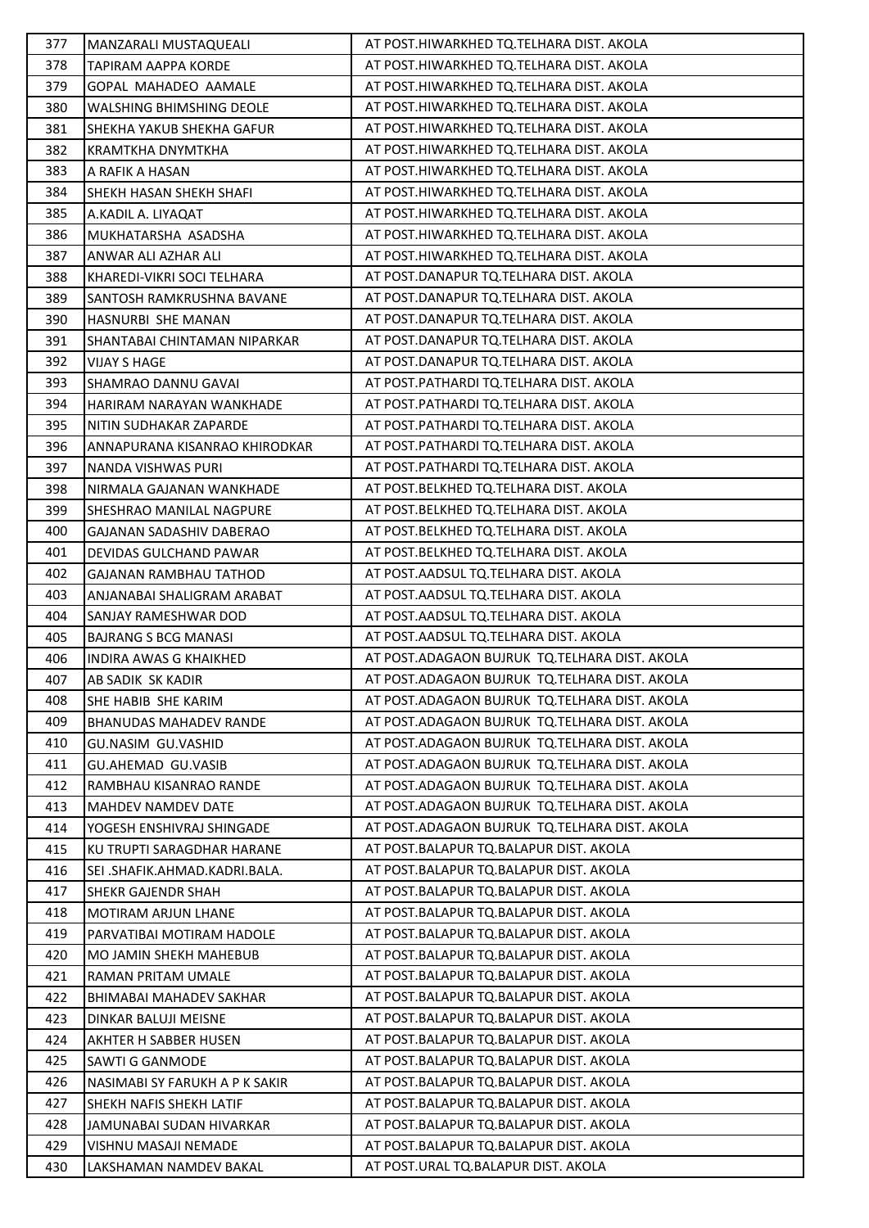| 377 | MANZARALI MUSTAQUEALI           | AT POST.HIWARKHED TQ.TELHARA DIST. AKOLA        |
|-----|---------------------------------|-------------------------------------------------|
| 378 | <b>TAPIRAM AAPPA KORDE</b>      | AT POST.HIWARKHED TQ.TELHARA DIST. AKOLA        |
| 379 | GOPAL MAHADEO AAMALE            | AT POST.HIWARKHED TQ.TELHARA DIST. AKOLA        |
| 380 | WALSHING BHIMSHING DEOLE        | AT POST.HIWARKHED TQ.TELHARA DIST. AKOLA        |
| 381 | SHEKHA YAKUB SHEKHA GAFUR       | AT POST.HIWARKHED TQ.TELHARA DIST. AKOLA        |
| 382 | <b>KRAMTKHA DNYMTKHA</b>        | AT POST.HIWARKHED TQ.TELHARA DIST. AKOLA        |
| 383 | A RAFIK A HASAN                 | AT POST.HIWARKHED TQ.TELHARA DIST. AKOLA        |
| 384 | SHEKH HASAN SHEKH SHAFI         | AT POST.HIWARKHED TQ.TELHARA DIST. AKOLA        |
| 385 | A.KADIL A. LIYAQAT              | AT POST.HIWARKHED TQ.TELHARA DIST. AKOLA        |
| 386 | MUKHATARSHA ASADSHA             | AT POST.HIWARKHED TQ.TELHARA DIST. AKOLA        |
| 387 | ANWAR ALI AZHAR ALI             | AT POST.HIWARKHED TQ.TELHARA DIST. AKOLA        |
| 388 | KHAREDI-VIKRI SOCI TELHARA      | AT POST.DANAPUR TQ.TELHARA DIST. AKOLA          |
| 389 | SANTOSH RAMKRUSHNA BAVANE       | AT POST.DANAPUR TQ.TELHARA DIST. AKOLA          |
| 390 | HASNURBI SHE MANAN              | AT POST.DANAPUR TQ.TELHARA DIST. AKOLA          |
| 391 | SHANTABAI CHINTAMAN NIPARKAR    | AT POST.DANAPUR TQ.TELHARA DIST. AKOLA          |
| 392 | <b>VIJAY S HAGE</b>             | AT POST.DANAPUR TQ.TELHARA DIST. AKOLA          |
| 393 | SHAMRAO DANNU GAVAI             | AT POST. PATHARDI TQ. TELHARA DIST. AKOLA       |
| 394 | HARIRAM NARAYAN WANKHADE        | AT POST.PATHARDI TQ.TELHARA DIST. AKOLA         |
| 395 | NITIN SUDHAKAR ZAPARDE          | AT POST.PATHARDI TQ.TELHARA DIST. AKOLA         |
| 396 | ANNAPURANA KISANRAO KHIRODKAR   | AT POST. PATHARDI TO. TELHARA DIST. AKOLA       |
| 397 | NANDA VISHWAS PURI              | AT POST.PATHARDI TQ.TELHARA DIST. AKOLA         |
| 398 | NIRMALA GAJANAN WANKHADE        | AT POST.BELKHED TQ.TELHARA DIST. AKOLA          |
| 399 | SHESHRAO MANILAL NAGPURE        | AT POST.BELKHED TQ.TELHARA DIST. AKOLA          |
| 400 | <b>GAJANAN SADASHIV DABERAO</b> | AT POST.BELKHED TQ.TELHARA DIST. AKOLA          |
| 401 | DEVIDAS GULCHAND PAWAR          | AT POST.BELKHED TQ.TELHARA DIST. AKOLA          |
| 402 | <b>GAJANAN RAMBHAU TATHOD</b>   | AT POST.AADSUL TQ.TELHARA DIST. AKOLA           |
| 403 | ANJANABAI SHALIGRAM ARABAT      | AT POST.AADSUL TQ.TELHARA DIST. AKOLA           |
| 404 | SANJAY RAMESHWAR DOD            | AT POST.AADSUL TQ.TELHARA DIST. AKOLA           |
| 405 | <b>BAJRANG S BCG MANASI</b>     | AT POST.AADSUL TQ.TELHARA DIST. AKOLA           |
| 406 | <b>INDIRA AWAS G KHAIKHED</b>   | AT POST.ADAGAON BUJRUK TQ.TELHARA DIST. AKOLA   |
| 407 | AB SADIK SK KADIR               | AT POST.ADAGAON BUJRUK TQ.TELHARA DIST. AKOLA   |
| 408 | SHE HABIB SHE KARIM             | AT POST. ADAGAON BUJRUK TO. TELHARA DIST. AKOLA |
| 409 | <b>BHANUDAS MAHADEV RANDE</b>   | AT POST.ADAGAON BUJRUK TQ.TELHARA DIST. AKOLA   |
| 410 | GU.NASIM GU.VASHID              | AT POST.ADAGAON BUJRUK TQ.TELHARA DIST. AKOLA   |
| 411 | <b>GU.AHEMAD GU.VASIB</b>       | AT POST.ADAGAON BUJRUK TQ.TELHARA DIST. AKOLA   |
| 412 | RAMBHAU KISANRAO RANDE          | AT POST. ADAGAON BUJRUK TO. TELHARA DIST. AKOLA |
| 413 | MAHDEV NAMDEV DATE              | AT POST.ADAGAON BUJRUK TQ.TELHARA DIST. AKOLA   |
| 414 | YOGESH ENSHIVRAJ SHINGADE       | AT POST.ADAGAON BUJRUK TQ.TELHARA DIST. AKOLA   |
| 415 | KU TRUPTI SARAGDHAR HARANE      | AT POST. BALAPUR TQ. BALAPUR DIST. AKOLA        |
| 416 | SEI .SHAFIK.AHMAD.KADRI.BALA.   | AT POST.BALAPUR TQ.BALAPUR DIST. AKOLA          |
| 417 | SHEKR GAJENDR SHAH              | AT POST. BALAPUR TO. BALAPUR DIST. AKOLA        |
| 418 | MOTIRAM ARJUN LHANE             | AT POST. BALAPUR TQ. BALAPUR DIST. AKOLA        |
| 419 | PARVATIBAI MOTIRAM HADOLE       | AT POST. BALAPUR TO. BALAPUR DIST. AKOLA        |
| 420 | MO JAMIN SHEKH MAHEBUB          | AT POST.BALAPUR TQ.BALAPUR DIST. AKOLA          |
| 421 | RAMAN PRITAM UMALE              | AT POST. BALAPUR TO. BALAPUR DIST. AKOLA        |
| 422 | BHIMABAI MAHADEV SAKHAR         | AT POST. BALAPUR TQ. BALAPUR DIST. AKOLA        |
| 423 | DINKAR BALUJI MEISNE            | AT POST.BALAPUR TQ.BALAPUR DIST. AKOLA          |
| 424 | AKHTER H SABBER HUSEN           | AT POST.BALAPUR TQ.BALAPUR DIST. AKOLA          |
| 425 | <b>SAWTI G GANMODE</b>          | AT POST.BALAPUR TQ.BALAPUR DIST. AKOLA          |
| 426 | NASIMABI SY FARUKH A P K SAKIR  | AT POST.BALAPUR TQ.BALAPUR DIST. AKOLA          |
| 427 | SHEKH NAFIS SHEKH LATIF         | AT POST.BALAPUR TQ.BALAPUR DIST. AKOLA          |
| 428 | JAMUNABAI SUDAN HIVARKAR        | AT POST.BALAPUR TQ.BALAPUR DIST. AKOLA          |
| 429 | VISHNU MASAJI NEMADE            | AT POST.BALAPUR TQ.BALAPUR DIST. AKOLA          |
| 430 | LAKSHAMAN NAMDEV BAKAL          | AT POST.URAL TQ.BALAPUR DIST. AKOLA             |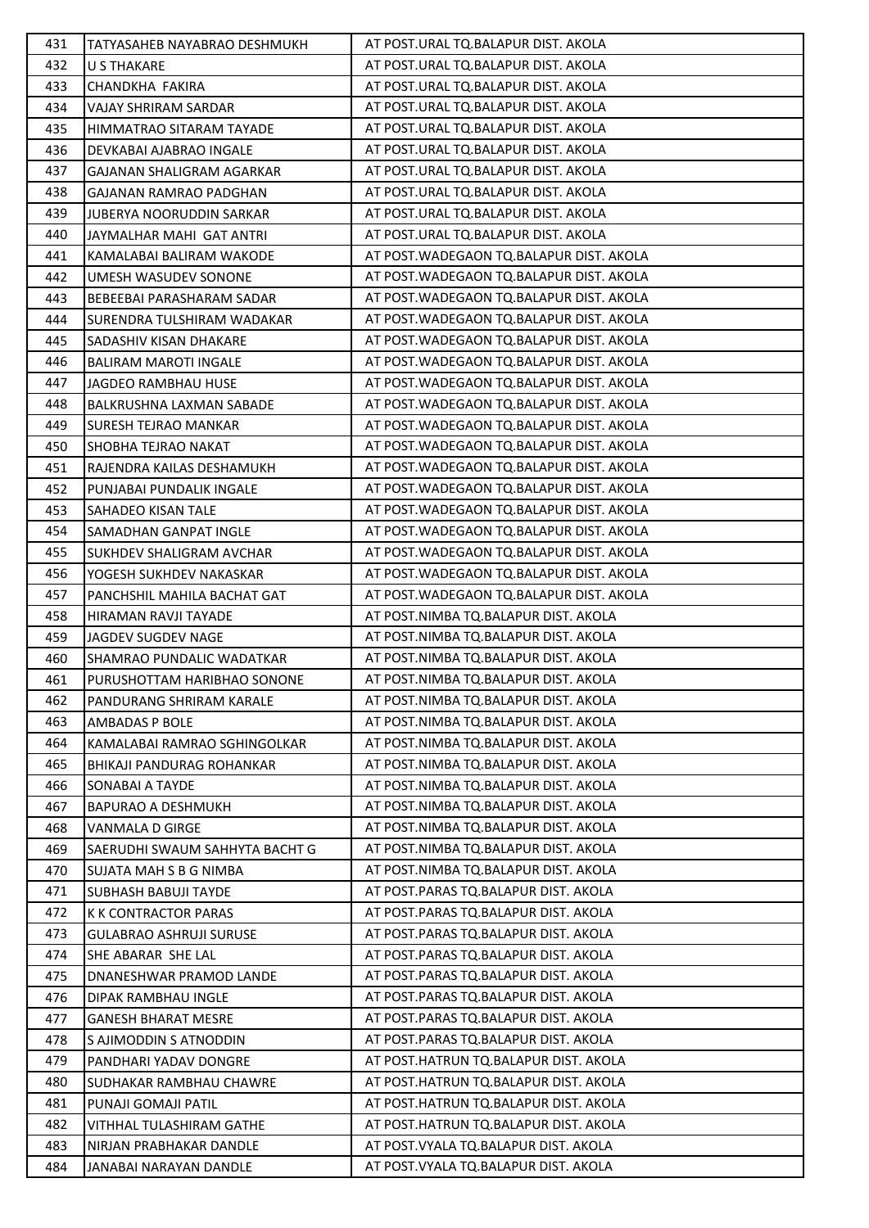| 431 | TATYASAHEB NAYABRAO DESHMUKH     | AT POST.URAL TQ.BALAPUR DIST. AKOLA       |
|-----|----------------------------------|-------------------------------------------|
| 432 | U S THAKARE                      | AT POST.URAL TQ.BALAPUR DIST. AKOLA       |
| 433 | CHANDKHA FAKIRA                  | AT POST.URAL TQ.BALAPUR DIST. AKOLA       |
| 434 | VAJAY SHRIRAM SARDAR             | AT POST.URAL TQ.BALAPUR DIST. AKOLA       |
| 435 | HIMMATRAO SITARAM TAYADE         | AT POST.URAL TQ.BALAPUR DIST. AKOLA       |
| 436 | DEVKABAI AJABRAO INGALE          | AT POST.URAL TQ.BALAPUR DIST. AKOLA       |
| 437 | <b>GAJANAN SHALIGRAM AGARKAR</b> | AT POST.URAL TQ.BALAPUR DIST. AKOLA       |
| 438 | <b>GAJANAN RAMRAO PADGHAN</b>    | AT POST.URAL TQ.BALAPUR DIST. AKOLA       |
| 439 | <b>JUBERYA NOORUDDIN SARKAR</b>  | AT POST.URAL TQ.BALAPUR DIST. AKOLA       |
| 440 | JAYMALHAR MAHI GAT ANTRI         | AT POST.URAL TQ.BALAPUR DIST. AKOLA       |
| 441 | KAMALABAI BALIRAM WAKODE         | AT POST. WADEGAON TO. BALAPUR DIST. AKOLA |
| 442 | UMESH WASUDEV SONONE             | AT POST. WADEGAON TO. BALAPUR DIST. AKOLA |
| 443 | BEBEEBAI PARASHARAM SADAR        | AT POST. WADEGAON TQ. BALAPUR DIST. AKOLA |
| 444 | SURENDRA TULSHIRAM WADAKAR       | AT POST. WADEGAON TO. BALAPUR DIST. AKOLA |
| 445 | SADASHIV KISAN DHAKARE           | AT POST. WADEGAON TO. BALAPUR DIST. AKOLA |
| 446 | <b>BALIRAM MAROTI INGALE</b>     | AT POST. WADEGAON TO. BALAPUR DIST. AKOLA |
| 447 | JAGDEO RAMBHAU HUSE              | AT POST. WADEGAON TO. BALAPUR DIST. AKOLA |
| 448 | BALKRUSHNA LAXMAN SABADE         | AT POST. WADEGAON TO. BALAPUR DIST. AKOLA |
| 449 | SURESH TEJRAO MANKAR             | AT POST. WADEGAON TO. BALAPUR DIST. AKOLA |
| 450 | SHOBHA TEJRAO NAKAT              | AT POST. WADEGAON TO. BALAPUR DIST. AKOLA |
| 451 | RAJENDRA KAILAS DESHAMUKH        | AT POST. WADEGAON TO. BALAPUR DIST. AKOLA |
| 452 | PUNJABAI PUNDALIK INGALE         | AT POST. WADEGAON TO. BALAPUR DIST. AKOLA |
| 453 | SAHADEO KISAN TALE               | AT POST. WADEGAON TO. BALAPUR DIST. AKOLA |
| 454 | SAMADHAN GANPAT INGLE            | AT POST. WADEGAON TO. BALAPUR DIST. AKOLA |
| 455 | <b>SUKHDEV SHALIGRAM AVCHAR</b>  | AT POST. WADEGAON TQ. BALAPUR DIST. AKOLA |
| 456 | YOGESH SUKHDEV NAKASKAR          | AT POST. WADEGAON TO. BALAPUR DIST. AKOLA |
| 457 | PANCHSHIL MAHILA BACHAT GAT      | AT POST. WADEGAON TQ. BALAPUR DIST. AKOLA |
| 458 | HIRAMAN RAVJI TAYADE             | AT POST.NIMBA TQ.BALAPUR DIST. AKOLA      |
| 459 | JAGDEV SUGDEV NAGE               | AT POST.NIMBA TQ.BALAPUR DIST. AKOLA      |
| 460 | SHAMRAO PUNDALIC WADATKAR        | AT POST.NIMBA TQ.BALAPUR DIST. AKOLA      |
| 461 | PURUSHOTTAM HARIBHAO SONONE      | AT POST.NIMBA TQ.BALAPUR DIST. AKOLA      |
| 462 | PANDURANG SHRIRAM KARALE         | AT POST.NIMBA TQ.BALAPUR DIST. AKOLA      |
| 463 | AMBADAS P BOLE                   | AT POST.NIMBA TQ.BALAPUR DIST. AKOLA      |
| 464 | KAMALABAI RAMRAO SGHINGOLKAR     | AT POST.NIMBA TO.BALAPUR DIST. AKOLA      |
| 465 | BHIKAJI PANDURAG ROHANKAR        | AT POST.NIMBA TQ.BALAPUR DIST. AKOLA      |
| 466 | SONABAI A TAYDE                  | AT POST.NIMBA TQ.BALAPUR DIST. AKOLA      |
| 467 | <b>BAPURAO A DESHMUKH</b>        | AT POST.NIMBA TQ.BALAPUR DIST. AKOLA      |
| 468 | VANMALA D GIRGE                  | AT POST.NIMBA TQ.BALAPUR DIST. AKOLA      |
| 469 | SAERUDHI SWAUM SAHHYTA BACHT G   | AT POST.NIMBA TQ.BALAPUR DIST. AKOLA      |
| 470 | SUJATA MAH S B G NIMBA           | AT POST.NIMBA TQ.BALAPUR DIST. AKOLA      |
| 471 | <b>SUBHASH BABUJI TAYDE</b>      | AT POST.PARAS TQ.BALAPUR DIST. AKOLA      |
| 472 | <b>K K CONTRACTOR PARAS</b>      | AT POST.PARAS TQ.BALAPUR DIST. AKOLA      |
| 473 | <b>GULABRAO ASHRUJI SURUSE</b>   | AT POST.PARAS TQ.BALAPUR DIST. AKOLA      |
| 474 | SHE ABARAR SHE LAL               | AT POST.PARAS TQ.BALAPUR DIST. AKOLA      |
| 475 | DNANESHWAR PRAMOD LANDE          | AT POST.PARAS TQ.BALAPUR DIST. AKOLA      |
| 476 | DIPAK RAMBHAU INGLE              | AT POST.PARAS TQ.BALAPUR DIST. AKOLA      |
| 477 | <b>GANESH BHARAT MESRE</b>       | AT POST.PARAS TQ.BALAPUR DIST. AKOLA      |
| 478 | S AJIMODDIN S ATNODDIN           | AT POST.PARAS TQ.BALAPUR DIST. AKOLA      |
| 479 | PANDHARI YADAV DONGRE            | AT POST.HATRUN TQ.BALAPUR DIST. AKOLA     |
| 480 | SUDHAKAR RAMBHAU CHAWRE          | AT POST.HATRUN TQ.BALAPUR DIST. AKOLA     |
| 481 | PUNAJI GOMAJI PATIL              | AT POST.HATRUN TQ.BALAPUR DIST. AKOLA     |
| 482 | VITHHAL TULASHIRAM GATHE         | AT POST.HATRUN TQ.BALAPUR DIST. AKOLA     |
| 483 | NIRJAN PRABHAKAR DANDLE          | AT POST. VYALA TQ. BALAPUR DIST. AKOLA    |
| 484 | JANABAI NARAYAN DANDLE           | AT POST. VYALA TQ. BALAPUR DIST. AKOLA    |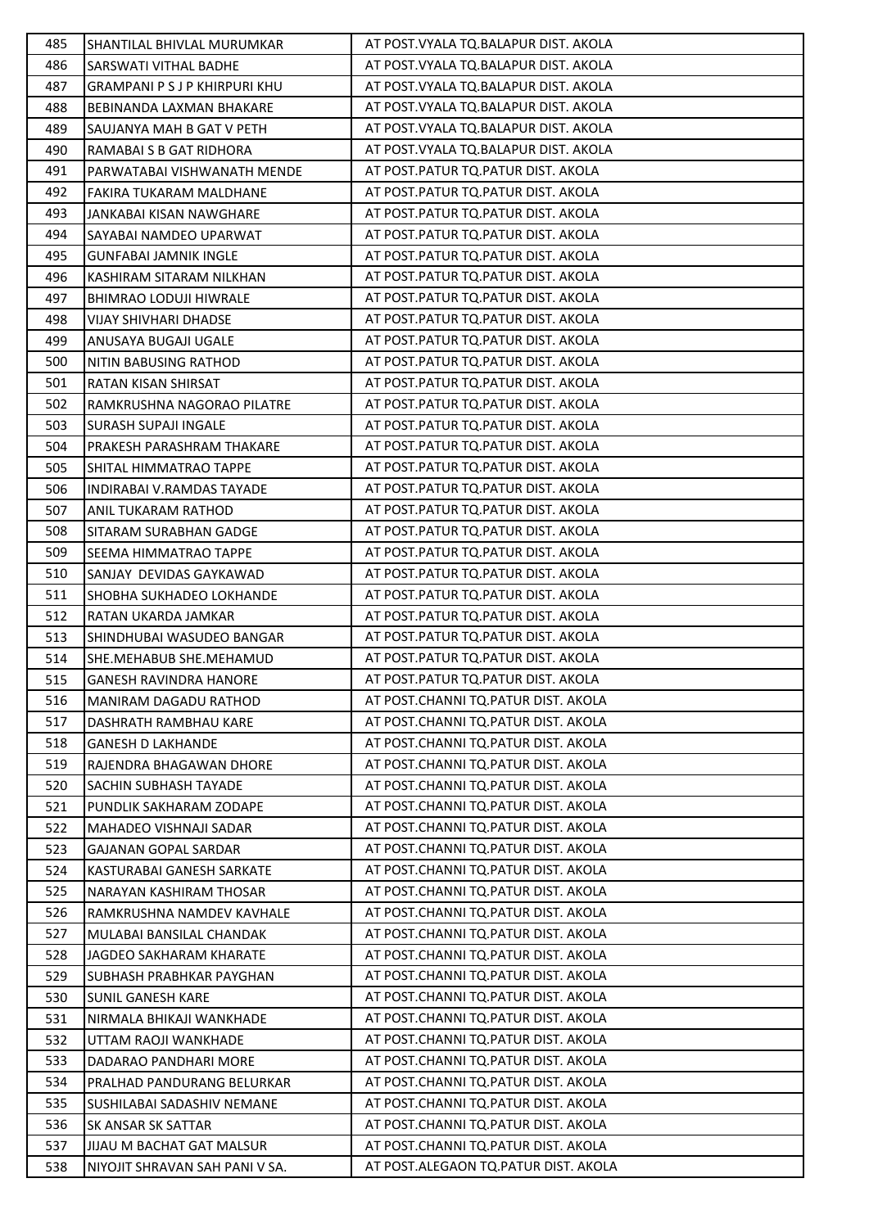| 485 | SHANTILAL BHIVLAL MURUMKAR           | AT POST. VYALA TQ. BALAPUR DIST. AKOLA |
|-----|--------------------------------------|----------------------------------------|
| 486 | SARSWATI VITHAL BADHE                | AT POST. VYALA TQ. BALAPUR DIST. AKOLA |
| 487 | <b>GRAMPANI P S J P KHIRPURI KHU</b> | AT POST. VYALA TQ. BALAPUR DIST. AKOLA |
| 488 | BEBINANDA LAXMAN BHAKARE             | AT POST. VYALA TQ. BALAPUR DIST. AKOLA |
| 489 | SAUJANYA MAH B GAT V PETH            | AT POST. VYALA TQ. BALAPUR DIST. AKOLA |
| 490 | RAMABAI S B GAT RIDHORA              | AT POST. VYALA TQ. BALAPUR DIST. AKOLA |
| 491 | PARWATABAI VISHWANATH MENDE          | AT POST.PATUR TQ.PATUR DIST. AKOLA     |
| 492 | FAKIRA TUKARAM MALDHANE              | AT POST.PATUR TQ.PATUR DIST. AKOLA     |
| 493 | JANKABAI KISAN NAWGHARE              | AT POST.PATUR TQ.PATUR DIST. AKOLA     |
| 494 | SAYABAI NAMDEO UPARWAT               | AT POST.PATUR TQ.PATUR DIST. AKOLA     |
| 495 | <b>GUNFABAI JAMNIK INGLE</b>         | AT POST.PATUR TQ.PATUR DIST. AKOLA     |
| 496 | KASHIRAM SITARAM NILKHAN             | AT POST.PATUR TQ.PATUR DIST. AKOLA     |
| 497 | <b>BHIMRAO LODUJI HIWRALE</b>        | AT POST.PATUR TQ.PATUR DIST. AKOLA     |
| 498 | <b>VIJAY SHIVHARI DHADSE</b>         | AT POST.PATUR TQ.PATUR DIST. AKOLA     |
| 499 | ANUSAYA BUGAJI UGALE                 | AT POST.PATUR TQ.PATUR DIST. AKOLA     |
| 500 | NITIN BABUSING RATHOD                | AT POST.PATUR TQ.PATUR DIST. AKOLA     |
| 501 | RATAN KISAN SHIRSAT                  | AT POST.PATUR TQ.PATUR DIST. AKOLA     |
| 502 | RAMKRUSHNA NAGORAO PILATRE           | AT POST.PATUR TQ.PATUR DIST. AKOLA     |
| 503 | <b>SURASH SUPAJI INGALE</b>          | AT POST. PATUR TO. PATUR DIST. AKOLA   |
| 504 | PRAKESH PARASHRAM THAKARE            | AT POST.PATUR TQ.PATUR DIST. AKOLA     |
| 505 | SHITAL HIMMATRAO TAPPE               | AT POST.PATUR TQ.PATUR DIST. AKOLA     |
| 506 | INDIRABAI V.RAMDAS TAYADE            | AT POST.PATUR TQ.PATUR DIST. AKOLA     |
| 507 | ANIL TUKARAM RATHOD                  | AT POST.PATUR TQ.PATUR DIST. AKOLA     |
| 508 | SITARAM SURABHAN GADGE               | AT POST.PATUR TQ.PATUR DIST. AKOLA     |
| 509 | SEEMA HIMMATRAO TAPPE                | AT POST.PATUR TQ.PATUR DIST. AKOLA     |
| 510 | SANJAY DEVIDAS GAYKAWAD              | AT POST.PATUR TQ.PATUR DIST. AKOLA     |
| 511 | SHOBHA SUKHADEO LOKHANDE             | AT POST.PATUR TQ.PATUR DIST. AKOLA     |
| 512 | RATAN UKARDA JAMKAR                  | AT POST.PATUR TQ.PATUR DIST. AKOLA     |
| 513 | SHINDHUBAI WASUDEO BANGAR            | AT POST.PATUR TQ.PATUR DIST. AKOLA     |
| 514 | SHE.MEHABUB SHE.MEHAMUD              | AT POST.PATUR TQ.PATUR DIST. AKOLA     |
| 515 | <b>GANESH RAVINDRA HANORE</b>        | AT POST.PATUR TQ.PATUR DIST. AKOLA     |
| 516 | <b>MANIRAM DAGADU RATHOD</b>         | AT POST.CHANNI TQ.PATUR DIST. AKOLA    |
| 517 | DASHRATH RAMBHAU KARE                | AT POST.CHANNI TQ.PATUR DIST. AKOLA    |
| 518 | <b>GANESH D LAKHANDE</b>             | AT POST.CHANNI TQ.PATUR DIST. AKOLA    |
| 519 | RAJENDRA BHAGAWAN DHORE              | AT POST.CHANNI TQ.PATUR DIST. AKOLA    |
| 520 | SACHIN SUBHASH TAYADE                | AT POST.CHANNI TQ.PATUR DIST. AKOLA    |
| 521 | PUNDLIK SAKHARAM ZODAPE              | AT POST.CHANNI TQ.PATUR DIST. AKOLA    |
| 522 | MAHADEO VISHNAJI SADAR               | AT POST.CHANNI TO.PATUR DIST. AKOLA    |
| 523 | <b>GAJANAN GOPAL SARDAR</b>          | AT POST.CHANNI TQ.PATUR DIST. AKOLA    |
| 524 | KASTURABAI GANESH SARKATE            | AT POST.CHANNI TQ.PATUR DIST. AKOLA    |
| 525 | NARAYAN KASHIRAM THOSAR              | AT POST.CHANNI TQ.PATUR DIST. AKOLA    |
| 526 | RAMKRUSHNA NAMDEV KAVHALE            | AT POST.CHANNI TQ.PATUR DIST. AKOLA    |
| 527 | MULABAI BANSILAL CHANDAK             | AT POST.CHANNI TQ.PATUR DIST. AKOLA    |
| 528 | <b>JAGDEO SAKHARAM KHARATE</b>       | AT POST.CHANNI TQ.PATUR DIST. AKOLA    |
| 529 | SUBHASH PRABHKAR PAYGHAN             | AT POST.CHANNI TQ.PATUR DIST. AKOLA    |
| 530 | <b>SUNIL GANESH KARE</b>             | AT POST.CHANNI TQ.PATUR DIST. AKOLA    |
| 531 | NIRMALA BHIKAJI WANKHADE             | AT POST.CHANNI TQ.PATUR DIST. AKOLA    |
| 532 | UTTAM RAOJI WANKHADE                 | AT POST.CHANNI TQ.PATUR DIST. AKOLA    |
| 533 | DADARAO PANDHARI MORE                | AT POST.CHANNI TQ.PATUR DIST. AKOLA    |
| 534 | PRALHAD PANDURANG BELURKAR           | AT POST.CHANNI TQ.PATUR DIST. AKOLA    |
| 535 | SUSHILABAI SADASHIV NEMANE           | AT POST.CHANNI TQ.PATUR DIST. AKOLA    |
| 536 | SK ANSAR SK SATTAR                   | AT POST.CHANNI TQ.PATUR DIST. AKOLA    |
| 537 | <b>JIJAU M BACHAT GAT MALSUR</b>     | AT POST.CHANNI TQ.PATUR DIST. AKOLA    |
| 538 | NIYOJIT SHRAVAN SAH PANI V SA.       | AT POST.ALEGAON TQ.PATUR DIST. AKOLA   |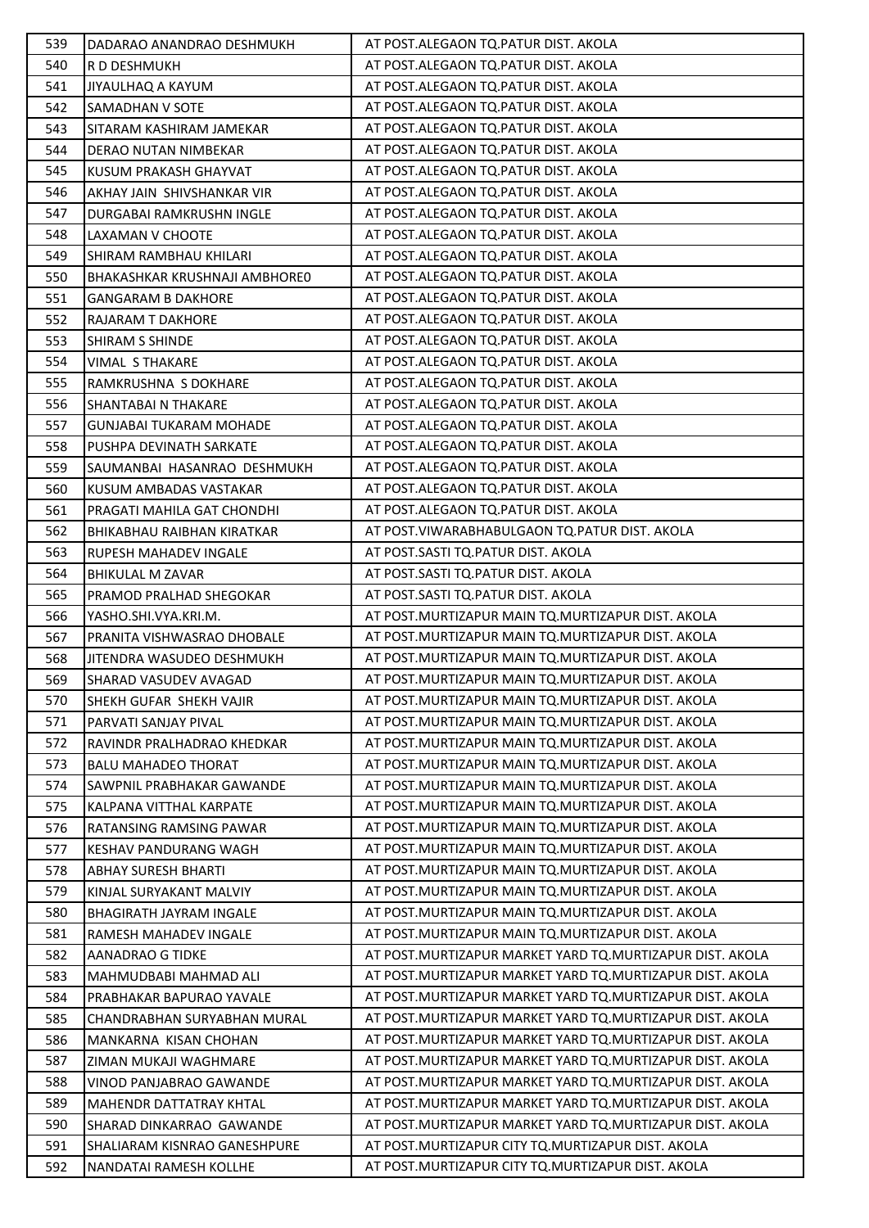| 539        | DADARAO ANANDRAO DESHMUKH                              | AT POST.ALEGAON TO.PATUR DIST. AKOLA                                                                       |
|------------|--------------------------------------------------------|------------------------------------------------------------------------------------------------------------|
| 540        | R D DESHMUKH                                           | AT POST.ALEGAON TQ.PATUR DIST. AKOLA                                                                       |
| 541        | JIYAULHAQ A KAYUM                                      | AT POST.ALEGAON TQ.PATUR DIST. AKOLA                                                                       |
| 542        | <b>SAMADHAN V SOTE</b>                                 | AT POST.ALEGAON TQ.PATUR DIST. AKOLA                                                                       |
| 543        | SITARAM KASHIRAM JAMEKAR                               | AT POST.ALEGAON TQ.PATUR DIST. AKOLA                                                                       |
| 544        | DERAO NUTAN NIMBEKAR                                   | AT POST.ALEGAON TQ.PATUR DIST. AKOLA                                                                       |
| 545        | KUSUM PRAKASH GHAYVAT                                  | AT POST.ALEGAON TQ.PATUR DIST. AKOLA                                                                       |
| 546        | AKHAY JAIN SHIVSHANKAR VIR                             | AT POST.ALEGAON TQ.PATUR DIST. AKOLA                                                                       |
| 547        | DURGABAI RAMKRUSHN INGLE                               | AT POST.ALEGAON TQ.PATUR DIST. AKOLA                                                                       |
| 548        | LAXAMAN V CHOOTE                                       | AT POST.ALEGAON TQ.PATUR DIST. AKOLA                                                                       |
| 549        | SHIRAM RAMBHAU KHILARI                                 | AT POST.ALEGAON TQ.PATUR DIST. AKOLA                                                                       |
| 550        | BHAKASHKAR KRUSHNAJI AMBHOREO                          | AT POST.ALEGAON TQ.PATUR DIST. AKOLA                                                                       |
| 551        | <b>GANGARAM B DAKHORE</b>                              | AT POST.ALEGAON TQ.PATUR DIST. AKOLA                                                                       |
| 552        | RAJARAM T DAKHORE                                      | AT POST.ALEGAON TQ.PATUR DIST. AKOLA                                                                       |
| 553        | <b>SHIRAM S SHINDE</b>                                 | AT POST.ALEGAON TQ.PATUR DIST. AKOLA                                                                       |
| 554        | VIMAL S THAKARE                                        | AT POST.ALEGAON TQ.PATUR DIST. AKOLA                                                                       |
| 555        | RAMKRUSHNA S DOKHARE                                   | AT POST.ALEGAON TQ.PATUR DIST. AKOLA                                                                       |
| 556        | SHANTABAI N THAKARE                                    | AT POST.ALEGAON TQ.PATUR DIST. AKOLA                                                                       |
| 557        | <b>GUNJABAI TUKARAM MOHADE</b>                         | AT POST.ALEGAON TQ.PATUR DIST. AKOLA                                                                       |
| 558        | PUSHPA DEVINATH SARKATE                                | AT POST.ALEGAON TQ.PATUR DIST. AKOLA                                                                       |
| 559        | SAUMANBAI HASANRAO DESHMUKH                            | AT POST.ALEGAON TQ.PATUR DIST. AKOLA                                                                       |
| 560        | KUSUM AMBADAS VASTAKAR                                 | AT POST.ALEGAON TQ.PATUR DIST. AKOLA                                                                       |
| 561        | PRAGATI MAHILA GAT CHONDHI                             | AT POST.ALEGAON TQ.PATUR DIST. AKOLA                                                                       |
| 562        | BHIKABHAU RAIBHAN KIRATKAR                             | AT POST. VIWARABHABULGAON TQ. PATUR DIST. AKOLA                                                            |
| 563        | RUPESH MAHADEV INGALE                                  | AT POST.SASTI TQ.PATUR DIST. AKOLA                                                                         |
| 564        | <b>BHIKULAL M ZAVAR</b>                                | AT POST.SASTI TQ.PATUR DIST. AKOLA                                                                         |
| 565        | PRAMOD PRALHAD SHEGOKAR                                | AT POST.SASTI TQ.PATUR DIST. AKOLA                                                                         |
|            |                                                        |                                                                                                            |
| 566        | YASHO.SHI.VYA.KRI.M.                                   | AT POST. MURTIZAPUR MAIN TO. MURTIZAPUR DIST. AKOLA                                                        |
| 567        | PRANITA VISHWASRAO DHOBALE                             | AT POST.MURTIZAPUR MAIN TQ.MURTIZAPUR DIST. AKOLA                                                          |
| 568        | JITENDRA WASUDEO DESHMUKH                              | AT POST. MURTIZAPUR MAIN TO. MURTIZAPUR DIST. AKOLA                                                        |
| 569        | SHARAD VASUDEV AVAGAD                                  | AT POST. MURTIZAPUR MAIN TQ. MURTIZAPUR DIST. AKOLA                                                        |
| 570        | SHEKH GUFAR SHEKH VAJIR                                | AT POST. MURTIZAPUR MAIN TO. MURTIZAPUR DIST. AKOLA                                                        |
| 571        | PARVATI SANJAY PIVAL                                   | AT POST. MURTIZAPUR MAIN TO. MURTIZAPUR DIST. AKOLA                                                        |
| 572        | RAVINDR PRALHADRAO KHEDKAR                             | AT POST. MURTIZAPUR MAIN TO. MURTIZAPUR DIST. AKOLA                                                        |
| 573        | <b>BALU MAHADEO THORAT</b>                             | AT POST. MURTIZAPUR MAIN TO. MURTIZAPUR DIST. AKOLA                                                        |
| 574        | SAWPNIL PRABHAKAR GAWANDE                              | AT POST. MURTIZAPUR MAIN TO. MURTIZAPUR DIST. AKOLA                                                        |
| 575        | KALPANA VITTHAL KARPATE                                | AT POST. MURTIZAPUR MAIN TO. MURTIZAPUR DIST. AKOLA                                                        |
| 576        | RATANSING RAMSING PAWAR                                | AT POST. MURTIZAPUR MAIN TO. MURTIZAPUR DIST. AKOLA                                                        |
| 577        | KESHAV PANDURANG WAGH                                  | AT POST. MURTIZAPUR MAIN TO. MURTIZAPUR DIST. AKOLA                                                        |
| 578        | <b>ABHAY SURESH BHARTI</b>                             | AT POST. MURTIZAPUR MAIN TO. MURTIZAPUR DIST. AKOLA                                                        |
| 579        | KINJAL SURYAKANT MALVIY                                | AT POST. MURTIZAPUR MAIN TQ. MURTIZAPUR DIST. AKOLA                                                        |
| 580        | <b>BHAGIRATH JAYRAM INGALE</b>                         | AT POST. MURTIZAPUR MAIN TO. MURTIZAPUR DIST. AKOLA                                                        |
| 581        | RAMESH MAHADEV INGALE                                  | AT POST. MURTIZAPUR MAIN TQ. MURTIZAPUR DIST. AKOLA                                                        |
| 582        | AANADRAO G TIDKE                                       | AT POST.MURTIZAPUR MARKET YARD TO.MURTIZAPUR DIST. AKOLA                                                   |
| 583        | MAHMUDBABI MAHMAD ALI                                  | AT POST.MURTIZAPUR MARKET YARD TO.MURTIZAPUR DIST. AKOLA                                                   |
| 584        | PRABHAKAR BAPURAO YAVALE                               | AT POST.MURTIZAPUR MARKET YARD TO.MURTIZAPUR DIST. AKOLA                                                   |
| 585        | CHANDRABHAN SURYABHAN MURAL                            | AT POST.MURTIZAPUR MARKET YARD TQ.MURTIZAPUR DIST. AKOLA                                                   |
| 586        | MANKARNA KISAN CHOHAN                                  | AT POST. MURTIZAPUR MARKET YARD TO. MURTIZAPUR DIST. AKOLA                                                 |
| 587        | ZIMAN MUKAJI WAGHMARE                                  | AT POST. MURTIZAPUR MARKET YARD TQ. MURTIZAPUR DIST. AKOLA                                                 |
| 588        | VINOD PANJABRAO GAWANDE                                | AT POST.MURTIZAPUR MARKET YARD TO.MURTIZAPUR DIST. AKOLA                                                   |
| 589        | MAHENDR DATTATRAY KHTAL                                | AT POST.MURTIZAPUR MARKET YARD TQ.MURTIZAPUR DIST. AKOLA                                                   |
| 590        | SHARAD DINKARRAO GAWANDE                               | AT POST.MURTIZAPUR MARKET YARD TQ.MURTIZAPUR DIST. AKOLA                                                   |
| 591<br>592 | SHALIARAM KISNRAO GANESHPURE<br>NANDATAI RAMESH KOLLHE | AT POST. MURTIZAPUR CITY TO. MURTIZAPUR DIST. AKOLA<br>AT POST. MURTIZAPUR CITY TO. MURTIZAPUR DIST. AKOLA |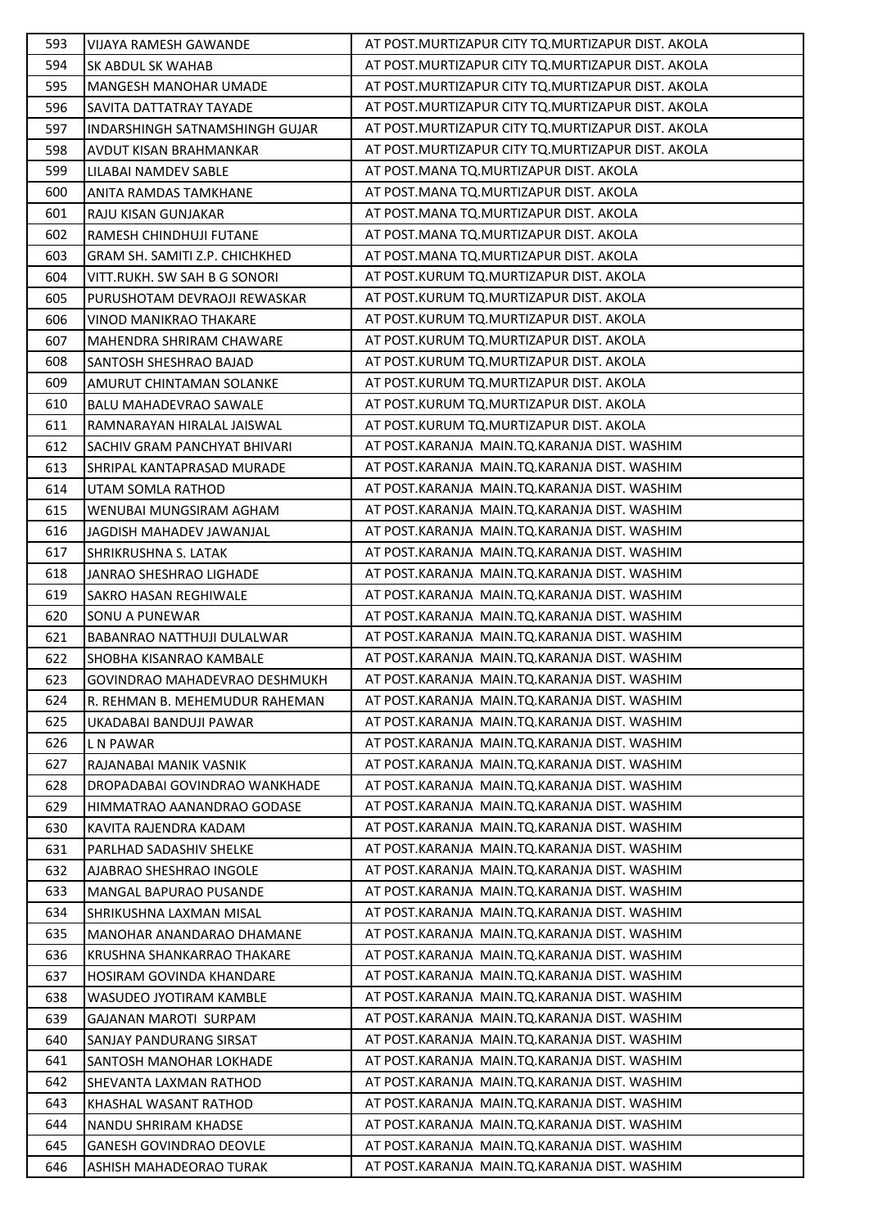| 593        | VIJAYA RAMESH GAWANDE                                     | AT POST. MURTIZAPUR CITY TQ. MURTIZAPUR DIST. AKOLA                                          |
|------------|-----------------------------------------------------------|----------------------------------------------------------------------------------------------|
| 594        | SK ABDUL SK WAHAB                                         | AT POST. MURTIZAPUR CITY TO. MURTIZAPUR DIST. AKOLA                                          |
| 595        | MANGESH MANOHAR UMADE                                     | AT POST. MURTIZAPUR CITY TO. MURTIZAPUR DIST. AKOLA                                          |
| 596        | <b>SAVITA DATTATRAY TAYADE</b>                            | AT POST. MURTIZAPUR CITY TO. MURTIZAPUR DIST. AKOLA                                          |
| 597        | INDARSHINGH SATNAMSHINGH GUJAR                            | AT POST. MURTIZAPUR CITY TO. MURTIZAPUR DIST. AKOLA                                          |
| 598        | AVDUT KISAN BRAHMANKAR                                    | AT POST. MURTIZAPUR CITY TO. MURTIZAPUR DIST. AKOLA                                          |
| 599        | LILABAI NAMDEV SABLE                                      | AT POST.MANA TQ.MURTIZAPUR DIST. AKOLA                                                       |
| 600        | ANITA RAMDAS TAMKHANE                                     | AT POST. MANA TQ. MURTIZAPUR DIST. AKOLA                                                     |
| 601        | RAJU KISAN GUNJAKAR                                       | AT POST.MANA TQ.MURTIZAPUR DIST. AKOLA                                                       |
| 602        | RAMESH CHINDHUJI FUTANE                                   | AT POST. MANA TQ. MURTIZAPUR DIST. AKOLA                                                     |
| 603        | GRAM SH. SAMITI Z.P. CHICHKHED                            | AT POST.MANA TQ.MURTIZAPUR DIST. AKOLA                                                       |
| 604        | VITT.RUKH. SW SAH B G SONORI                              | AT POST.KURUM TQ.MURTIZAPUR DIST. AKOLA                                                      |
| 605        | PURUSHOTAM DEVRAOJI REWASKAR                              | AT POST.KURUM TQ.MURTIZAPUR DIST. AKOLA                                                      |
| 606        | VINOD MANIKRAO THAKARE                                    | AT POST.KURUM TQ.MURTIZAPUR DIST. AKOLA                                                      |
| 607        | MAHENDRA SHRIRAM CHAWARE                                  | AT POST.KURUM TQ.MURTIZAPUR DIST. AKOLA                                                      |
| 608        | SANTOSH SHESHRAO BAJAD                                    | AT POST.KURUM TQ.MURTIZAPUR DIST. AKOLA                                                      |
| 609        | AMURUT CHINTAMAN SOLANKE                                  | AT POST.KURUM TQ.MURTIZAPUR DIST. AKOLA                                                      |
| 610        | <b>BALU MAHADEVRAO SAWALE</b>                             | AT POST.KURUM TQ.MURTIZAPUR DIST. AKOLA                                                      |
| 611        | RAMNARAYAN HIRALAL JAISWAL                                | AT POST.KURUM TQ.MURTIZAPUR DIST. AKOLA                                                      |
| 612        | SACHIV GRAM PANCHYAT BHIVARI                              | AT POST.KARANJA MAIN.TQ.KARANJA DIST. WASHIM                                                 |
| 613        | SHRIPAL KANTAPRASAD MURADE                                | AT POST.KARANJA MAIN.TQ.KARANJA DIST. WASHIM                                                 |
| 614        | UTAM SOMLA RATHOD                                         | AT POST.KARANJA MAIN.TQ.KARANJA DIST. WASHIM                                                 |
| 615        | WENUBAI MUNGSIRAM AGHAM                                   | AT POST.KARANJA MAIN.TQ.KARANJA DIST. WASHIM                                                 |
| 616        | JAGDISH MAHADEV JAWANJAL                                  | AT POST.KARANJA MAIN.TQ.KARANJA DIST. WASHIM                                                 |
| 617        | SHRIKRUSHNA S. LATAK                                      | AT POST.KARANJA MAIN.TQ.KARANJA DIST. WASHIM                                                 |
| 618        | JANRAO SHESHRAO LIGHADE                                   | AT POST.KARANJA MAIN.TQ.KARANJA DIST. WASHIM                                                 |
| 619        | SAKRO HASAN REGHIWALE                                     | AT POST.KARANJA MAIN.TQ.KARANJA DIST. WASHIM                                                 |
| 620        | <b>SONU A PUNEWAR</b>                                     | AT POST.KARANJA MAIN.TQ.KARANJA DIST. WASHIM                                                 |
| 621        | <b>BABANRAO NATTHUJI DULALWAR</b>                         | AT POST.KARANJA MAIN.TQ.KARANJA DIST. WASHIM                                                 |
| 622        | SHOBHA KISANRAO KAMBALE                                   | AT POST.KARANJA MAIN.TQ.KARANJA DIST. WASHIM                                                 |
| 623        | GOVINDRAO MAHADEVRAO DESHMUKH                             | AT POST.KARANJA MAIN.TQ.KARANJA DIST. WASHIM                                                 |
| 624        | R. REHMAN B. MEHEMUDUR RAHEMAN                            | AT POST.KARANJA MAIN.TQ.KARANJA DIST. WASHIM                                                 |
| 625        | UKADABAI BANDUJI PAWAR                                    | AT POST.KARANJA MAIN.TQ.KARANJA DIST. WASHIM                                                 |
| 626        | L N PAWAR                                                 | AT POST.KARANJA MAIN.TQ.KARANJA DIST. WASHIM                                                 |
| 627        | RAJANABAI MANIK VASNIK                                    | AT POST.KARANJA MAIN.TO.KARANJA DIST. WASHIM                                                 |
| 628        | DROPADABAI GOVINDRAO WANKHADE                             | AT POST.KARANJA MAIN.TQ.KARANJA DIST. WASHIM                                                 |
| 629        | HIMMATRAO AANANDRAO GODASE                                | AT POST.KARANJA MAIN.TQ.KARANJA DIST. WASHIM                                                 |
| 630        | KAVITA RAJENDRA KADAM                                     | AT POST.KARANJA MAIN.TQ.KARANJA DIST. WASHIM                                                 |
| 631        | PARLHAD SADASHIV SHELKE                                   | AT POST.KARANJA MAIN.TQ.KARANJA DIST. WASHIM                                                 |
| 632        |                                                           |                                                                                              |
|            | AJABRAO SHESHRAO INGOLE                                   | AT POST.KARANJA MAIN.TQ.KARANJA DIST. WASHIM                                                 |
| 633        | MANGAL BAPURAO PUSANDE                                    | AT POST.KARANJA MAIN.TQ.KARANJA DIST. WASHIM                                                 |
| 634        | SHRIKUSHNA LAXMAN MISAL                                   | AT POST.KARANJA MAIN.TQ.KARANJA DIST. WASHIM                                                 |
| 635        | MANOHAR ANANDARAO DHAMANE                                 | AT POST.KARANJA MAIN.TQ.KARANJA DIST. WASHIM                                                 |
| 636        | KRUSHNA SHANKARRAO THAKARE                                | AT POST.KARANJA MAIN.TQ.KARANJA DIST. WASHIM                                                 |
| 637        | HOSIRAM GOVINDA KHANDARE                                  | AT POST.KARANJA MAIN.TQ.KARANJA DIST. WASHIM                                                 |
| 638        | WASUDEO JYOTIRAM KAMBLE                                   | AT POST.KARANJA MAIN.TQ.KARANJA DIST. WASHIM                                                 |
| 639        | <b>GAJANAN MAROTI SURPAM</b>                              | AT POST.KARANJA MAIN.TQ.KARANJA DIST. WASHIM                                                 |
| 640        | SANJAY PANDURANG SIRSAT                                   | AT POST.KARANJA MAIN.TQ.KARANJA DIST. WASHIM                                                 |
| 641        | SANTOSH MANOHAR LOKHADE                                   | AT POST.KARANJA MAIN.TQ.KARANJA DIST. WASHIM                                                 |
| 642        | SHEVANTA LAXMAN RATHOD                                    | AT POST.KARANJA MAIN.TQ.KARANJA DIST. WASHIM                                                 |
| 643        | KHASHAL WASANT RATHOD                                     | AT POST.KARANJA MAIN.TQ.KARANJA DIST. WASHIM                                                 |
| 644        | NANDU SHRIRAM KHADSE                                      | AT POST.KARANJA MAIN.TQ.KARANJA DIST. WASHIM                                                 |
| 645<br>646 | <b>GANESH GOVINDRAO DEOVLE</b><br>ASHISH MAHADEORAO TURAK | AT POST.KARANJA MAIN.TQ.KARANJA DIST. WASHIM<br>AT POST.KARANJA MAIN.TQ.KARANJA DIST. WASHIM |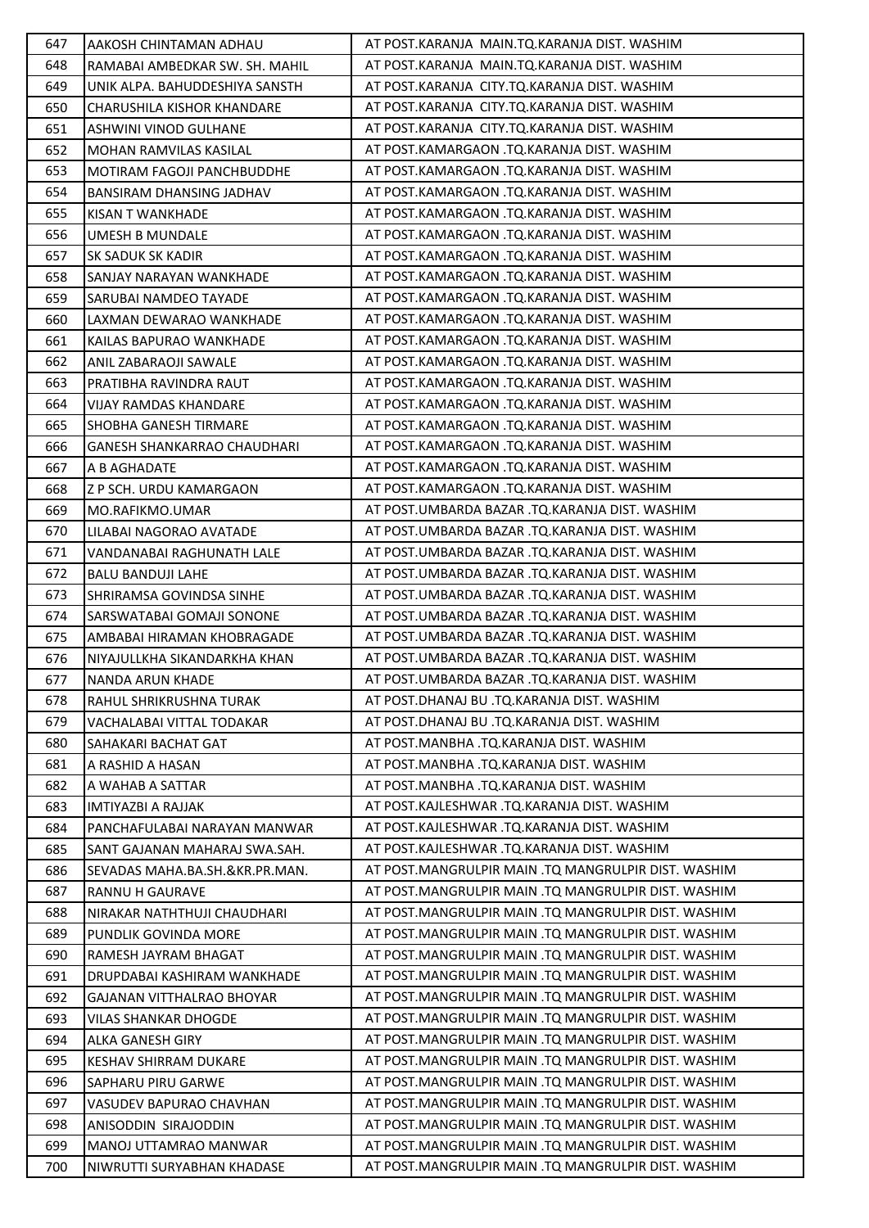| 647 | AAKOSH CHINTAMAN ADHAU             | AT POST.KARANJA MAIN.TQ.KARANJA DIST. WASHIM        |
|-----|------------------------------------|-----------------------------------------------------|
| 648 | RAMABAI AMBEDKAR SW. SH. MAHIL     | AT POST.KARANJA MAIN.TO.KARANJA DIST. WASHIM        |
| 649 | UNIK ALPA. BAHUDDESHIYA SANSTH     | AT POST.KARANJA CITY.TQ.KARANJA DIST. WASHIM        |
| 650 | <b>CHARUSHILA KISHOR KHANDARE</b>  | AT POST.KARANJA CITY.TQ.KARANJA DIST. WASHIM        |
| 651 | ASHWINI VINOD GULHANE              | AT POST.KARANJA CITY.TQ.KARANJA DIST. WASHIM        |
| 652 | MOHAN RAMVILAS KASILAL             | AT POST.KAMARGAON .TQ.KARANJA DIST. WASHIM          |
| 653 | <b>MOTIRAM FAGOJI PANCHBUDDHE</b>  | AT POST.KAMARGAON .TQ.KARANJA DIST. WASHIM          |
| 654 | <b>BANSIRAM DHANSING JADHAV</b>    | AT POST.KAMARGAON .TQ.KARANJA DIST. WASHIM          |
| 655 | <b>KISAN T WANKHADE</b>            | AT POST.KAMARGAON .TQ.KARANJA DIST. WASHIM          |
| 656 | <b>UMESH B MUNDALE</b>             | AT POST.KAMARGAON .TQ.KARANJA DIST. WASHIM          |
| 657 | SK SADUK SK KADIR                  | AT POST.KAMARGAON .TQ.KARANJA DIST. WASHIM          |
| 658 | SANJAY NARAYAN WANKHADE            | AT POST.KAMARGAON .TQ.KARANJA DIST. WASHIM          |
| 659 | SARUBAI NAMDEO TAYADE              | AT POST.KAMARGAON .TQ.KARANJA DIST. WASHIM          |
| 660 | LAXMAN DEWARAO WANKHADE            | AT POST.KAMARGAON .TQ.KARANJA DIST. WASHIM          |
| 661 | KAILAS BAPURAO WANKHADE            | AT POST.KAMARGAON .TQ.KARANJA DIST. WASHIM          |
| 662 | <b>ANIL ZABARAOJI SAWALE</b>       | AT POST.KAMARGAON .TO.KARANJA DIST. WASHIM          |
| 663 | PRATIBHA RAVINDRA RAUT             | AT POST.KAMARGAON .TO.KARANJA DIST. WASHIM          |
| 664 | VIJAY RAMDAS KHANDARE              | AT POST.KAMARGAON .TQ.KARANJA DIST. WASHIM          |
| 665 | SHOBHA GANESH TIRMARE              | AT POST.KAMARGAON .TQ.KARANJA DIST. WASHIM          |
| 666 | <b>GANESH SHANKARRAO CHAUDHARI</b> | AT POST.KAMARGAON .TQ.KARANJA DIST. WASHIM          |
| 667 | A B AGHADATE                       | AT POST.KAMARGAON .TQ.KARANJA DIST. WASHIM          |
| 668 | Z P SCH. URDU KAMARGAON            | AT POST.KAMARGAON .TQ.KARANJA DIST. WASHIM          |
| 669 | MO.RAFIKMO.UMAR                    | AT POST.UMBARDA BAZAR .TQ.KARANJA DIST. WASHIM      |
| 670 | LILABAI NAGORAO AVATADE            | AT POST.UMBARDA BAZAR .TQ.KARANJA DIST. WASHIM      |
| 671 | VANDANABAI RAGHUNATH LALE          | AT POST.UMBARDA BAZAR .TQ.KARANJA DIST. WASHIM      |
| 672 | <b>BALU BANDUJI LAHE</b>           | AT POST.UMBARDA BAZAR .TQ.KARANJA DIST. WASHIM      |
| 673 | SHRIRAMSA GOVINDSA SINHE           | AT POST.UMBARDA BAZAR .TQ.KARANJA DIST. WASHIM      |
| 674 | SARSWATABAI GOMAJI SONONE          | AT POST.UMBARDA BAZAR .TO.KARANJA DIST. WASHIM      |
| 675 | AMBABAI HIRAMAN KHOBRAGADE         | AT POST.UMBARDA BAZAR .TQ.KARANJA DIST. WASHIM      |
| 676 | NIYAJULLKHA SIKANDARKHA KHAN       | AT POST.UMBARDA BAZAR .TQ.KARANJA DIST. WASHIM      |
| 677 | NANDA ARUN KHADE                   | AT POST.UMBARDA BAZAR .TQ.KARANJA DIST. WASHIM      |
| 678 | RAHUL SHRIKRUSHNA TURAK            | AT POST.DHANAJ BU .TO.KARANJA DIST. WASHIM          |
| 679 | VACHALABAI VITTAL TODAKAR          | AT POST.DHANAJ BU .TQ.KARANJA DIST. WASHIM          |
| 680 | SAHAKARI BACHAT GAT                | AT POST.MANBHA .TQ.KARANJA DIST. WASHIM             |
| 681 | A RASHID A HASAN                   | AT POST.MANBHA .TQ.KARANJA DIST. WASHIM             |
| 682 | A WAHAB A SATTAR                   | AT POST.MANBHA .TQ.KARANJA DIST. WASHIM             |
| 683 | <b>IMTIYAZBI A RAJJAK</b>          | AT POST.KAJLESHWAR .TQ.KARANJA DIST. WASHIM         |
| 684 | PANCHAFULABAI NARAYAN MANWAR       | AT POST.KAJLESHWAR .TQ.KARANJA DIST. WASHIM         |
| 685 | SANT GAJANAN MAHARAJ SWA.SAH.      | AT POST.KAJLESHWAR .TQ.KARANJA DIST. WASHIM         |
| 686 | SEVADAS MAHA.BA.SH.&KR.PR.MAN.     | AT POST.MANGRULPIR MAIN .TQ MANGRULPIR DIST. WASHIM |
| 687 | RANNU H GAURAVE                    | AT POST.MANGRULPIR MAIN .TQ MANGRULPIR DIST. WASHIM |
| 688 | NIRAKAR NATHTHUJI CHAUDHARI        | AT POST.MANGRULPIR MAIN .TQ MANGRULPIR DIST. WASHIM |
| 689 | PUNDLIK GOVINDA MORE               | AT POST.MANGRULPIR MAIN .TQ MANGRULPIR DIST. WASHIM |
| 690 | RAMESH JAYRAM BHAGAT               | AT POST.MANGRULPIR MAIN .TQ MANGRULPIR DIST. WASHIM |
| 691 | DRUPDABAI KASHIRAM WANKHADE        | AT POST.MANGRULPIR MAIN .TQ MANGRULPIR DIST. WASHIM |
| 692 | <b>GAJANAN VITTHALRAO BHOYAR</b>   | AT POST.MANGRULPIR MAIN .TQ MANGRULPIR DIST. WASHIM |
| 693 | VILAS SHANKAR DHOGDE               | AT POST.MANGRULPIR MAIN .TQ MANGRULPIR DIST. WASHIM |
| 694 | ALKA GANESH GIRY                   | AT POST.MANGRULPIR MAIN .TQ MANGRULPIR DIST. WASHIM |
| 695 | KESHAV SHIRRAM DUKARE              | AT POST.MANGRULPIR MAIN .TQ MANGRULPIR DIST. WASHIM |
| 696 | SAPHARU PIRU GARWE                 | AT POST.MANGRULPIR MAIN .TQ MANGRULPIR DIST. WASHIM |
| 697 | VASUDEV BAPURAO CHAVHAN            | AT POST.MANGRULPIR MAIN .TQ MANGRULPIR DIST. WASHIM |
| 698 | ANISODDIN SIRAJODDIN               | AT POST.MANGRULPIR MAIN .TQ MANGRULPIR DIST. WASHIM |
| 699 | MANOJ UTTAMRAO MANWAR              | AT POST.MANGRULPIR MAIN .TQ MANGRULPIR DIST. WASHIM |
| 700 | NIWRUTTI SURYABHAN KHADASE         | AT POST.MANGRULPIR MAIN .TQ MANGRULPIR DIST. WASHIM |
|     |                                    |                                                     |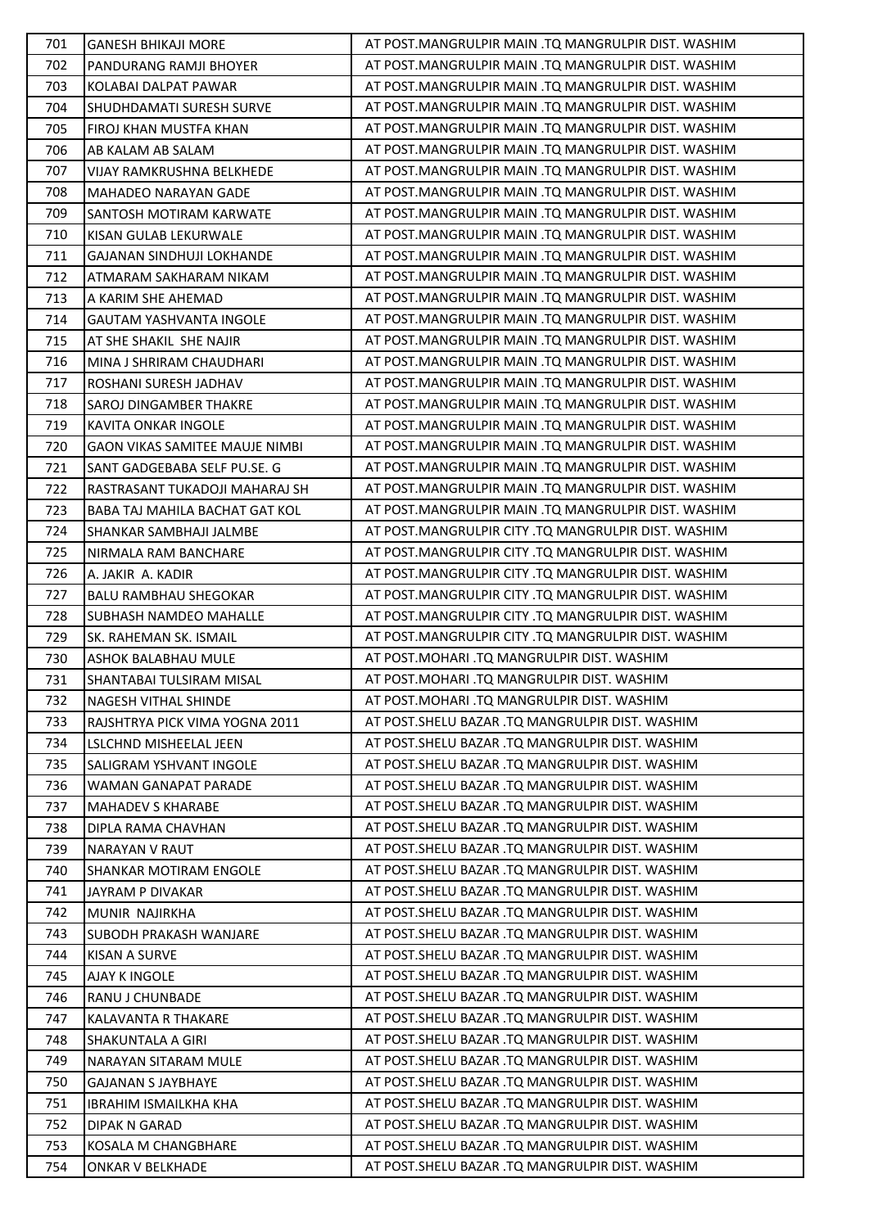| 701 | <b>GANESH BHIKAJI MORE</b>            | AT POST.MANGRULPIR MAIN .TQ MANGRULPIR DIST. WASHIM |
|-----|---------------------------------------|-----------------------------------------------------|
| 702 | PANDURANG RAMJI BHOYER                | AT POST.MANGRULPIR MAIN .TQ MANGRULPIR DIST. WASHIM |
| 703 | KOLABAI DALPAT PAWAR                  | AT POST.MANGRULPIR MAIN .TQ MANGRULPIR DIST. WASHIM |
| 704 | <b>SHUDHDAMATI SURESH SURVE</b>       | AT POST.MANGRULPIR MAIN .TQ MANGRULPIR DIST. WASHIM |
| 705 | <b>FIROJ KHAN MUSTFA KHAN</b>         | AT POST.MANGRULPIR MAIN .TQ MANGRULPIR DIST. WASHIM |
| 706 | AB KALAM AB SALAM                     | AT POST.MANGRULPIR MAIN .TQ MANGRULPIR DIST. WASHIM |
| 707 | VIJAY RAMKRUSHNA BELKHEDE             | AT POST.MANGRULPIR MAIN .TQ MANGRULPIR DIST. WASHIM |
| 708 | MAHADEO NARAYAN GADE                  | AT POST.MANGRULPIR MAIN .TQ MANGRULPIR DIST. WASHIM |
| 709 | SANTOSH MOTIRAM KARWATE               | AT POST.MANGRULPIR MAIN .TQ MANGRULPIR DIST. WASHIM |
| 710 | KISAN GULAB LEKURWALE                 | AT POST.MANGRULPIR MAIN .TQ MANGRULPIR DIST. WASHIM |
| 711 | GAJANAN SINDHUJI LOKHANDE             | AT POST.MANGRULPIR MAIN .TQ MANGRULPIR DIST. WASHIM |
| 712 | ATMARAM SAKHARAM NIKAM                | AT POST.MANGRULPIR MAIN .TQ MANGRULPIR DIST. WASHIM |
| 713 | A KARIM SHE AHEMAD                    | AT POST.MANGRULPIR MAIN .TQ MANGRULPIR DIST. WASHIM |
| 714 | GAUTAM YASHVANTA INGOLE               | AT POST.MANGRULPIR MAIN .TQ MANGRULPIR DIST. WASHIM |
| 715 | AT SHE SHAKIL SHE NAJIR               | AT POST.MANGRULPIR MAIN .TQ MANGRULPIR DIST. WASHIM |
| 716 | MINA J SHRIRAM CHAUDHARI              | AT POST.MANGRULPIR MAIN .TQ MANGRULPIR DIST. WASHIM |
| 717 | ROSHANI SURESH JADHAV                 | AT POST.MANGRULPIR MAIN .TQ MANGRULPIR DIST. WASHIM |
| 718 | SAROJ DINGAMBER THAKRE                | AT POST.MANGRULPIR MAIN .TQ MANGRULPIR DIST. WASHIM |
| 719 | KAVITA ONKAR INGOLE                   | AT POST.MANGRULPIR MAIN .TQ MANGRULPIR DIST. WASHIM |
| 720 | <b>GAON VIKAS SAMITEE MAUJE NIMBI</b> | AT POST.MANGRULPIR MAIN .TQ MANGRULPIR DIST. WASHIM |
| 721 | SANT GADGEBABA SELF PU.SE. G          | AT POST.MANGRULPIR MAIN .TQ MANGRULPIR DIST. WASHIM |
| 722 | RASTRASANT TUKADOJI MAHARAJ SH        | AT POST.MANGRULPIR MAIN .TQ MANGRULPIR DIST. WASHIM |
| 723 | BABA TAJ MAHILA BACHAT GAT KOL        | AT POST.MANGRULPIR MAIN .TQ MANGRULPIR DIST. WASHIM |
| 724 | SHANKAR SAMBHAJI JALMBE               | AT POST.MANGRULPIR CITY .TQ MANGRULPIR DIST. WASHIM |
| 725 | NIRMALA RAM BANCHARE                  | AT POST.MANGRULPIR CITY .TQ MANGRULPIR DIST. WASHIM |
| 726 | A. JAKIR A. KADIR                     | AT POST.MANGRULPIR CITY .TQ MANGRULPIR DIST. WASHIM |
| 727 | <b>BALU RAMBHAU SHEGOKAR</b>          | AT POST.MANGRULPIR CITY .TQ MANGRULPIR DIST. WASHIM |
| 728 | SUBHASH NAMDEO MAHALLE                | AT POST.MANGRULPIR CITY .TQ MANGRULPIR DIST. WASHIM |
| 729 | SK. RAHEMAN SK. ISMAIL                | AT POST.MANGRULPIR CITY .TQ MANGRULPIR DIST. WASHIM |
| 730 | <b>ASHOK BALABHAU MULE</b>            | AT POST.MOHARI .TQ MANGRULPIR DIST. WASHIM          |
| 731 | SHANTABAI TULSIRAM MISAL              | AT POST.MOHARI .TQ MANGRULPIR DIST. WASHIM          |
| 732 | <b>NAGESH VITHAL SHINDE</b>           | AT POST.MOHARI .TQ MANGRULPIR DIST. WASHIM          |
| 733 | RAJSHTRYA PICK VIMA YOGNA 2011        | AT POST.SHELU BAZAR .TQ MANGRULPIR DIST. WASHIM     |
| 734 | LSLCHND MISHEELAL JEEN                | AT POST. SHELU BAZAR .TQ MANGRULPIR DIST. WASHIM    |
| 735 | SALIGRAM YSHVANT INGOLE               | AT POST.SHELU BAZAR .TQ MANGRULPIR DIST. WASHIM     |
| 736 | WAMAN GANAPAT PARADE                  | AT POST. SHELU BAZAR .TQ MANGRULPIR DIST. WASHIM    |
| 737 | <b>MAHADEV S KHARABE</b>              | AT POST. SHELU BAZAR .TQ MANGRULPIR DIST. WASHIM    |
| 738 | DIPLA RAMA CHAVHAN                    | AT POST.SHELU BAZAR .TQ MANGRULPIR DIST. WASHIM     |
| 739 | <b>NARAYAN V RAUT</b>                 | AT POST. SHELU BAZAR .TQ MANGRULPIR DIST. WASHIM    |
| 740 | SHANKAR MOTIRAM ENGOLE                | AT POST. SHELU BAZAR .TQ MANGRULPIR DIST. WASHIM    |
| 741 | JAYRAM P DIVAKAR                      | AT POST. SHELU BAZAR .TQ MANGRULPIR DIST. WASHIM    |
| 742 | MUNIR NAJIRKHA                        | AT POST. SHELU BAZAR .TO MANGRULPIR DIST. WASHIM    |
| 743 | <b>SUBODH PRAKASH WANJARE</b>         | AT POST. SHELU BAZAR .TQ MANGRULPIR DIST. WASHIM    |
| 744 | KISAN A SURVE                         | AT POST.SHELU BAZAR .TQ MANGRULPIR DIST. WASHIM     |
| 745 | AJAY K INGOLE                         | AT POST.SHELU BAZAR .TQ MANGRULPIR DIST. WASHIM     |
| 746 | RANU J CHUNBADE                       | AT POST. SHELU BAZAR .TQ MANGRULPIR DIST. WASHIM    |
| 747 | KALAVANTA R THAKARE                   | AT POST.SHELU BAZAR .TQ MANGRULPIR DIST. WASHIM     |
| 748 | SHAKUNTALA A GIRI                     | AT POST.SHELU BAZAR .TQ MANGRULPIR DIST. WASHIM     |
| 749 | NARAYAN SITARAM MULE                  | AT POST. SHELU BAZAR .TQ MANGRULPIR DIST. WASHIM    |
| 750 | <b>GAJANAN S JAYBHAYE</b>             | AT POST.SHELU BAZAR .TQ MANGRULPIR DIST. WASHIM     |
| 751 | <b>IBRAHIM ISMAILKHA KHA</b>          | AT POST.SHELU BAZAR .TQ MANGRULPIR DIST. WASHIM     |
| 752 | <b>DIPAK N GARAD</b>                  | AT POST.SHELU BAZAR .TQ MANGRULPIR DIST. WASHIM     |
| 753 | KOSALA M CHANGBHARE                   | AT POST. SHELU BAZAR .TO MANGRULPIR DIST. WASHIM    |
| 754 | ONKAR V BELKHADE                      | AT POST. SHELU BAZAR .TQ MANGRULPIR DIST. WASHIM    |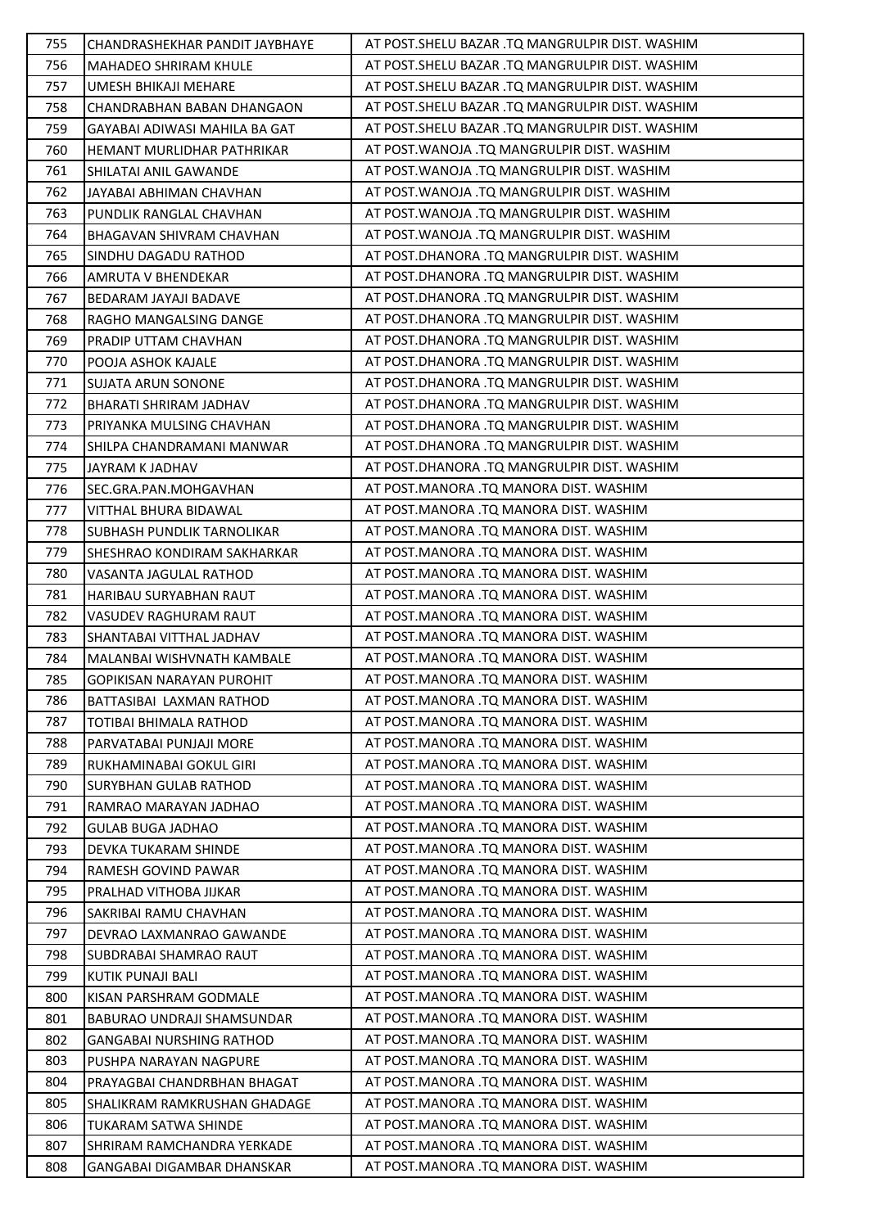| 755 | CHANDRASHEKHAR PANDIT JAYBHAYE   | AT POST. SHELU BAZAR .TQ MANGRULPIR DIST. WASHIM |
|-----|----------------------------------|--------------------------------------------------|
| 756 | <b>MAHADEO SHRIRAM KHULE</b>     | AT POST.SHELU BAZAR .TQ MANGRULPIR DIST. WASHIM  |
| 757 | UMESH BHIKAJI MEHARE             | AT POST. SHELU BAZAR .TQ MANGRULPIR DIST. WASHIM |
| 758 | CHANDRABHAN BABAN DHANGAON       | AT POST. SHELU BAZAR .TQ MANGRULPIR DIST. WASHIM |
| 759 | GAYABAI ADIWASI MAHILA BA GAT    | AT POST. SHELU BAZAR .TQ MANGRULPIR DIST. WASHIM |
| 760 | HEMANT MURLIDHAR PATHRIKAR       | AT POST. WANOJA .TQ MANGRULPIR DIST. WASHIM      |
| 761 | SHILATAI ANIL GAWANDE            | AT POST. WANOJA .TQ MANGRULPIR DIST. WASHIM      |
| 762 | JAYABAI ABHIMAN CHAVHAN          | AT POST. WANOJA .TQ MANGRULPIR DIST. WASHIM      |
| 763 | PUNDLIK RANGLAL CHAVHAN          | AT POST. WANOJA .TQ MANGRULPIR DIST. WASHIM      |
| 764 | BHAGAVAN SHIVRAM CHAVHAN         | AT POST. WANOJA .TQ MANGRULPIR DIST. WASHIM      |
| 765 | SINDHU DAGADU RATHOD             | AT POST.DHANORA .TQ MANGRULPIR DIST. WASHIM      |
| 766 | AMRUTA V BHENDEKAR               | AT POST.DHANORA .TQ MANGRULPIR DIST. WASHIM      |
| 767 | BEDARAM JAYAJI BADAVE            | AT POST.DHANORA .TQ MANGRULPIR DIST. WASHIM      |
| 768 | RAGHO MANGALSING DANGE           | AT POST.DHANORA .TQ MANGRULPIR DIST. WASHIM      |
| 769 | PRADIP UTTAM CHAVHAN             | AT POST.DHANORA .TQ MANGRULPIR DIST. WASHIM      |
| 770 | POOJA ASHOK KAJALE               | AT POST.DHANORA .TQ MANGRULPIR DIST. WASHIM      |
| 771 | <b>SUJATA ARUN SONONE</b>        | AT POST.DHANORA .TQ MANGRULPIR DIST. WASHIM      |
| 772 | BHARATI SHRIRAM JADHAV           | AT POST.DHANORA .TQ MANGRULPIR DIST. WASHIM      |
| 773 | PRIYANKA MULSING CHAVHAN         | AT POST.DHANORA .TQ MANGRULPIR DIST. WASHIM      |
| 774 | SHILPA CHANDRAMANI MANWAR        | AT POST.DHANORA .TQ MANGRULPIR DIST. WASHIM      |
| 775 | JAYRAM K JADHAV                  | AT POST.DHANORA .TQ MANGRULPIR DIST. WASHIM      |
| 776 | SEC.GRA.PAN.MOHGAVHAN            | AT POST.MANORA .TQ MANORA DIST. WASHIM           |
| 777 | VITTHAL BHURA BIDAWAL            | AT POST.MANORA .TQ MANORA DIST. WASHIM           |
| 778 | SUBHASH PUNDLIK TARNOLIKAR       | AT POST.MANORA .TQ MANORA DIST. WASHIM           |
| 779 | SHESHRAO KONDIRAM SAKHARKAR      | AT POST.MANORA .TQ MANORA DIST. WASHIM           |
| 780 | VASANTA JAGULAL RATHOD           | AT POST.MANORA .TQ MANORA DIST. WASHIM           |
| 781 | HARIBAU SURYABHAN RAUT           | AT POST.MANORA .TQ MANORA DIST. WASHIM           |
| 782 | VASUDEV RAGHURAM RAUT            | AT POST.MANORA .TQ MANORA DIST. WASHIM           |
| 783 | SHANTABAI VITTHAL JADHAV         | AT POST.MANORA .TQ MANORA DIST. WASHIM           |
| 784 | MALANBAI WISHVNATH KAMBALE       | AT POST.MANORA .TQ MANORA DIST. WASHIM           |
| 785 | <b>GOPIKISAN NARAYAN PUROHIT</b> | AT POST.MANORA .TQ MANORA DIST. WASHIM           |
| 786 | BATTASIBAI LAXMAN RATHOD         | AT POST.MANORA .TQ MANORA DIST. WASHIM           |
| 787 | TOTIBAI BHIMALA RATHOD           | AT POST.MANORA .TQ MANORA DIST. WASHIM           |
| 788 | PARVATABAI PUNJAJI MORE          | AT POST.MANORA .TQ MANORA DIST. WASHIM           |
| 789 | RUKHAMINABAI GOKUL GIRI          | AT POST.MANORA .TQ MANORA DIST. WASHIM           |
| 790 | <b>SURYBHAN GULAB RATHOD</b>     | AT POST.MANORA .TO MANORA DIST. WASHIM           |
| 791 | RAMRAO MARAYAN JADHAO            | AT POST.MANORA .TQ MANORA DIST. WASHIM           |
| 792 | <b>GULAB BUGA JADHAO</b>         | AT POST.MANORA .TQ MANORA DIST. WASHIM           |
| 793 | DEVKA TUKARAM SHINDE             | AT POST.MANORA .TQ MANORA DIST. WASHIM           |
| 794 | RAMESH GOVIND PAWAR              | AT POST.MANORA .TQ MANORA DIST. WASHIM           |
| 795 | PRALHAD VITHOBA JIJKAR           | AT POST.MANORA .TQ MANORA DIST. WASHIM           |
| 796 | SAKRIBAI RAMU CHAVHAN            | AT POST.MANORA .TQ MANORA DIST. WASHIM           |
| 797 | DEVRAO LAXMANRAO GAWANDE         | AT POST.MANORA .TQ MANORA DIST. WASHIM           |
| 798 | SUBDRABAI SHAMRAO RAUT           | AT POST.MANORA .TQ MANORA DIST. WASHIM           |
| 799 | KUTIK PUNAJI BALI                | AT POST.MANORA .TQ MANORA DIST. WASHIM           |
| 800 | KISAN PARSHRAM GODMALE           | AT POST.MANORA .TQ MANORA DIST. WASHIM           |
| 801 | BABURAO UNDRAJI SHAMSUNDAR       | AT POST.MANORA .TQ MANORA DIST. WASHIM           |
| 802 | <b>GANGABAI NURSHING RATHOD</b>  | AT POST.MANORA .TQ MANORA DIST. WASHIM           |
| 803 | PUSHPA NARAYAN NAGPURE           | AT POST.MANORA .TQ MANORA DIST. WASHIM           |
| 804 | PRAYAGBAI CHANDRBHAN BHAGAT      | AT POST.MANORA .TQ MANORA DIST. WASHIM           |
| 805 | SHALIKRAM RAMKRUSHAN GHADAGE     | AT POST.MANORA .TQ MANORA DIST. WASHIM           |
| 806 | TUKARAM SATWA SHINDE             | AT POST.MANORA .TQ MANORA DIST. WASHIM           |
| 807 | SHRIRAM RAMCHANDRA YERKADE       | AT POST.MANORA .TQ MANORA DIST. WASHIM           |
| 808 | GANGABAI DIGAMBAR DHANSKAR       | AT POST.MANORA .TQ MANORA DIST. WASHIM           |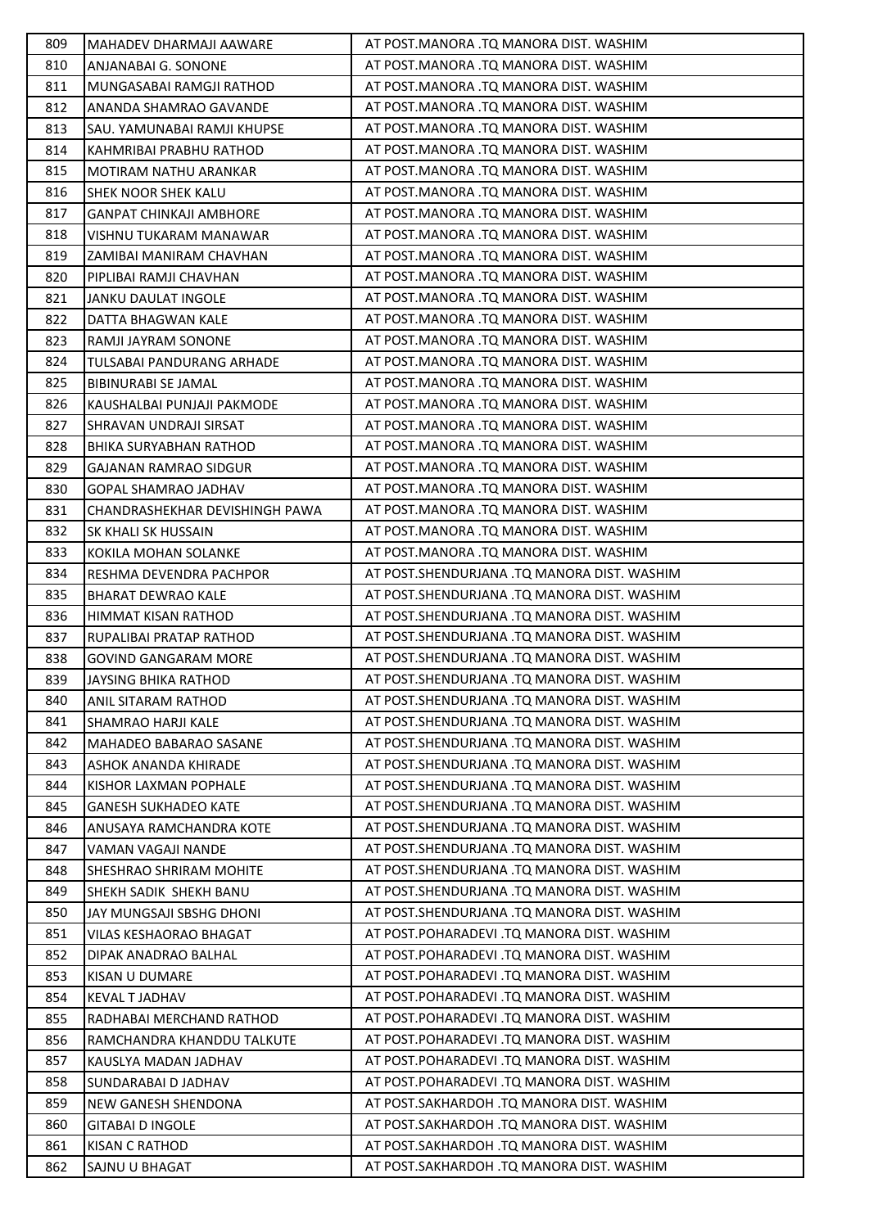| 809 | MAHADEV DHARMAJI AAWARE        | AT POST.MANORA .TQ MANORA DIST. WASHIM       |
|-----|--------------------------------|----------------------------------------------|
| 810 | ANJANABAI G. SONONE            | AT POST.MANORA .TQ MANORA DIST. WASHIM       |
| 811 | MUNGASABAI RAMGJI RATHOD       | AT POST.MANORA .TQ MANORA DIST. WASHIM       |
| 812 | ANANDA SHAMRAO GAVANDE         | AT POST.MANORA .TQ MANORA DIST. WASHIM       |
| 813 | SAU. YAMUNABAI RAMJI KHUPSE    | AT POST.MANORA .TO MANORA DIST. WASHIM       |
| 814 | KAHMRIBAI PRABHU RATHOD        | AT POST.MANORA .TQ MANORA DIST. WASHIM       |
| 815 | MOTIRAM NATHU ARANKAR          | AT POST.MANORA .TQ MANORA DIST. WASHIM       |
| 816 | SHEK NOOR SHEK KALU            | AT POST.MANORA .TQ MANORA DIST. WASHIM       |
| 817 | <b>GANPAT CHINKAJI AMBHORE</b> | AT POST.MANORA .TQ MANORA DIST. WASHIM       |
| 818 | VISHNU TUKARAM MANAWAR         | AT POST.MANORA .TQ MANORA DIST. WASHIM       |
| 819 | ZAMIBAI MANIRAM CHAVHAN        | AT POST.MANORA .TQ MANORA DIST. WASHIM       |
| 820 | PIPLIBAI RAMJI CHAVHAN         | AT POST.MANORA .TQ MANORA DIST. WASHIM       |
| 821 | <b>JANKU DAULAT INGOLE</b>     | AT POST.MANORA .TQ MANORA DIST. WASHIM       |
| 822 | DATTA BHAGWAN KALE             | AT POST.MANORA .TQ MANORA DIST. WASHIM       |
| 823 | RAMJI JAYRAM SONONE            | AT POST.MANORA .TQ MANORA DIST. WASHIM       |
| 824 | TULSABAI PANDURANG ARHADE      | AT POST.MANORA .TQ MANORA DIST. WASHIM       |
| 825 | <b>BIBINURABI SE JAMAL</b>     | AT POST.MANORA .TQ MANORA DIST. WASHIM       |
| 826 | KAUSHALBAI PUNJAJI PAKMODE     | AT POST.MANORA .TQ MANORA DIST. WASHIM       |
| 827 | SHRAVAN UNDRAJI SIRSAT         | AT POST.MANORA .TQ MANORA DIST. WASHIM       |
| 828 | BHIKA SURYABHAN RATHOD         | AT POST.MANORA .TQ MANORA DIST. WASHIM       |
| 829 | <b>GAJANAN RAMRAO SIDGUR</b>   | AT POST.MANORA .TQ MANORA DIST. WASHIM       |
| 830 | GOPAL SHAMRAO JADHAV           | AT POST.MANORA .TQ MANORA DIST. WASHIM       |
| 831 | CHANDRASHEKHAR DEVISHINGH PAWA | AT POST.MANORA .TQ MANORA DIST. WASHIM       |
| 832 | SK KHALI SK HUSSAIN            | AT POST.MANORA .TQ MANORA DIST. WASHIM       |
| 833 | KOKILA MOHAN SOLANKE           | AT POST.MANORA .TQ MANORA DIST. WASHIM       |
| 834 | RESHMA DEVENDRA PACHPOR        | AT POST.SHENDURJANA .TQ MANORA DIST. WASHIM  |
| 835 | <b>BHARAT DEWRAO KALE</b>      | AT POST.SHENDURJANA .TQ MANORA DIST. WASHIM  |
| 836 | HIMMAT KISAN RATHOD            | AT POST.SHENDURJANA .TQ MANORA DIST. WASHIM  |
| 837 | RUPALIBAI PRATAP RATHOD        | AT POST.SHENDURJANA .TQ MANORA DIST. WASHIM  |
| 838 | GOVIND GANGARAM MORE           | AT POST.SHENDURJANA .TQ MANORA DIST. WASHIM  |
| 839 | JAYSING BHIKA RATHOD           | AT POST.SHENDURJANA .TQ MANORA DIST. WASHIM  |
| 840 | <b>ANIL SITARAM RATHOD</b>     | AT POST.SHENDURJANA .TQ MANORA DIST. WASHIM  |
| 841 | SHAMRAO HARJI KALE             | AT POST.SHENDURJANA .TQ MANORA DIST. WASHIM  |
| 842 | MAHADEO BABARAO SASANE         | AT POST.SHENDURJANA .TQ MANORA DIST. WASHIM  |
| 843 | ASHOK ANANDA KHIRADE           | AT POST. SHENDURJANA .TQ MANORA DIST. WASHIM |
| 844 | KISHOR LAXMAN POPHALE          | AT POST. SHENDURJANA .TQ MANORA DIST. WASHIM |
| 845 | <b>GANESH SUKHADEO KATE</b>    | AT POST.SHENDURJANA .TQ MANORA DIST. WASHIM  |
| 846 | ANUSAYA RAMCHANDRA KOTE        | AT POST.SHENDURJANA .TQ MANORA DIST. WASHIM  |
| 847 | VAMAN VAGAJI NANDE             | AT POST.SHENDURJANA .TQ MANORA DIST. WASHIM  |
| 848 | SHESHRAO SHRIRAM MOHITE        | AT POST.SHENDURJANA .TQ MANORA DIST. WASHIM  |
| 849 | SHEKH SADIK SHEKH BANU         | AT POST. SHENDURJANA .TQ MANORA DIST. WASHIM |
| 850 | JAY MUNGSAJI SBSHG DHONI       | AT POST. SHENDURJANA .TQ MANORA DIST. WASHIM |
| 851 | VILAS KESHAORAO BHAGAT         | AT POST.POHARADEVI .TQ MANORA DIST. WASHIM   |
| 852 | DIPAK ANADRAO BALHAL           | AT POST.POHARADEVI .TQ MANORA DIST. WASHIM   |
| 853 | <b>KISAN U DUMARE</b>          | AT POST.POHARADEVI .TQ MANORA DIST. WASHIM   |
| 854 | <b>KEVAL T JADHAV</b>          | AT POST.POHARADEVI .TQ MANORA DIST. WASHIM   |
| 855 | RADHABAI MERCHAND RATHOD       | AT POST.POHARADEVI .TQ MANORA DIST. WASHIM   |
| 856 | RAMCHANDRA KHANDDU TALKUTE     | AT POST.POHARADEVI .TQ MANORA DIST. WASHIM   |
| 857 | KAUSLYA MADAN JADHAV           | AT POST.POHARADEVI .TQ MANORA DIST. WASHIM   |
| 858 | SUNDARABAI D JADHAV            | AT POST.POHARADEVI .TQ MANORA DIST. WASHIM   |
| 859 | <b>NEW GANESH SHENDONA</b>     | AT POST.SAKHARDOH .TQ MANORA DIST. WASHIM    |
| 860 | <b>GITABAI D INGOLE</b>        | AT POST.SAKHARDOH .TQ MANORA DIST. WASHIM    |
| 861 | <b>KISAN C RATHOD</b>          | AT POST.SAKHARDOH .TQ MANORA DIST. WASHIM    |
| 862 | SAJNU U BHAGAT                 | AT POST.SAKHARDOH .TQ MANORA DIST. WASHIM    |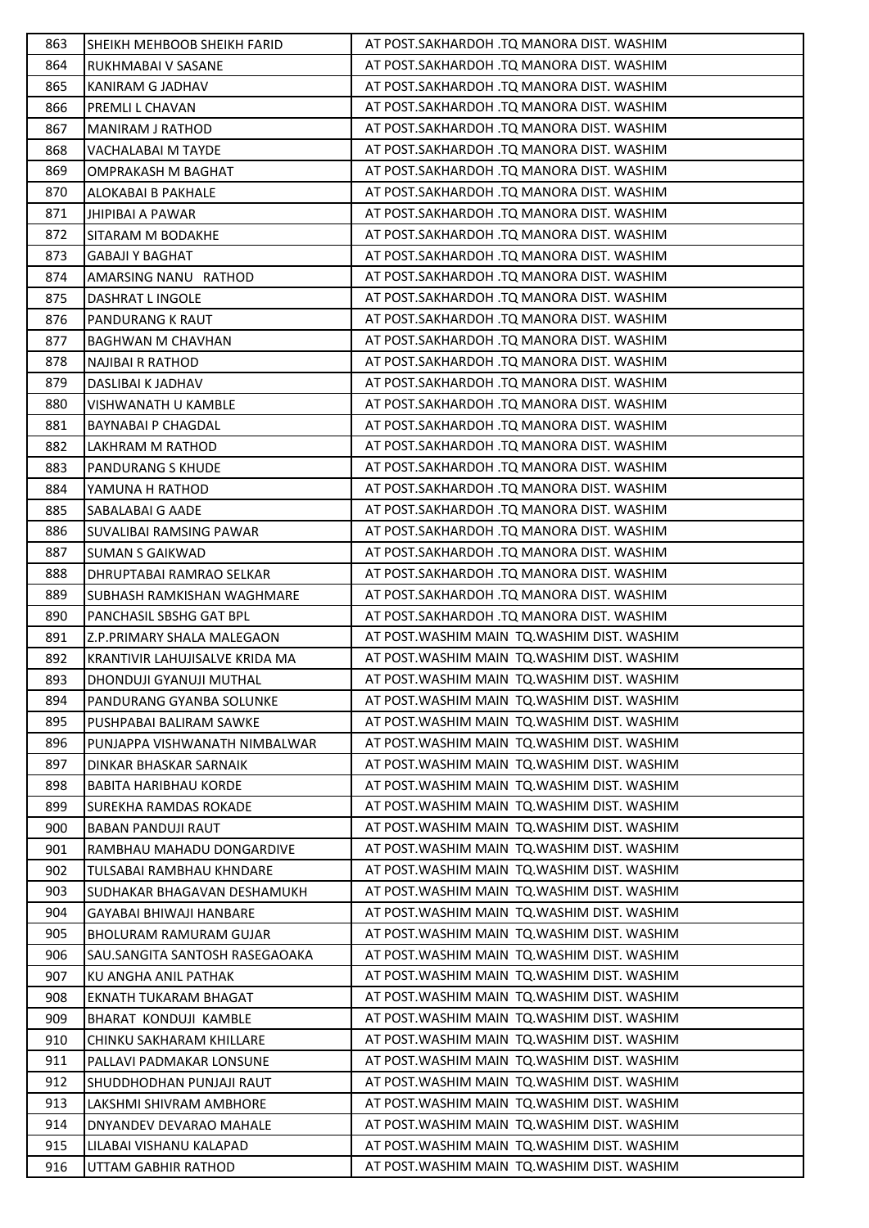| 863 | SHEIKH MEHBOOB SHEIKH FARID    | AT POST.SAKHARDOH .TQ MANORA DIST. WASHIM    |
|-----|--------------------------------|----------------------------------------------|
| 864 | RUKHMABAI V SASANE             | AT POST.SAKHARDOH .TQ MANORA DIST. WASHIM    |
| 865 | KANIRAM G JADHAV               | AT POST.SAKHARDOH .TQ MANORA DIST. WASHIM    |
| 866 | PREMLI L CHAVAN                | AT POST.SAKHARDOH .TQ MANORA DIST. WASHIM    |
| 867 | <b>MANIRAM J RATHOD</b>        | AT POST.SAKHARDOH .TQ MANORA DIST. WASHIM    |
| 868 | VACHALABAI M TAYDE             | AT POST.SAKHARDOH .TQ MANORA DIST. WASHIM    |
| 869 | OMPRAKASH M BAGHAT             | AT POST.SAKHARDOH .TQ MANORA DIST. WASHIM    |
| 870 | ALOKABAI B PAKHALE             | AT POST.SAKHARDOH .TQ MANORA DIST. WASHIM    |
| 871 | <b>JHIPIBAI A PAWAR</b>        | AT POST.SAKHARDOH .TQ MANORA DIST. WASHIM    |
| 872 | SITARAM M BODAKHE              | AT POST.SAKHARDOH .TQ MANORA DIST. WASHIM    |
| 873 | <b>GABAJI Y BAGHAT</b>         | AT POST.SAKHARDOH .TQ MANORA DIST. WASHIM    |
| 874 | AMARSING NANU RATHOD           | AT POST.SAKHARDOH .TQ MANORA DIST. WASHIM    |
| 875 | DASHRAT L INGOLE               | AT POST.SAKHARDOH .TQ MANORA DIST. WASHIM    |
| 876 | PANDURANG K RAUT               | AT POST.SAKHARDOH .TQ MANORA DIST. WASHIM    |
| 877 | <b>BAGHWAN M CHAVHAN</b>       | AT POST.SAKHARDOH .TQ MANORA DIST. WASHIM    |
| 878 | NAJIBAI R RATHOD               | AT POST.SAKHARDOH .TQ MANORA DIST. WASHIM    |
| 879 | DASLIBAI K JADHAV              | AT POST.SAKHARDOH .TQ MANORA DIST. WASHIM    |
| 880 | VISHWANATH U KAMBLE            | AT POST.SAKHARDOH .TQ MANORA DIST. WASHIM    |
| 881 | <b>BAYNABAI P CHAGDAL</b>      | AT POST.SAKHARDOH .TQ MANORA DIST. WASHIM    |
| 882 | LAKHRAM M RATHOD               | AT POST.SAKHARDOH .TQ MANORA DIST. WASHIM    |
| 883 | PANDURANG S KHUDE              | AT POST.SAKHARDOH .TQ MANORA DIST. WASHIM    |
| 884 | YAMUNA H RATHOD                | AT POST.SAKHARDOH .TQ MANORA DIST. WASHIM    |
| 885 | SABALABAI G AADE               | AT POST.SAKHARDOH .TQ MANORA DIST. WASHIM    |
| 886 | SUVALIBAI RAMSING PAWAR        | AT POST.SAKHARDOH .TQ MANORA DIST. WASHIM    |
| 887 | <b>SUMAN S GAIKWAD</b>         | AT POST.SAKHARDOH .TQ MANORA DIST. WASHIM    |
| 888 | DHRUPTABAI RAMRAO SELKAR       | AT POST.SAKHARDOH .TQ MANORA DIST. WASHIM    |
| 889 | SUBHASH RAMKISHAN WAGHMARE     | AT POST.SAKHARDOH .TQ MANORA DIST. WASHIM    |
| 890 | PANCHASIL SBSHG GAT BPL        | AT POST.SAKHARDOH .TQ MANORA DIST. WASHIM    |
| 891 | Z.P.PRIMARY SHALA MALEGAON     | AT POST. WASHIM MAIN TO. WASHIM DIST. WASHIM |
| 892 | KRANTIVIR LAHUJISALVE KRIDA MA | AT POST. WASHIM MAIN TO. WASHIM DIST. WASHIM |
| 893 | DHONDUJI GYANUJI MUTHAL        | AT POST. WASHIM MAIN TO. WASHIM DIST. WASHIM |
| 894 | PANDURANG GYANBA SOLUNKE       | AT POST. WASHIM MAIN TO. WASHIM DIST. WASHIM |
| 895 | PUSHPABAI BALIRAM SAWKE        | AT POST. WASHIM MAIN TQ. WASHIM DIST. WASHIM |
| 896 | PUNJAPPA VISHWANATH NIMBALWAR  | AT POST. WASHIM MAIN TQ. WASHIM DIST. WASHIM |
| 897 | DINKAR BHASKAR SARNAIK         | AT POST. WASHIM MAIN TO. WASHIM DIST. WASHIM |
| 898 | <b>BABITA HARIBHAU KORDE</b>   | AT POST. WASHIM MAIN TO. WASHIM DIST. WASHIM |
| 899 | SUREKHA RAMDAS ROKADE          | AT POST. WASHIM MAIN TQ. WASHIM DIST. WASHIM |
| 900 | <b>BABAN PANDUJI RAUT</b>      | AT POST. WASHIM MAIN TO. WASHIM DIST. WASHIM |
| 901 | RAMBHAU MAHADU DONGARDIVE      | AT POST. WASHIM MAIN TQ. WASHIM DIST. WASHIM |
| 902 | TULSABAI RAMBHAU KHNDARE       | AT POST. WASHIM MAIN TQ. WASHIM DIST. WASHIM |
| 903 | SUDHAKAR BHAGAVAN DESHAMUKH    | AT POST. WASHIM MAIN TO. WASHIM DIST. WASHIM |
| 904 | GAYABAI BHIWAJI HANBARE        | AT POST. WASHIM MAIN TQ. WASHIM DIST. WASHIM |
| 905 | BHOLURAM RAMURAM GUJAR         | AT POST. WASHIM MAIN TO. WASHIM DIST. WASHIM |
| 906 | SAU.SANGITA SANTOSH RASEGAOAKA | AT POST. WASHIM MAIN TO. WASHIM DIST. WASHIM |
| 907 | KU ANGHA ANIL PATHAK           | AT POST. WASHIM MAIN TO. WASHIM DIST. WASHIM |
| 908 | EKNATH TUKARAM BHAGAT          | AT POST. WASHIM MAIN TQ. WASHIM DIST. WASHIM |
| 909 | BHARAT KONDUJI KAMBLE          | AT POST. WASHIM MAIN TQ. WASHIM DIST. WASHIM |
| 910 | CHINKU SAKHARAM KHILLARE       | AT POST. WASHIM MAIN TO. WASHIM DIST. WASHIM |
| 911 | PALLAVI PADMAKAR LONSUNE       | AT POST. WASHIM MAIN TQ. WASHIM DIST. WASHIM |
| 912 | SHUDDHODHAN PUNJAJI RAUT       | AT POST. WASHIM MAIN TO. WASHIM DIST. WASHIM |
| 913 | LAKSHMI SHIVRAM AMBHORE        | AT POST. WASHIM MAIN TO. WASHIM DIST. WASHIM |
| 914 | DNYANDEV DEVARAO MAHALE        | AT POST. WASHIM MAIN TQ. WASHIM DIST. WASHIM |
| 915 | LILABAI VISHANU KALAPAD        | AT POST. WASHIM MAIN TQ. WASHIM DIST. WASHIM |
| 916 | UTTAM GABHIR RATHOD            | AT POST. WASHIM MAIN TQ. WASHIM DIST. WASHIM |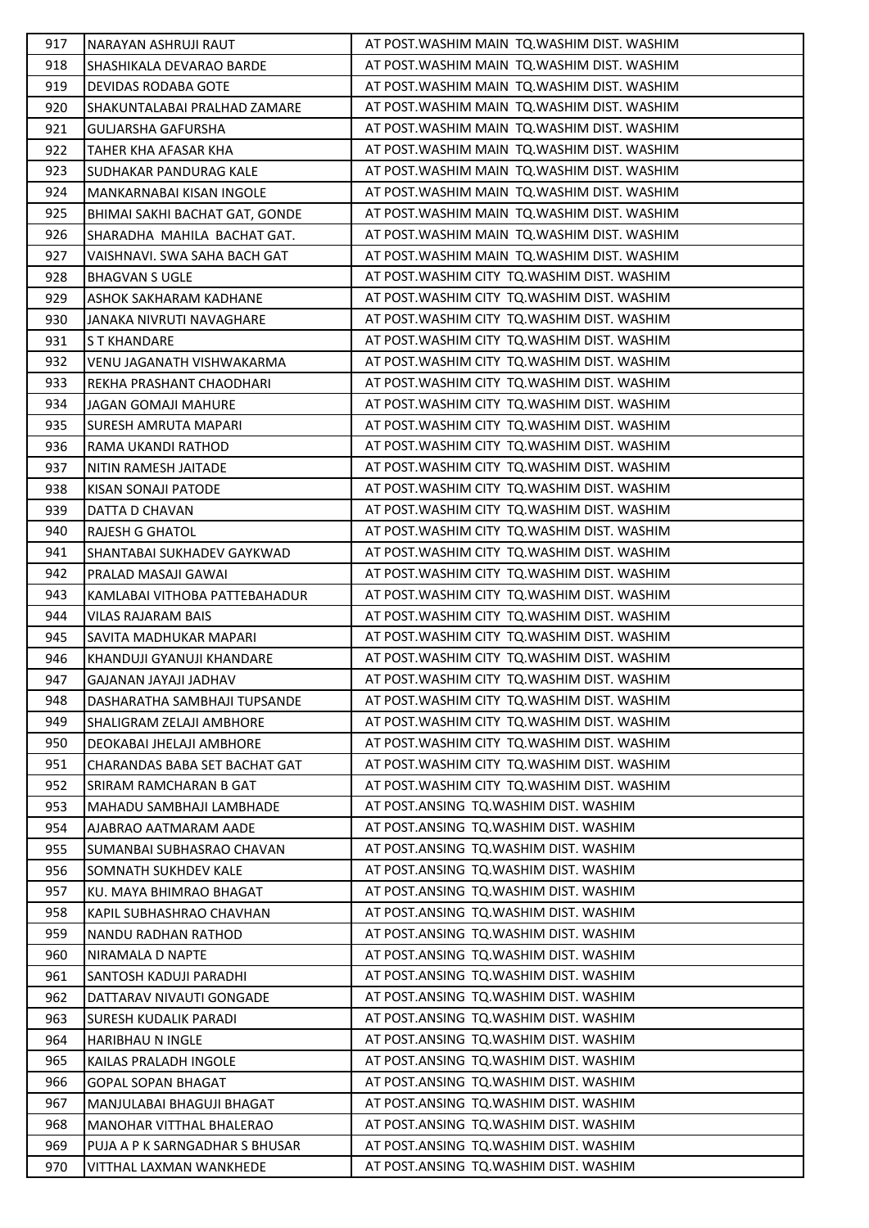| 917 | NARAYAN ASHRUJI RAUT            | AT POST. WASHIM MAIN TO. WASHIM DIST. WASHIM |
|-----|---------------------------------|----------------------------------------------|
| 918 | SHASHIKALA DEVARAO BARDE        | AT POST. WASHIM MAIN TQ. WASHIM DIST. WASHIM |
| 919 | DEVIDAS RODABA GOTE             | AT POST. WASHIM MAIN TO. WASHIM DIST. WASHIM |
| 920 | SHAKUNTALABAI PRALHAD ZAMARE    | AT POST. WASHIM MAIN TO. WASHIM DIST. WASHIM |
| 921 | <b>GULJARSHA GAFURSHA</b>       | AT POST. WASHIM MAIN TO. WASHIM DIST. WASHIM |
| 922 | TAHER KHA AFASAR KHA            | AT POST. WASHIM MAIN TO. WASHIM DIST. WASHIM |
| 923 | SUDHAKAR PANDURAG KALE          | AT POST. WASHIM MAIN TO. WASHIM DIST. WASHIM |
| 924 | <b>MANKARNABAI KISAN INGOLE</b> | AT POST. WASHIM MAIN TO. WASHIM DIST. WASHIM |
| 925 | BHIMAI SAKHI BACHAT GAT, GONDE  | AT POST. WASHIM MAIN TQ. WASHIM DIST. WASHIM |
| 926 | SHARADHA MAHILA BACHAT GAT.     | AT POST. WASHIM MAIN TO. WASHIM DIST. WASHIM |
| 927 | VAISHNAVI. SWA SAHA BACH GAT    | AT POST. WASHIM MAIN TO. WASHIM DIST. WASHIM |
| 928 | <b>BHAGVAN S UGLE</b>           | AT POST. WASHIM CITY TO. WASHIM DIST. WASHIM |
| 929 | ASHOK SAKHARAM KADHANE          | AT POST. WASHIM CITY TO. WASHIM DIST. WASHIM |
| 930 | JANAKA NIVRUTI NAVAGHARE        | AT POST. WASHIM CITY TO. WASHIM DIST. WASHIM |
| 931 | S T KHANDARE                    | AT POST. WASHIM CITY TO. WASHIM DIST. WASHIM |
| 932 | VENU JAGANATH VISHWAKARMA       | AT POST. WASHIM CITY TO. WASHIM DIST. WASHIM |
| 933 | REKHA PRASHANT CHAODHARI        | AT POST. WASHIM CITY TO. WASHIM DIST. WASHIM |
| 934 | JAGAN GOMAJI MAHURE             | AT POST. WASHIM CITY TO. WASHIM DIST. WASHIM |
| 935 | SURESH AMRUTA MAPARI            | AT POST. WASHIM CITY TO. WASHIM DIST. WASHIM |
| 936 | RAMA UKANDI RATHOD              | AT POST. WASHIM CITY TO. WASHIM DIST. WASHIM |
| 937 | NITIN RAMESH JAITADE            | AT POST. WASHIM CITY TO. WASHIM DIST. WASHIM |
| 938 | KISAN SONAJI PATODE             | AT POST. WASHIM CITY TO. WASHIM DIST. WASHIM |
| 939 | DATTA D CHAVAN                  | AT POST. WASHIM CITY TO. WASHIM DIST. WASHIM |
| 940 | <b>RAJESH G GHATOL</b>          | AT POST. WASHIM CITY TO. WASHIM DIST. WASHIM |
| 941 | SHANTABAI SUKHADEV GAYKWAD      | AT POST. WASHIM CITY TO. WASHIM DIST. WASHIM |
| 942 | PRALAD MASAJI GAWAI             | AT POST. WASHIM CITY TO. WASHIM DIST. WASHIM |
| 943 | KAMLABAI VITHOBA PATTEBAHADUR   | AT POST. WASHIM CITY TO. WASHIM DIST. WASHIM |
| 944 | <b>VILAS RAJARAM BAIS</b>       | AT POST. WASHIM CITY TO. WASHIM DIST. WASHIM |
| 945 | SAVITA MADHUKAR MAPARI          | AT POST. WASHIM CITY TO. WASHIM DIST. WASHIM |
| 946 | KHANDUJI GYANUJI KHANDARE       | AT POST. WASHIM CITY TO. WASHIM DIST. WASHIM |
| 947 | GAJANAN JAYAJI JADHAV           | AT POST. WASHIM CITY TO. WASHIM DIST. WASHIM |
| 948 | DASHARATHA SAMBHAJI TUPSANDE    | AT POST. WASHIM CITY TO. WASHIM DIST. WASHIM |
| 949 | SHALIGRAM ZELAJI AMBHORE        | AT POST. WASHIM CITY TO. WASHIM DIST. WASHIM |
| 950 | DEOKABAI JHELAJI AMBHORE        | AT POST. WASHIM CITY TO. WASHIM DIST. WASHIM |
| 951 | CHARANDAS BABA SET BACHAT GAT   | AT POST. WASHIM CITY TO. WASHIM DIST. WASHIM |
| 952 | SRIRAM RAMCHARAN B GAT          | AT POST. WASHIM CITY TO. WASHIM DIST. WASHIM |
| 953 | MAHADU SAMBHAJI LAMBHADE        | AT POST.ANSING TQ.WASHIM DIST. WASHIM        |
| 954 | AJABRAO AATMARAM AADE           | AT POST.ANSING TQ.WASHIM DIST. WASHIM        |
| 955 | SUMANBAI SUBHASRAO CHAVAN       | AT POST.ANSING TO.WASHIM DIST. WASHIM        |
| 956 | SOMNATH SUKHDEV KALE            | AT POST.ANSING TQ.WASHIM DIST. WASHIM        |
| 957 | KU. MAYA BHIMRAO BHAGAT         | AT POST.ANSING TO.WASHIM DIST. WASHIM        |
| 958 | KAPIL SUBHASHRAO CHAVHAN        | AT POST.ANSING TO.WASHIM DIST. WASHIM        |
| 959 | NANDU RADHAN RATHOD             | AT POST. ANSING TO. WASHIM DIST. WASHIM      |
| 960 | NIRAMALA D NAPTE                | AT POST.ANSING TQ.WASHIM DIST. WASHIM        |
| 961 | SANTOSH KADUJI PARADHI          | AT POST.ANSING TO.WASHIM DIST. WASHIM        |
| 962 | DATTARAV NIVAUTI GONGADE        | AT POST.ANSING TQ.WASHIM DIST. WASHIM        |
| 963 | <b>SURESH KUDALIK PARADI</b>    | AT POST.ANSING TQ.WASHIM DIST. WASHIM        |
| 964 | HARIBHAU N INGLE                | AT POST.ANSING TQ.WASHIM DIST. WASHIM        |
| 965 | KAILAS PRALADH INGOLE           | AT POST.ANSING TO.WASHIM DIST. WASHIM        |
| 966 | <b>GOPAL SOPAN BHAGAT</b>       | AT POST. ANSING TO. WASHIM DIST. WASHIM      |
| 967 | MANJULABAI BHAGUJI BHAGAT       | AT POST.ANSING TQ.WASHIM DIST. WASHIM        |
| 968 | MANOHAR VITTHAL BHALERAO        | AT POST.ANSING TQ.WASHIM DIST. WASHIM        |
| 969 | PUJA A P K SARNGADHAR S BHUSAR  | AT POST.ANSING TQ.WASHIM DIST. WASHIM        |
| 970 | VITTHAL LAXMAN WANKHEDE         | AT POST.ANSING TQ.WASHIM DIST. WASHIM        |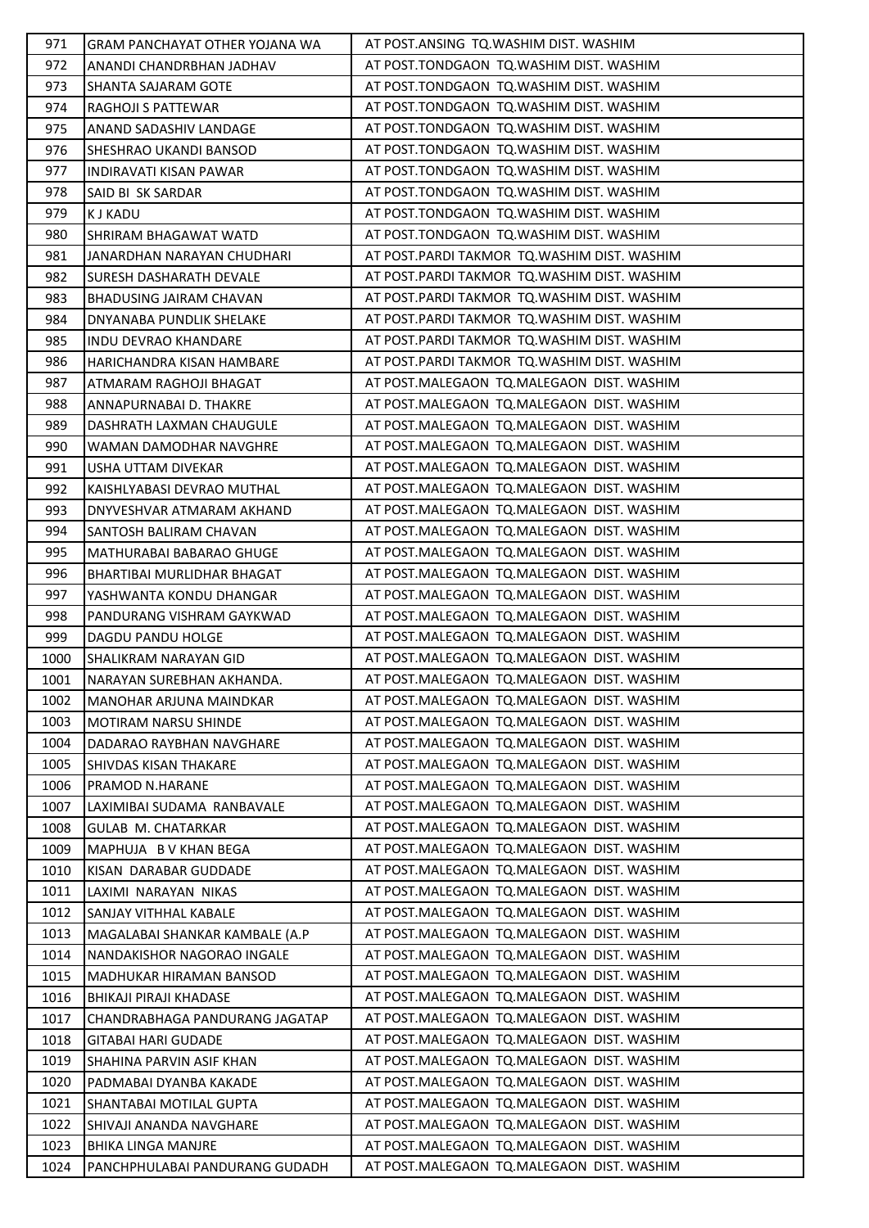| 971  | GRAM PANCHAYAT OTHER YOJANA WA  | AT POST.ANSING TQ.WASHIM DIST. WASHIM       |
|------|---------------------------------|---------------------------------------------|
| 972  | ANANDI CHANDRBHAN JADHAV        | AT POST.TONDGAON TQ.WASHIM DIST. WASHIM     |
| 973  | SHANTA SAJARAM GOTE             | AT POST.TONDGAON TQ.WASHIM DIST. WASHIM     |
| 974  | RAGHOJI S PATTEWAR              | AT POST.TONDGAON TQ.WASHIM DIST. WASHIM     |
| 975  | ANAND SADASHIV LANDAGE          | AT POST.TONDGAON TQ.WASHIM DIST. WASHIM     |
| 976  | SHESHRAO UKANDI BANSOD          | AT POST.TONDGAON TQ.WASHIM DIST. WASHIM     |
| 977  | <b>INDIRAVATI KISAN PAWAR</b>   | AT POST.TONDGAON TQ.WASHIM DIST. WASHIM     |
| 978  | SAID BI SK SARDAR               | AT POST.TONDGAON TQ.WASHIM DIST. WASHIM     |
| 979  | <b>KJ KADU</b>                  | AT POST.TONDGAON TQ.WASHIM DIST. WASHIM     |
| 980  | SHRIRAM BHAGAWAT WATD           | AT POST.TONDGAON TQ.WASHIM DIST. WASHIM     |
| 981  | JANARDHAN NARAYAN CHUDHARI      | AT POST.PARDI TAKMOR TQ.WASHIM DIST. WASHIM |
| 982  | <b>SURESH DASHARATH DEVALE</b>  | AT POST.PARDI TAKMOR TQ.WASHIM DIST. WASHIM |
| 983  | <b>BHADUSING JAIRAM CHAVAN</b>  | AT POST.PARDI TAKMOR TQ.WASHIM DIST. WASHIM |
| 984  | <b>DNYANABA PUNDLIK SHELAKE</b> | AT POST.PARDI TAKMOR TQ.WASHIM DIST. WASHIM |
| 985  | <b>INDU DEVRAO KHANDARE</b>     | AT POST.PARDI TAKMOR TQ.WASHIM DIST. WASHIM |
| 986  | HARICHANDRA KISAN HAMBARE       | AT POST.PARDI TAKMOR TQ.WASHIM DIST. WASHIM |
| 987  | ATMARAM RAGHOJI BHAGAT          | AT POST.MALEGAON TQ.MALEGAON DIST. WASHIM   |
| 988  | ANNAPURNABAI D. THAKRE          | AT POST.MALEGAON TQ.MALEGAON DIST. WASHIM   |
| 989  | DASHRATH LAXMAN CHAUGULE        | AT POST.MALEGAON TQ.MALEGAON DIST. WASHIM   |
| 990  | WAMAN DAMODHAR NAVGHRE          | AT POST.MALEGAON TQ.MALEGAON DIST. WASHIM   |
| 991  | USHA UTTAM DIVEKAR              | AT POST.MALEGAON TQ.MALEGAON DIST. WASHIM   |
| 992  | KAISHLYABASI DEVRAO MUTHAL      | AT POST.MALEGAON TQ.MALEGAON DIST. WASHIM   |
| 993  | DNYVESHVAR ATMARAM AKHAND       | AT POST.MALEGAON TQ.MALEGAON DIST. WASHIM   |
| 994  | SANTOSH BALIRAM CHAVAN          | AT POST.MALEGAON TQ.MALEGAON DIST. WASHIM   |
| 995  | MATHURABAI BABARAO GHUGE        | AT POST.MALEGAON TQ.MALEGAON DIST. WASHIM   |
| 996  | BHARTIBAI MURLIDHAR BHAGAT      | AT POST.MALEGAON TQ.MALEGAON DIST. WASHIM   |
| 997  | YASHWANTA KONDU DHANGAR         | AT POST.MALEGAON TQ.MALEGAON DIST. WASHIM   |
| 998  | PANDURANG VISHRAM GAYKWAD       | AT POST.MALEGAON TQ.MALEGAON DIST. WASHIM   |
| 999  | DAGDU PANDU HOLGE               | AT POST.MALEGAON TQ.MALEGAON DIST. WASHIM   |
| 1000 | SHALIKRAM NARAYAN GID           | AT POST.MALEGAON TQ.MALEGAON DIST. WASHIM   |
| 1001 | NARAYAN SUREBHAN AKHANDA.       | AT POST.MALEGAON TQ.MALEGAON DIST. WASHIM   |
| 1002 | <b>MANOHAR ARJUNA MAINDKAR</b>  | AT POST.MALEGAON TQ.MALEGAON DIST. WASHIM   |
| 1003 | MOTIRAM NARSU SHINDE            | AT POST.MALEGAON TQ.MALEGAON DIST. WASHIM   |
| 1004 | DADARAO RAYBHAN NAVGHARE        | AT POST.MALEGAON TQ.MALEGAON DIST. WASHIM   |
| 1005 | SHIVDAS KISAN THAKARE           | AT POST.MALEGAON TQ.MALEGAON DIST. WASHIM   |
| 1006 | PRAMOD N.HARANE                 | AT POST.MALEGAON TQ.MALEGAON DIST. WASHIM   |
| 1007 | LAXIMIBAI SUDAMA RANBAVALE      | AT POST.MALEGAON TQ.MALEGAON DIST. WASHIM   |
| 1008 | <b>GULAB M. CHATARKAR</b>       | AT POST.MALEGAON TQ.MALEGAON DIST. WASHIM   |
| 1009 | MAPHUJA B V KHAN BEGA           | AT POST.MALEGAON TQ.MALEGAON DIST. WASHIM   |
| 1010 | KISAN DARABAR GUDDADE           | AT POST.MALEGAON TQ.MALEGAON DIST. WASHIM   |
| 1011 | LAXIMI NARAYAN NIKAS            | AT POST.MALEGAON TQ.MALEGAON DIST. WASHIM   |
| 1012 | SANJAY VITHHAL KABALE           | AT POST.MALEGAON TQ.MALEGAON DIST. WASHIM   |
| 1013 | MAGALABAI SHANKAR KAMBALE (A.P  | AT POST.MALEGAON TQ.MALEGAON DIST. WASHIM   |
| 1014 | NANDAKISHOR NAGORAO INGALE      | AT POST.MALEGAON TQ.MALEGAON DIST. WASHIM   |
| 1015 | MADHUKAR HIRAMAN BANSOD         | AT POST.MALEGAON TQ.MALEGAON DIST. WASHIM   |
| 1016 | BHIKAJI PIRAJI KHADASE          | AT POST.MALEGAON TQ.MALEGAON DIST. WASHIM   |
| 1017 | CHANDRABHAGA PANDURANG JAGATAP  | AT POST.MALEGAON TQ.MALEGAON DIST. WASHIM   |
| 1018 | <b>GITABAI HARI GUDADE</b>      | AT POST.MALEGAON TQ.MALEGAON DIST. WASHIM   |
| 1019 | SHAHINA PARVIN ASIF KHAN        | AT POST.MALEGAON TQ.MALEGAON DIST. WASHIM   |
| 1020 | PADMABAI DYANBA KAKADE          | AT POST.MALEGAON TQ.MALEGAON DIST. WASHIM   |
| 1021 | SHANTABAI MOTILAL GUPTA         | AT POST.MALEGAON TQ.MALEGAON DIST. WASHIM   |
| 1022 | SHIVAJI ANANDA NAVGHARE         | AT POST.MALEGAON TQ.MALEGAON DIST. WASHIM   |
| 1023 | <b>BHIKA LINGA MANJRE</b>       | AT POST.MALEGAON TQ.MALEGAON DIST. WASHIM   |
| 1024 | PANCHPHULABAI PANDURANG GUDADH  | AT POST.MALEGAON TQ.MALEGAON DIST. WASHIM   |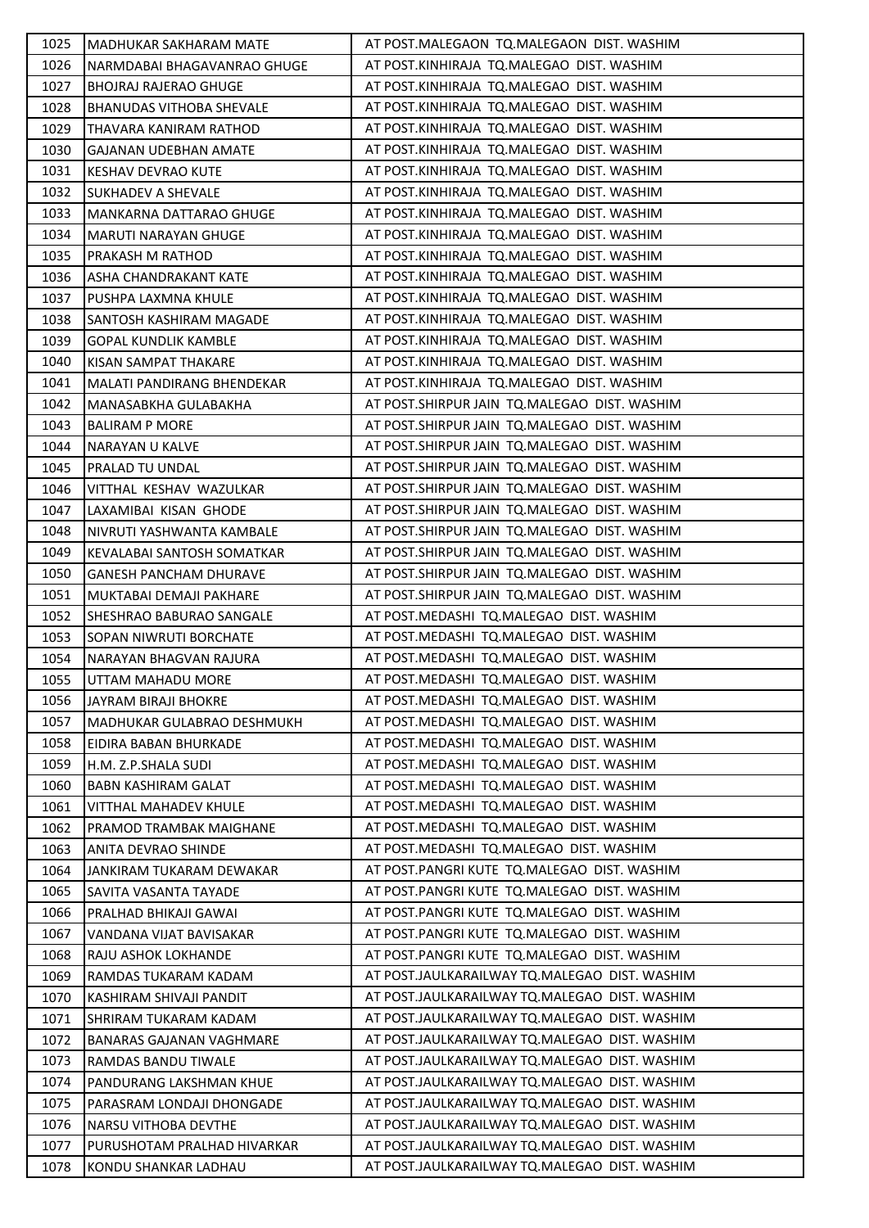| 1025 | MADHUKAR SAKHARAM MATE          | AT POST.MALEGAON TO.MALEGAON DIST. WASHIM      |
|------|---------------------------------|------------------------------------------------|
| 1026 | NARMDABAI BHAGAVANRAO GHUGE     | AT POST.KINHIRAJA TQ.MALEGAO DIST. WASHIM      |
| 1027 | <b>BHOJRAJ RAJERAO GHUGE</b>    | AT POST.KINHIRAJA TQ.MALEGAO DIST. WASHIM      |
| 1028 | <b>BHANUDAS VITHOBA SHEVALE</b> | AT POST.KINHIRAJA TQ.MALEGAO DIST. WASHIM      |
| 1029 | THAVARA KANIRAM RATHOD          | AT POST.KINHIRAJA TQ.MALEGAO DIST. WASHIM      |
| 1030 | <b>GAJANAN UDEBHAN AMATE</b>    | AT POST.KINHIRAJA TQ.MALEGAO DIST. WASHIM      |
| 1031 | KESHAV DEVRAO KUTE              | AT POST.KINHIRAJA TQ.MALEGAO DIST. WASHIM      |
| 1032 | SUKHADEV A SHEVALE              | AT POST.KINHIRAJA TQ.MALEGAO DIST. WASHIM      |
| 1033 | MANKARNA DATTARAO GHUGE         | AT POST.KINHIRAJA TQ.MALEGAO DIST. WASHIM      |
| 1034 | MARUTI NARAYAN GHUGE            | AT POST.KINHIRAJA TQ.MALEGAO DIST. WASHIM      |
| 1035 | PRAKASH M RATHOD                | AT POST.KINHIRAJA TQ.MALEGAO DIST. WASHIM      |
| 1036 | ASHA CHANDRAKANT KATE           | AT POST.KINHIRAJA TQ.MALEGAO DIST. WASHIM      |
| 1037 | PUSHPA LAXMNA KHULE             | AT POST.KINHIRAJA TQ.MALEGAO DIST. WASHIM      |
| 1038 | SANTOSH KASHIRAM MAGADE         | AT POST.KINHIRAJA TQ.MALEGAO DIST. WASHIM      |
| 1039 | <b>GOPAL KUNDLIK KAMBLE</b>     | AT POST.KINHIRAJA TQ.MALEGAO DIST. WASHIM      |
| 1040 | KISAN SAMPAT THAKARE            | AT POST.KINHIRAJA TQ.MALEGAO DIST. WASHIM      |
| 1041 | MALATI PANDIRANG BHENDEKAR      | AT POST.KINHIRAJA TQ.MALEGAO DIST. WASHIM      |
| 1042 | MANASABKHA GULABAKHA            | AT POST.SHIRPUR JAIN TQ.MALEGAO DIST. WASHIM   |
| 1043 | <b>BALIRAM P MORE</b>           | AT POST.SHIRPUR JAIN TQ.MALEGAO DIST. WASHIM   |
| 1044 | NARAYAN U KALVE                 | AT POST. SHIRPUR JAIN TO. MALEGAO DIST. WASHIM |
| 1045 | PRALAD TU UNDAL                 | AT POST.SHIRPUR JAIN TQ.MALEGAO DIST. WASHIM   |
| 1046 | VITTHAL KESHAV WAZULKAR         | AT POST.SHIRPUR JAIN TQ.MALEGAO DIST. WASHIM   |
| 1047 | LAXAMIBAI KISAN GHODE           | AT POST.SHIRPUR JAIN TQ.MALEGAO DIST. WASHIM   |
| 1048 | NIVRUTI YASHWANTA KAMBALE       | AT POST.SHIRPUR JAIN TQ.MALEGAO DIST. WASHIM   |
| 1049 | KEVALABAI SANTOSH SOMATKAR      | AT POST.SHIRPUR JAIN TQ.MALEGAO DIST. WASHIM   |
| 1050 | <b>GANESH PANCHAM DHURAVE</b>   | AT POST.SHIRPUR JAIN TQ.MALEGAO DIST. WASHIM   |
| 1051 | MUKTABAI DEMAJI PAKHARE         | AT POST.SHIRPUR JAIN TQ.MALEGAO DIST. WASHIM   |
| 1052 | SHESHRAO BABURAO SANGALE        | AT POST.MEDASHI TQ.MALEGAO DIST. WASHIM        |
| 1053 | SOPAN NIWRUTI BORCHATE          | AT POST.MEDASHI TQ.MALEGAO DIST. WASHIM        |
| 1054 | NARAYAN BHAGVAN RAJURA          | AT POST.MEDASHI TQ.MALEGAO DIST. WASHIM        |
| 1055 | UTTAM MAHADU MORE               | AT POST.MEDASHI TQ.MALEGAO DIST. WASHIM        |
| 1056 | <b>JAYRAM BIRAJI BHOKRE</b>     | AT POST.MEDASHI TQ.MALEGAO DIST. WASHIM        |
| 1057 | MADHUKAR GULABRAO DESHMUKH      | AT POST.MEDASHI TQ.MALEGAO DIST. WASHIM        |
| 1058 | EIDIRA BABAN BHURKADE           | AT POST.MEDASHI TQ.MALEGAO DIST. WASHIM        |
| 1059 | H.M. Z.P.SHALA SUDI             | AT POST.MEDASHI TQ.MALEGAO DIST. WASHIM        |
| 1060 | <b>BABN KASHIRAM GALAT</b>      | AT POST.MEDASHI TQ.MALEGAO DIST. WASHIM        |
| 1061 | VITTHAL MAHADEV KHULE           | AT POST.MEDASHI TQ.MALEGAO DIST. WASHIM        |
| 1062 | PRAMOD TRAMBAK MAIGHANE         | AT POST.MEDASHI TQ.MALEGAO DIST. WASHIM        |
| 1063 | ANITA DEVRAO SHINDE             | AT POST.MEDASHI TQ.MALEGAO DIST. WASHIM        |
| 1064 | JANKIRAM TUKARAM DEWAKAR        | AT POST.PANGRI KUTE TQ.MALEGAO DIST. WASHIM    |
| 1065 | SAVITA VASANTA TAYADE           | AT POST.PANGRI KUTE TQ.MALEGAO DIST. WASHIM    |
| 1066 | PRALHAD BHIKAJI GAWAI           | AT POST.PANGRI KUTE TQ.MALEGAO DIST. WASHIM    |
| 1067 | VANDANA VIJAT BAVISAKAR         | AT POST.PANGRI KUTE TQ.MALEGAO DIST. WASHIM    |
| 1068 | RAJU ASHOK LOKHANDE             | AT POST.PANGRI KUTE TQ.MALEGAO DIST. WASHIM    |
| 1069 | RAMDAS TUKARAM KADAM            | AT POST.JAULKARAILWAY TO.MALEGAO DIST. WASHIM  |
| 1070 | KASHIRAM SHIVAJI PANDIT         | AT POST.JAULKARAILWAY TQ.MALEGAO DIST. WASHIM  |
| 1071 | SHRIRAM TUKARAM KADAM           | AT POST.JAULKARAILWAY TQ.MALEGAO DIST. WASHIM  |
| 1072 | BANARAS GAJANAN VAGHMARE        | AT POST.JAULKARAILWAY TQ.MALEGAO DIST. WASHIM  |
| 1073 | RAMDAS BANDU TIWALE             | AT POST.JAULKARAILWAY TQ.MALEGAO DIST. WASHIM  |
| 1074 | PANDURANG LAKSHMAN KHUE         | AT POST.JAULKARAILWAY TQ.MALEGAO DIST. WASHIM  |
| 1075 | PARASRAM LONDAJI DHONGADE       | AT POST.JAULKARAILWAY TQ.MALEGAO DIST. WASHIM  |
| 1076 | NARSU VITHOBA DEVTHE            | AT POST.JAULKARAILWAY TQ.MALEGAO DIST. WASHIM  |
| 1077 | PURUSHOTAM PRALHAD HIVARKAR     | AT POST.JAULKARAILWAY TQ.MALEGAO DIST. WASHIM  |
| 1078 | KONDU SHANKAR LADHAU            | AT POST.JAULKARAILWAY TQ.MALEGAO DIST. WASHIM  |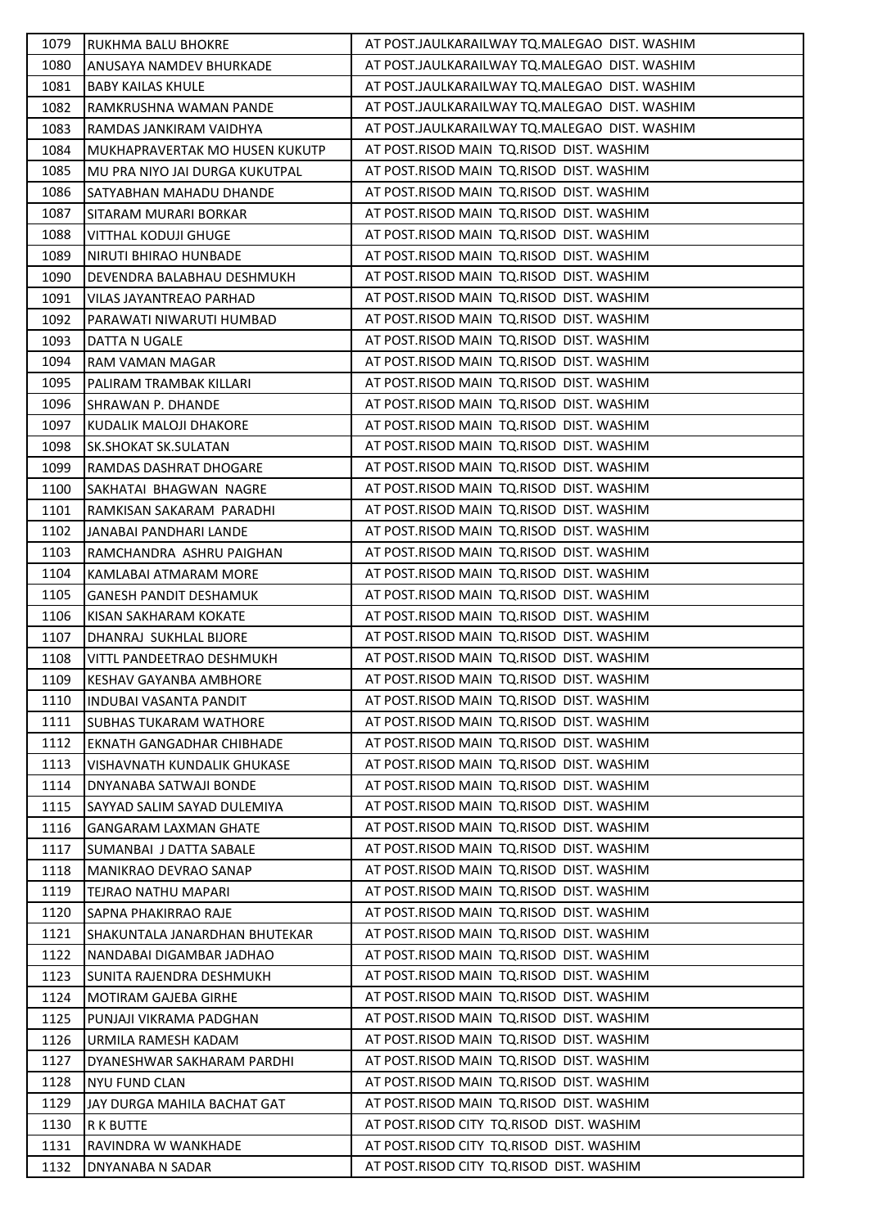| 1079 | RUKHMA BALU BHOKRE             | AT POST.JAULKARAILWAY TQ.MALEGAO DIST. WASHIM |
|------|--------------------------------|-----------------------------------------------|
| 1080 | ANUSAYA NAMDEV BHURKADE        | AT POST.JAULKARAILWAY TQ.MALEGAO DIST. WASHIM |
| 1081 | <b>BABY KAILAS KHULE</b>       | AT POST.JAULKARAILWAY TQ.MALEGAO DIST. WASHIM |
| 1082 | RAMKRUSHNA WAMAN PANDE         | AT POST.JAULKARAILWAY TO.MALEGAO DIST. WASHIM |
| 1083 | RAMDAS JANKIRAM VAIDHYA        | AT POST JAULKARAILWAY TO MALEGAO DIST. WASHIM |
| 1084 | MUKHAPRAVERTAK MO HUSEN KUKUTP | AT POST.RISOD MAIN TQ.RISOD DIST. WASHIM      |
| 1085 | MU PRA NIYO JAI DURGA KUKUTPAL | AT POST.RISOD MAIN TQ.RISOD DIST. WASHIM      |
| 1086 | SATYABHAN MAHADU DHANDE        | AT POST.RISOD MAIN TQ.RISOD DIST. WASHIM      |
| 1087 | SITARAM MURARI BORKAR          | AT POST.RISOD MAIN TQ.RISOD DIST. WASHIM      |
| 1088 | <b>VITTHAL KODUJI GHUGE</b>    | AT POST.RISOD MAIN TQ.RISOD DIST. WASHIM      |
| 1089 | NIRUTI BHIRAO HUNBADE          | AT POST.RISOD MAIN TQ.RISOD DIST. WASHIM      |
| 1090 | DEVENDRA BALABHAU DESHMUKH     | AT POST.RISOD MAIN TQ.RISOD DIST. WASHIM      |
| 1091 | VILAS JAYANTREAO PARHAD        | AT POST.RISOD MAIN TQ.RISOD DIST. WASHIM      |
| 1092 | PARAWATI NIWARUTI HUMBAD       | AT POST.RISOD MAIN TQ.RISOD DIST. WASHIM      |
| 1093 | DATTA N UGALE                  | AT POST.RISOD MAIN TO.RISOD DIST. WASHIM      |
| 1094 | RAM VAMAN MAGAR                | AT POST.RISOD MAIN TQ.RISOD DIST. WASHIM      |
| 1095 | PALIRAM TRAMBAK KILLARI        | AT POST.RISOD MAIN TQ.RISOD DIST. WASHIM      |
| 1096 | SHRAWAN P. DHANDE              | AT POST.RISOD MAIN TQ.RISOD DIST. WASHIM      |
| 1097 | KUDALIK MALOJI DHAKORE         | AT POST.RISOD MAIN TO.RISOD DIST. WASHIM      |
| 1098 | SK.SHOKAT SK.SULATAN           | AT POST.RISOD MAIN TQ.RISOD DIST. WASHIM      |
| 1099 | RAMDAS DASHRAT DHOGARE         | AT POST.RISOD MAIN TQ.RISOD DIST. WASHIM      |
| 1100 | SAKHATAI BHAGWAN NAGRE         | AT POST.RISOD MAIN TQ.RISOD DIST. WASHIM      |
| 1101 | RAMKISAN SAKARAM PARADHI       | AT POST.RISOD MAIN TO.RISOD DIST. WASHIM      |
| 1102 | JANABAI PANDHARI LANDE         | AT POST.RISOD MAIN TO.RISOD DIST. WASHIM      |
| 1103 | RAMCHANDRA ASHRU PAIGHAN       | AT POST.RISOD MAIN TQ.RISOD DIST. WASHIM      |
| 1104 | KAMLABAI ATMARAM MORE          | AT POST.RISOD MAIN TQ.RISOD DIST. WASHIM      |
| 1105 | GANESH PANDIT DESHAMUK         | AT POST.RISOD MAIN TQ.RISOD DIST. WASHIM      |
| 1106 | KISAN SAKHARAM KOKATE          | AT POST.RISOD MAIN TQ.RISOD DIST. WASHIM      |
| 1107 | DHANRAJ SUKHLAL BIJORE         | AT POST.RISOD MAIN TQ.RISOD DIST. WASHIM      |
| 1108 | VITTL PANDEETRAO DESHMUKH      | AT POST.RISOD MAIN TQ.RISOD DIST. WASHIM      |
| 1109 | <b>KESHAV GAYANBA AMBHORE</b>  | AT POST.RISOD MAIN TQ.RISOD DIST. WASHIM      |
| 1110 | <b>INDUBAI VASANTA PANDIT</b>  | AT POST.RISOD MAIN TO.RISOD DIST. WASHIM      |
| 1111 | <b>SUBHAS TUKARAM WATHORE</b>  | AT POST.RISOD MAIN TQ.RISOD DIST. WASHIM      |
| 1112 | EKNATH GANGADHAR CHIBHADE      | AT POST.RISOD MAIN TQ.RISOD DIST. WASHIM      |
| 1113 | VISHAVNATH KUNDALIK GHUKASE    | AT POST.RISOD MAIN TO.RISOD DIST. WASHIM      |
| 1114 | DNYANABA SATWAJI BONDE         | AT POST.RISOD MAIN TO.RISOD DIST. WASHIM      |
| 1115 | SAYYAD SALIM SAYAD DULEMIYA    | AT POST.RISOD MAIN TQ.RISOD DIST. WASHIM      |
| 1116 | GANGARAM LAXMAN GHATE          | AT POST.RISOD MAIN TO.RISOD DIST. WASHIM      |
| 1117 | SUMANBAI J DATTA SABALE        | AT POST.RISOD MAIN TQ.RISOD DIST. WASHIM      |
| 1118 | MANIKRAO DEVRAO SANAP          | AT POST.RISOD MAIN TQ.RISOD DIST. WASHIM      |
| 1119 | TEJRAO NATHU MAPARI            | AT POST.RISOD MAIN TO.RISOD DIST. WASHIM      |
| 1120 | <b>SAPNA PHAKIRRAO RAJE</b>    | AT POST.RISOD MAIN TO.RISOD DIST. WASHIM      |
| 1121 | SHAKUNTALA JANARDHAN BHUTEKAR  | AT POST.RISOD MAIN TO.RISOD DIST. WASHIM      |
| 1122 | NANDABAI DIGAMBAR JADHAO       | AT POST.RISOD MAIN TQ.RISOD DIST. WASHIM      |
| 1123 | SUNITA RAJENDRA DESHMUKH       | AT POST.RISOD MAIN TO.RISOD DIST. WASHIM      |
| 1124 | MOTIRAM GAJEBA GIRHE           | AT POST.RISOD MAIN TO.RISOD DIST. WASHIM      |
| 1125 | PUNJAJI VIKRAMA PADGHAN        | AT POST.RISOD MAIN TQ.RISOD DIST. WASHIM      |
| 1126 | URMILA RAMESH KADAM            | AT POST.RISOD MAIN TQ.RISOD DIST. WASHIM      |
| 1127 | DYANESHWAR SAKHARAM PARDHI     | AT POST.RISOD MAIN TO.RISOD DIST. WASHIM      |
| 1128 | <b>NYU FUND CLAN</b>           | AT POST.RISOD MAIN TO.RISOD DIST. WASHIM      |
| 1129 | JAY DURGA MAHILA BACHAT GAT    | AT POST.RISOD MAIN TQ.RISOD DIST. WASHIM      |
| 1130 | R K BUTTE                      | AT POST.RISOD CITY TQ.RISOD DIST. WASHIM      |
| 1131 | RAVINDRA W WANKHADE            | AT POST.RISOD CITY TQ.RISOD DIST. WASHIM      |
| 1132 | DNYANABA N SADAR               | AT POST.RISOD CITY TQ.RISOD DIST. WASHIM      |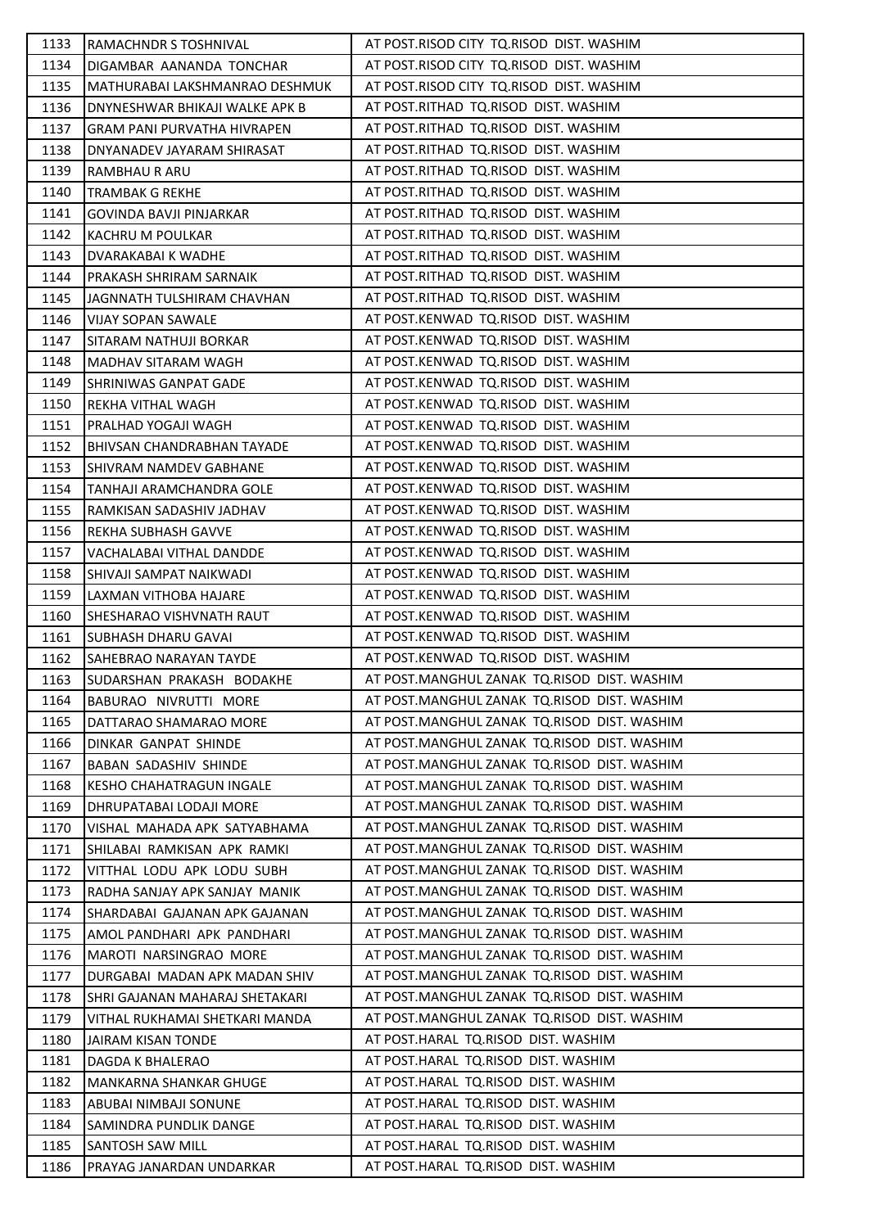| 1133 | RAMACHNDR S TOSHNIVAL          | AT POST.RISOD CITY TO.RISOD DIST. WASHIM    |
|------|--------------------------------|---------------------------------------------|
| 1134 | DIGAMBAR AANANDA TONCHAR       | AT POST.RISOD CITY TQ.RISOD DIST. WASHIM    |
| 1135 | MATHURABAI LAKSHMANRAO DESHMUK | AT POST.RISOD CITY TQ.RISOD DIST. WASHIM    |
| 1136 | DNYNESHWAR BHIKAJI WALKE APK B | AT POST.RITHAD TQ.RISOD DIST. WASHIM        |
| 1137 | GRAM PANI PURVATHA HIVRAPEN    | AT POST.RITHAD TQ.RISOD DIST. WASHIM        |
| 1138 | DNYANADEV JAYARAM SHIRASAT     | AT POST.RITHAD TQ.RISOD DIST. WASHIM        |
| 1139 | RAMBHAU R ARU                  | AT POST.RITHAD TQ.RISOD DIST. WASHIM        |
| 1140 | TRAMBAK G REKHE                | AT POST.RITHAD TQ.RISOD DIST. WASHIM        |
| 1141 | <b>GOVINDA BAVJI PINJARKAR</b> | AT POST.RITHAD TQ.RISOD DIST. WASHIM        |
| 1142 | KACHRU M POULKAR               | AT POST.RITHAD TQ.RISOD DIST. WASHIM        |
| 1143 | DVARAKABAI K WADHE             | AT POST.RITHAD TQ.RISOD DIST. WASHIM        |
| 1144 | PRAKASH SHRIRAM SARNAIK        | AT POST.RITHAD TQ.RISOD DIST. WASHIM        |
| 1145 | JAGNNATH TULSHIRAM CHAVHAN     | AT POST.RITHAD TQ.RISOD DIST. WASHIM        |
| 1146 | <b>VIJAY SOPAN SAWALE</b>      | AT POST.KENWAD TQ.RISOD DIST. WASHIM        |
| 1147 | SITARAM NATHUJI BORKAR         | AT POST.KENWAD TQ.RISOD DIST. WASHIM        |
| 1148 | MADHAV SITARAM WAGH            | AT POST.KENWAD TQ.RISOD DIST. WASHIM        |
| 1149 | SHRINIWAS GANPAT GADE          | AT POST.KENWAD TQ.RISOD DIST. WASHIM        |
| 1150 | REKHA VITHAL WAGH              | AT POST.KENWAD TQ.RISOD DIST. WASHIM        |
| 1151 | PRALHAD YOGAJI WAGH            | AT POST.KENWAD TQ.RISOD DIST. WASHIM        |
| 1152 | BHIVSAN CHANDRABHAN TAYADE     | AT POST.KENWAD TQ.RISOD DIST. WASHIM        |
| 1153 | SHIVRAM NAMDEV GABHANE         | AT POST.KENWAD TQ.RISOD DIST. WASHIM        |
| 1154 | TANHAJI ARAMCHANDRA GOLE       | AT POST.KENWAD TQ.RISOD DIST. WASHIM        |
| 1155 | RAMKISAN SADASHIV JADHAV       | AT POST.KENWAD TQ.RISOD DIST. WASHIM        |
| 1156 | REKHA SUBHASH GAVVE            | AT POST.KENWAD TQ.RISOD DIST. WASHIM        |
| 1157 | VACHALABAI VITHAL DANDDE       | AT POST.KENWAD TQ.RISOD DIST. WASHIM        |
| 1158 | SHIVAJI SAMPAT NAIKWADI        | AT POST.KENWAD TQ.RISOD DIST. WASHIM        |
| 1159 | LAXMAN VITHOBA HAJARE          | AT POST.KENWAD TQ.RISOD DIST. WASHIM        |
| 1160 | SHESHARAO VISHVNATH RAUT       | AT POST.KENWAD TQ.RISOD DIST. WASHIM        |
| 1161 | <b>SUBHASH DHARU GAVAI</b>     | AT POST.KENWAD TQ.RISOD DIST. WASHIM        |
| 1162 | SAHEBRAO NARAYAN TAYDE         | AT POST.KENWAD TQ.RISOD DIST. WASHIM        |
| 1163 | ISUDARSHAN PRAKASH BODAKHE     | AT POST.MANGHUL ZANAK TQ.RISOD DIST. WASHIM |
| 1164 | BABURAO NIVRUTTI MORE          | AT POST.MANGHUL ZANAK TO.RISOD DIST. WASHIM |
| 1165 | DATTARAO SHAMARAO MORE         | AT POST.MANGHUL ZANAK TQ.RISOD DIST. WASHIM |
| 1166 | DINKAR GANPAT SHINDE           | AT POST.MANGHUL ZANAK TQ.RISOD DIST. WASHIM |
| 1167 | BABAN SADASHIV SHINDE          | AT POST.MANGHUL ZANAK TQ.RISOD DIST. WASHIM |
| 1168 | KESHO CHAHATRAGUN INGALE       | AT POST.MANGHUL ZANAK TQ.RISOD DIST. WASHIM |
| 1169 | DHRUPATABAI LODAJI MORE        | AT POST.MANGHUL ZANAK TO.RISOD DIST. WASHIM |
| 1170 | VISHAL MAHADA APK SATYABHAMA   | AT POST.MANGHUL ZANAK TQ.RISOD DIST. WASHIM |
| 1171 | SHILABAI RAMKISAN APK RAMKI    | AT POST.MANGHUL ZANAK TQ.RISOD DIST. WASHIM |
| 1172 | VITTHAL LODU APK LODU SUBH     | AT POST.MANGHUL ZANAK TQ.RISOD DIST. WASHIM |
| 1173 | RADHA SANJAY APK SANJAY MANIK  | AT POST.MANGHUL ZANAK TO.RISOD DIST. WASHIM |
| 1174 | SHARDABAI GAJANAN APK GAJANAN  | AT POST.MANGHUL ZANAK TO.RISOD DIST. WASHIM |
| 1175 | AMOL PANDHARI APK PANDHARI     | AT POST.MANGHUL ZANAK TQ.RISOD DIST. WASHIM |
| 1176 | MAROTI NARSINGRAO MORE         | AT POST.MANGHUL ZANAK TQ.RISOD DIST. WASHIM |
| 1177 | DURGABAI MADAN APK MADAN SHIV  | AT POST.MANGHUL ZANAK TO.RISOD DIST. WASHIM |
| 1178 | SHRI GAJANAN MAHARAJ SHETAKARI | AT POST.MANGHUL ZANAK TQ.RISOD DIST. WASHIM |
| 1179 | VITHAL RUKHAMAI SHETKARI MANDA | AT POST.MANGHUL ZANAK TQ.RISOD DIST. WASHIM |
| 1180 | JAIRAM KISAN TONDE             | AT POST.HARAL TQ.RISOD DIST. WASHIM         |
| 1181 | DAGDA K BHALERAO               | AT POST.HARAL TQ.RISOD DIST. WASHIM         |
| 1182 | MANKARNA SHANKAR GHUGE         | AT POST.HARAL TQ.RISOD DIST. WASHIM         |
| 1183 | ABUBAI NIMBAJI SONUNE          | AT POST.HARAL TQ.RISOD DIST. WASHIM         |
| 1184 | SAMINDRA PUNDLIK DANGE         | AT POST.HARAL TQ.RISOD DIST. WASHIM         |
| 1185 | SANTOSH SAW MILL               | AT POST.HARAL TQ.RISOD DIST. WASHIM         |
| 1186 | PRAYAG JANARDAN UNDARKAR       | AT POST.HARAL TQ.RISOD DIST. WASHIM         |